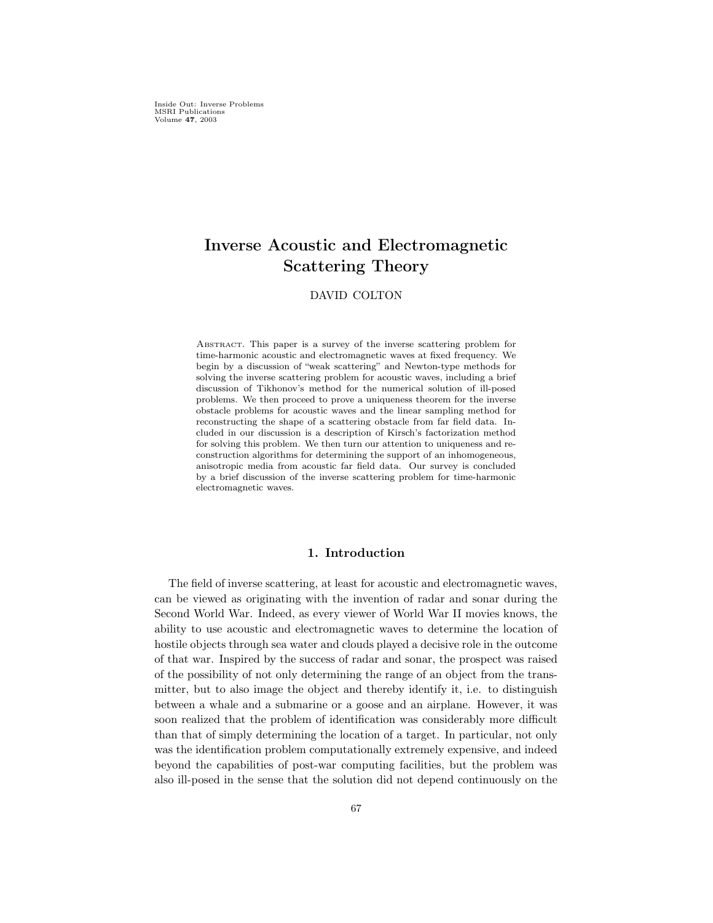Inside Out: Inverse Problems MSRI Publications Volume 47, 2003

# Inverse Acoustic and Electromagnetic Scattering Theory

# DAVID COLTON

Abstract. This paper is a survey of the inverse scattering problem for time-harmonic acoustic and electromagnetic waves at fixed frequency. We begin by a discussion of "weak scattering" and Newton-type methods for solving the inverse scattering problem for acoustic waves, including a brief discussion of Tikhonov's method for the numerical solution of ill-posed problems. We then proceed to prove a uniqueness theorem for the inverse obstacle problems for acoustic waves and the linear sampling method for reconstructing the shape of a scattering obstacle from far field data. Included in our discussion is a description of Kirsch's factorization method for solving this problem. We then turn our attention to uniqueness and reconstruction algorithms for determining the support of an inhomogeneous, anisotropic media from acoustic far field data. Our survey is concluded by a brief discussion of the inverse scattering problem for time-harmonic electromagnetic waves.

# 1. Introduction

The field of inverse scattering, at least for acoustic and electromagnetic waves, can be viewed as originating with the invention of radar and sonar during the Second World War. Indeed, as every viewer of World War II movies knows, the ability to use acoustic and electromagnetic waves to determine the location of hostile objects through sea water and clouds played a decisive role in the outcome of that war. Inspired by the success of radar and sonar, the prospect was raised of the possibility of not only determining the range of an object from the transmitter, but to also image the object and thereby identify it, i.e. to distinguish between a whale and a submarine or a goose and an airplane. However, it was soon realized that the problem of identification was considerably more difficult than that of simply determining the location of a target. In particular, not only was the identification problem computationally extremely expensive, and indeed beyond the capabilities of post-war computing facilities, but the problem was also ill-posed in the sense that the solution did not depend continuously on the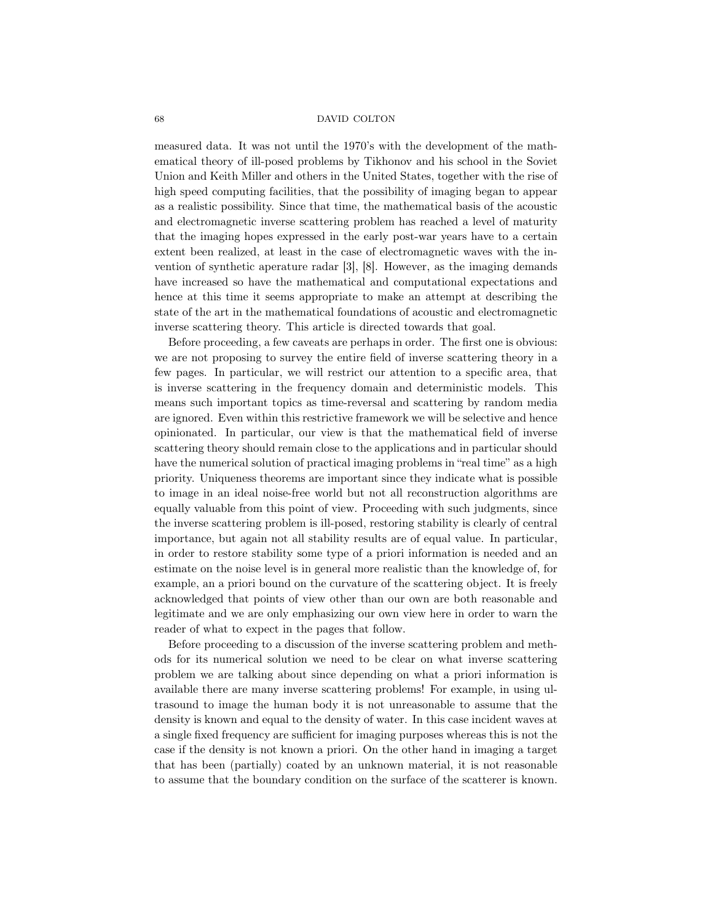measured data. It was not until the 1970's with the development of the mathematical theory of ill-posed problems by Tikhonov and his school in the Soviet Union and Keith Miller and others in the United States, together with the rise of high speed computing facilities, that the possibility of imaging began to appear as a realistic possibility. Since that time, the mathematical basis of the acoustic and electromagnetic inverse scattering problem has reached a level of maturity that the imaging hopes expressed in the early post-war years have to a certain extent been realized, at least in the case of electromagnetic waves with the invention of synthetic aperature radar [3], [8]. However, as the imaging demands have increased so have the mathematical and computational expectations and hence at this time it seems appropriate to make an attempt at describing the state of the art in the mathematical foundations of acoustic and electromagnetic inverse scattering theory. This article is directed towards that goal.

Before proceeding, a few caveats are perhaps in order. The first one is obvious: we are not proposing to survey the entire field of inverse scattering theory in a few pages. In particular, we will restrict our attention to a specific area, that is inverse scattering in the frequency domain and deterministic models. This means such important topics as time-reversal and scattering by random media are ignored. Even within this restrictive framework we will be selective and hence opinionated. In particular, our view is that the mathematical field of inverse scattering theory should remain close to the applications and in particular should have the numerical solution of practical imaging problems in "real time" as a high priority. Uniqueness theorems are important since they indicate what is possible to image in an ideal noise-free world but not all reconstruction algorithms are equally valuable from this point of view. Proceeding with such judgments, since the inverse scattering problem is ill-posed, restoring stability is clearly of central importance, but again not all stability results are of equal value. In particular, in order to restore stability some type of a priori information is needed and an estimate on the noise level is in general more realistic than the knowledge of, for example, an a priori bound on the curvature of the scattering object. It is freely acknowledged that points of view other than our own are both reasonable and legitimate and we are only emphasizing our own view here in order to warn the reader of what to expect in the pages that follow.

Before proceeding to a discussion of the inverse scattering problem and methods for its numerical solution we need to be clear on what inverse scattering problem we are talking about since depending on what a priori information is available there are many inverse scattering problems! For example, in using ultrasound to image the human body it is not unreasonable to assume that the density is known and equal to the density of water. In this case incident waves at a single fixed frequency are sufficient for imaging purposes whereas this is not the case if the density is not known a priori. On the other hand in imaging a target that has been (partially) coated by an unknown material, it is not reasonable to assume that the boundary condition on the surface of the scatterer is known.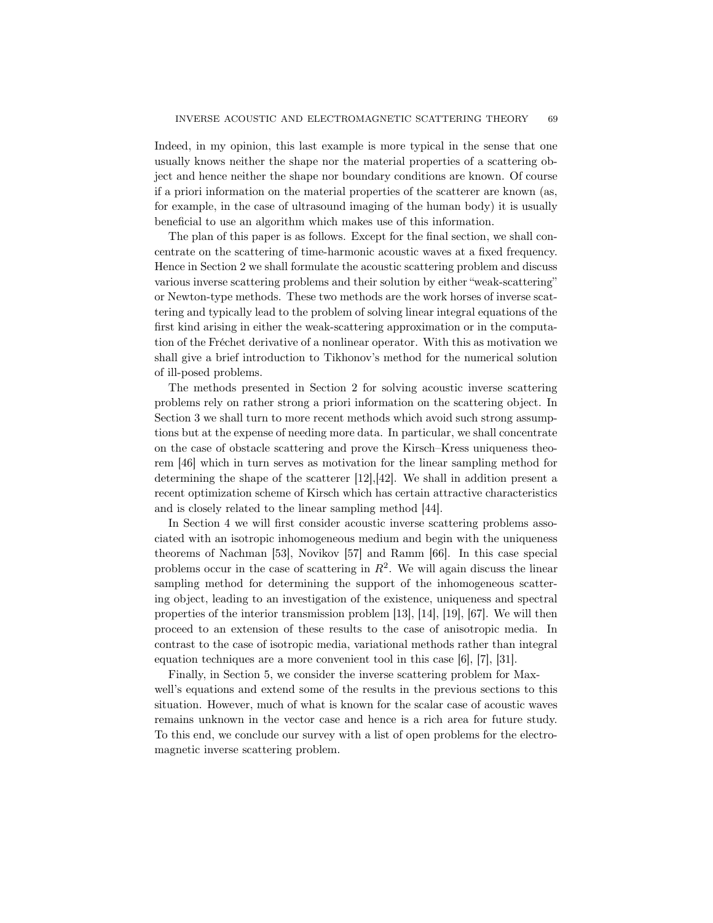Indeed, in my opinion, this last example is more typical in the sense that one usually knows neither the shape nor the material properties of a scattering object and hence neither the shape nor boundary conditions are known. Of course if a priori information on the material properties of the scatterer are known (as, for example, in the case of ultrasound imaging of the human body) it is usually beneficial to use an algorithm which makes use of this information.

The plan of this paper is as follows. Except for the final section, we shall concentrate on the scattering of time-harmonic acoustic waves at a fixed frequency. Hence in Section 2 we shall formulate the acoustic scattering problem and discuss various inverse scattering problems and their solution by either "weak-scattering" or Newton-type methods. These two methods are the work horses of inverse scattering and typically lead to the problem of solving linear integral equations of the first kind arising in either the weak-scattering approximation or in the computation of the Fréchet derivative of a nonlinear operator. With this as motivation we shall give a brief introduction to Tikhonov's method for the numerical solution of ill-posed problems.

The methods presented in Section 2 for solving acoustic inverse scattering problems rely on rather strong a priori information on the scattering object. In Section 3 we shall turn to more recent methods which avoid such strong assumptions but at the expense of needing more data. In particular, we shall concentrate on the case of obstacle scattering and prove the Kirsch–Kress uniqueness theorem [46] which in turn serves as motivation for the linear sampling method for determining the shape of the scatterer [12],[42]. We shall in addition present a recent optimization scheme of Kirsch which has certain attractive characteristics and is closely related to the linear sampling method [44].

In Section 4 we will first consider acoustic inverse scattering problems associated with an isotropic inhomogeneous medium and begin with the uniqueness theorems of Nachman [53], Novikov [57] and Ramm [66]. In this case special problems occur in the case of scattering in  $R^2$ . We will again discuss the linear sampling method for determining the support of the inhomogeneous scattering object, leading to an investigation of the existence, uniqueness and spectral properties of the interior transmission problem [13], [14], [19], [67]. We will then proceed to an extension of these results to the case of anisotropic media. In contrast to the case of isotropic media, variational methods rather than integral equation techniques are a more convenient tool in this case [6], [7], [31].

Finally, in Section 5, we consider the inverse scattering problem for Maxwell's equations and extend some of the results in the previous sections to this situation. However, much of what is known for the scalar case of acoustic waves remains unknown in the vector case and hence is a rich area for future study. To this end, we conclude our survey with a list of open problems for the electromagnetic inverse scattering problem.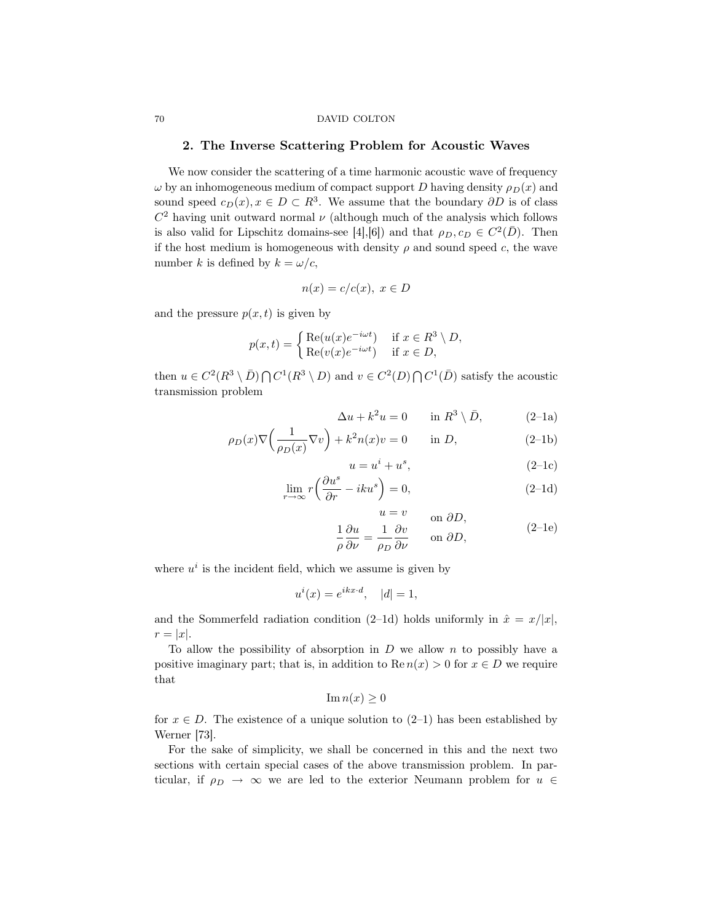# 2. The Inverse Scattering Problem for Acoustic Waves

We now consider the scattering of a time harmonic acoustic wave of frequency  $\omega$  by an inhomogeneous medium of compact support D having density  $\rho_D(x)$  and sound speed  $c_D(x)$ ,  $x \in D \subset R^3$ . We assume that the boundary  $\partial D$  is of class  $C<sup>2</sup>$  having unit outward normal  $\nu$  (although much of the analysis which follows is also valid for Lipschitz domains-see [4],[6]) and that  $\rho_D, c_D \in C^2(\overline{D})$ . Then if the host medium is homogeneous with density  $\rho$  and sound speed c, the wave number k is defined by  $k = \omega/c$ ,

$$
n(x) = c/c(x), \ x \in D
$$

and the pressure  $p(x,t)$  is given by

$$
p(x,t) = \begin{cases} \text{Re}(u(x)e^{-i\omega t}) & \text{if } x \in R^3 \setminus D, \\ \text{Re}(v(x)e^{-i\omega t}) & \text{if } x \in D, \end{cases}
$$

then  $u \in C^2(R^3 \setminus \overline{D}) \cap C^1(R^3 \setminus D)$  and  $v \in C^2(D) \cap C^1(\overline{D})$  satisfy the acoustic transmission problem

$$
\Delta u + k^2 u = 0 \quad \text{in } R^3 \setminus \bar{D}, \tag{2-1a}
$$

$$
\rho_D(x)\nabla\left(\frac{1}{\rho_D(x)}\nabla v\right) + k^2 n(x)v = 0 \quad \text{in } D,
$$
\n(2-1b)

$$
u = u^i + u^s, \tag{2-1c}
$$

$$
\lim_{r \to \infty} r \left( \frac{\partial u^s}{\partial r} - i k u^s \right) = 0,
$$
\n(2-1d)

$$
\frac{1}{\rho} \frac{\partial u}{\partial \nu} = \frac{1}{\rho_D} \frac{\partial v}{\partial \nu} \qquad \text{on } \partial D,
$$
\n(2-1e)

where  $u^i$  is the incident field, which we assume is given by

$$
u^{i}(x) = e^{ikx \cdot d}, \quad |d| = 1,
$$

and the Sommerfeld radiation condition (2–1d) holds uniformly in  $\hat{x} = x/|x|$ ,  $r = |x|.$ 

To allow the possibility of absorption in  $D$  we allow  $n$  to possibly have a positive imaginary part; that is, in addition to  $\text{Re } n(x) > 0$  for  $x \in D$  we require that

$$
\operatorname{Im} n(x) \ge 0
$$

for  $x \in D$ . The existence of a unique solution to  $(2-1)$  has been established by Werner [73].

For the sake of simplicity, we shall be concerned in this and the next two sections with certain special cases of the above transmission problem. In particular, if  $\rho_D \to \infty$  we are led to the exterior Neumann problem for  $u \in$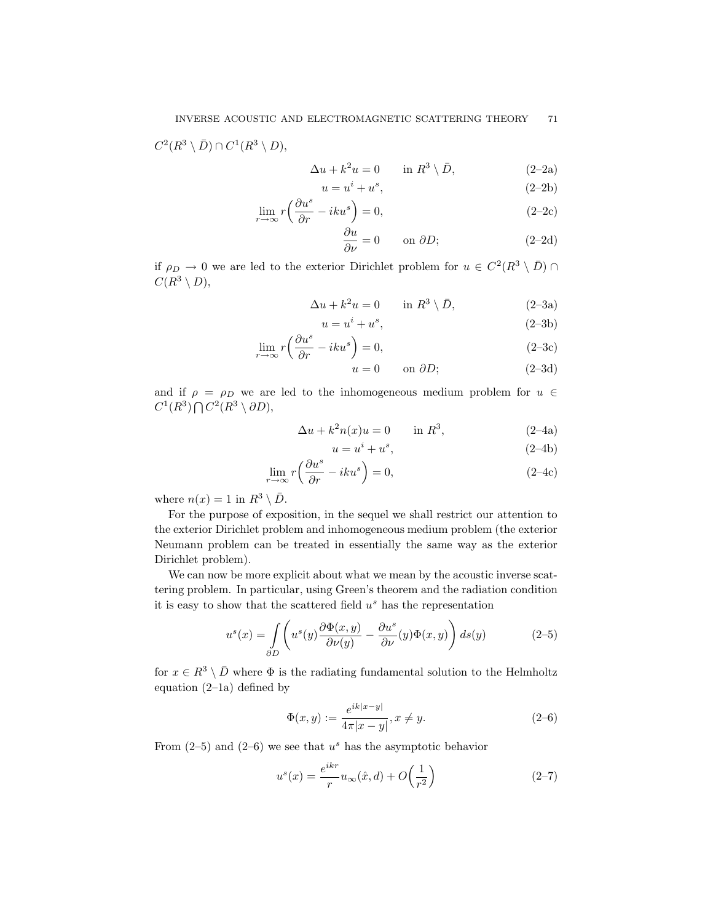$C^2(R^3 \setminus \overline{D}) \cap C^1(R^3 \setminus D),$ 

$$
\Delta u + k^2 u = 0 \qquad \text{in } R^3 \setminus \bar{D}, \tag{2-2a}
$$

$$
u = u^i + u^s,\tag{2-2b}
$$

$$
\lim_{r \to \infty} r \left( \frac{\partial u^s}{\partial r} - i k u^s \right) = 0, \tag{2-2c}
$$

$$
\frac{\partial u}{\partial \nu} = 0 \qquad \text{on } \partial D; \tag{2-2d}
$$

if  $\rho_D \to 0$  we are led to the exterior Dirichlet problem for  $u \in C^2(R^3 \setminus \overline{D})$  $C(R^3 \setminus D),$ 

$$
\Delta u + k^2 u = 0 \qquad \text{in } R^3 \setminus \bar{D}, \tag{2-3a}
$$

$$
u = u^i + u^s,\tag{2-3b}
$$

$$
\lim_{r \to \infty} r \left( \frac{\partial u^s}{\partial r} - iku^s \right) = 0, \tag{2-3c}
$$

$$
u = 0 \qquad \text{on } \partial D; \tag{2-3d}
$$

and if  $\rho = \rho_D$  we are led to the inhomogeneous medium problem for  $u \in$  $C^1(R^3) \bigcap C^2(R^3 \setminus \partial D),$ 

$$
\Delta u + k^2 n(x)u = 0 \qquad \text{in } R^3,\tag{2-4a}
$$

$$
u = u^i + u^s,\tag{2-4b}
$$

$$
\lim_{r \to \infty} r \left( \frac{\partial u^s}{\partial r} - i k u^s \right) = 0, \tag{2-4c}
$$

where  $n(x) = 1$  in  $R^3 \setminus \overline{D}$ .

For the purpose of exposition, in the sequel we shall restrict our attention to the exterior Dirichlet problem and inhomogeneous medium problem (the exterior Neumann problem can be treated in essentially the same way as the exterior Dirichlet problem).

We can now be more explicit about what we mean by the acoustic inverse scattering problem. In particular, using Green's theorem and the radiation condition it is easy to show that the scattered field  $u<sup>s</sup>$  has the representation

$$
u^{s}(x) = \int_{\partial D} \left( u^{s}(y) \frac{\partial \Phi(x, y)}{\partial \nu(y)} - \frac{\partial u^{s}}{\partial \nu}(y) \Phi(x, y) \right) ds(y)
$$
(2-5)

for  $x \in R^3 \setminus \overline{D}$  where  $\Phi$  is the radiating fundamental solution to the Helmholtz equation (2–1a) defined by

$$
\Phi(x, y) := \frac{e^{ik|x-y|}}{4\pi|x-y|}, x \neq y.
$$
\n(2-6)

From  $(2-5)$  and  $(2-6)$  we see that  $u<sup>s</sup>$  has the asymptotic behavior

$$
u^s(x) = \frac{e^{ikr}}{r}u_\infty(\hat{x}, d) + O\left(\frac{1}{r^2}\right)
$$
 (2-7)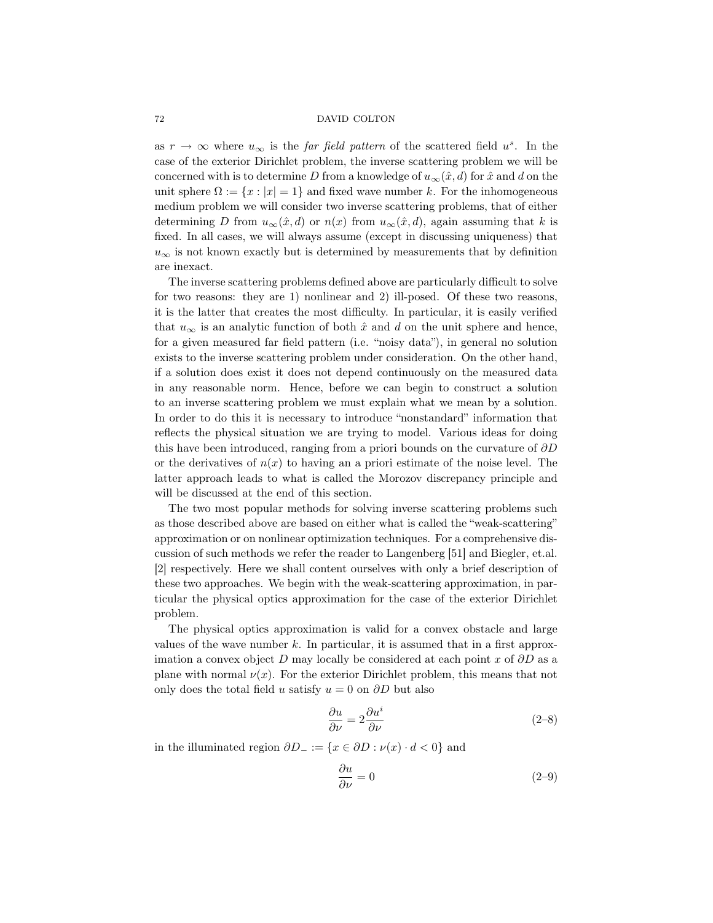as  $r \to \infty$  where  $u_{\infty}$  is the *far field pattern* of the scattered field  $u^s$ . In the case of the exterior Dirichlet problem, the inverse scattering problem we will be concerned with is to determine D from a knowledge of  $u_{\infty}(\hat{x}, d)$  for  $\hat{x}$  and d on the unit sphere  $\Omega := \{x : |x| = 1\}$  and fixed wave number k. For the inhomogeneous medium problem we will consider two inverse scattering problems, that of either determining D from  $u_{\infty}(\hat{x}, d)$  or  $n(x)$  from  $u_{\infty}(\hat{x}, d)$ , again assuming that k is fixed. In all cases, we will always assume (except in discussing uniqueness) that  $u_{\infty}$  is not known exactly but is determined by measurements that by definition are inexact.

The inverse scattering problems defined above are particularly difficult to solve for two reasons: they are 1) nonlinear and 2) ill-posed. Of these two reasons, it is the latter that creates the most difficulty. In particular, it is easily verified that  $u_{\infty}$  is an analytic function of both  $\hat{x}$  and  $d$  on the unit sphere and hence, for a given measured far field pattern (i.e. "noisy data"), in general no solution exists to the inverse scattering problem under consideration. On the other hand, if a solution does exist it does not depend continuously on the measured data in any reasonable norm. Hence, before we can begin to construct a solution to an inverse scattering problem we must explain what we mean by a solution. In order to do this it is necessary to introduce "nonstandard" information that reflects the physical situation we are trying to model. Various ideas for doing this have been introduced, ranging from a priori bounds on the curvature of  $\partial D$ or the derivatives of  $n(x)$  to having an a priori estimate of the noise level. The latter approach leads to what is called the Morozov discrepancy principle and will be discussed at the end of this section.

The two most popular methods for solving inverse scattering problems such as those described above are based on either what is called the "weak-scattering" approximation or on nonlinear optimization techniques. For a comprehensive discussion of such methods we refer the reader to Langenberg [51] and Biegler, et.al. [2] respectively. Here we shall content ourselves with only a brief description of these two approaches. We begin with the weak-scattering approximation, in particular the physical optics approximation for the case of the exterior Dirichlet problem.

The physical optics approximation is valid for a convex obstacle and large values of the wave number  $k$ . In particular, it is assumed that in a first approximation a convex object D may locally be considered at each point x of  $\partial D$  as a plane with normal  $\nu(x)$ . For the exterior Dirichlet problem, this means that not only does the total field u satisfy  $u = 0$  on  $\partial D$  but also

$$
\frac{\partial u}{\partial \nu} = 2 \frac{\partial u^i}{\partial \nu} \tag{2-8}
$$

in the illuminated region  $\partial D_ - := \{x \in \partial D : \nu(x) \cdot d < 0\}$  and

$$
\frac{\partial u}{\partial \nu} = 0 \tag{2-9}
$$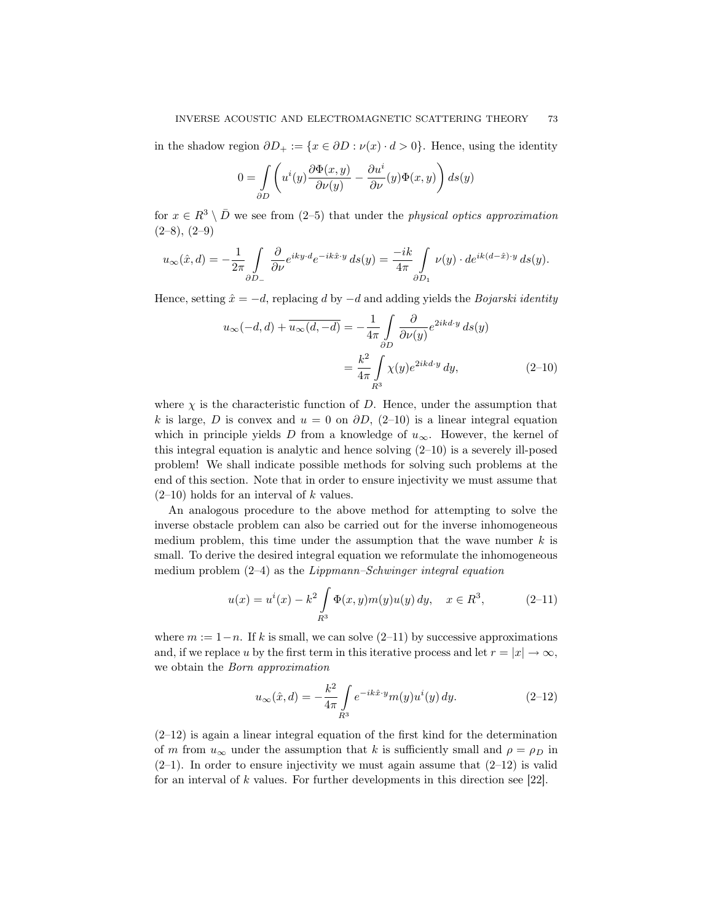in the shadow region  $\partial D_+ := \{x \in \partial D : \nu(x) \cdot d > 0\}$ . Hence, using the identity

$$
0 = \int_{\partial D} \left( u^i(y) \frac{\partial \Phi(x, y)}{\partial \nu(y)} - \frac{\partial u^i}{\partial \nu}(y) \Phi(x, y) \right) ds(y)
$$

for  $x \in R^3 \setminus \overline{D}$  we see from (2–5) that under the *physical optics approximation*  $(2-8), (2-9)$ 

$$
u_{\infty}(\hat{x}, d) = -\frac{1}{2\pi} \int_{\partial D_{-}} \frac{\partial}{\partial \nu} e^{iky \cdot d} e^{-ik\hat{x} \cdot y} ds(y) = \frac{-ik}{4\pi} \int_{\partial D_{1}} \nu(y) \cdot de^{ik(d-\hat{x}) \cdot y} ds(y).
$$

Hence, setting  $\hat{x} = -d$ , replacing d by  $-d$  and adding yields the *Bojarski identity* 

$$
u_{\infty}(-d,d) + \overline{u_{\infty}(d,-d)} = -\frac{1}{4\pi} \int_{\partial D} \frac{\partial}{\partial \nu(y)} e^{2ikd \cdot y} ds(y)
$$

$$
= \frac{k^2}{4\pi} \int_{R^3} \chi(y) e^{2ikd \cdot y} dy,
$$
(2-10)

where  $\chi$  is the characteristic function of D. Hence, under the assumption that k is large, D is convex and  $u = 0$  on  $\partial D$ , (2–10) is a linear integral equation which in principle yields D from a knowledge of  $u_{\infty}$ . However, the kernel of this integral equation is analytic and hence solving (2–10) is a severely ill-posed problem! We shall indicate possible methods for solving such problems at the end of this section. Note that in order to ensure injectivity we must assume that  $(2-10)$  holds for an interval of k values.

An analogous procedure to the above method for attempting to solve the inverse obstacle problem can also be carried out for the inverse inhomogeneous medium problem, this time under the assumption that the wave number  $k$  is small. To derive the desired integral equation we reformulate the inhomogeneous medium problem  $(2-4)$  as the *Lippmann–Schwinger integral equation* 

$$
u(x) = u^{i}(x) - k^{2} \int_{R^{3}} \Phi(x, y) m(y) u(y) dy, \quad x \in R^{3}, \tag{2-11}
$$

where  $m := 1-n$ . If k is small, we can solve  $(2-11)$  by successive approximations and, if we replace u by the first term in this iterative process and let  $r = |x| \to \infty$ , we obtain the Born approximation

$$
u_{\infty}(\hat{x}, d) = -\frac{k^2}{4\pi} \int_{R^3} e^{-ik\hat{x}\cdot y} m(y) u^i(y) dy.
$$
 (2-12)

 $(2-12)$  is again a linear integral equation of the first kind for the determination of m from  $u_{\infty}$  under the assumption that k is sufficiently small and  $\rho = \rho_D$  in  $(2-1)$ . In order to ensure injectivity we must again assume that  $(2-12)$  is valid for an interval of  $k$  values. For further developments in this direction see [22].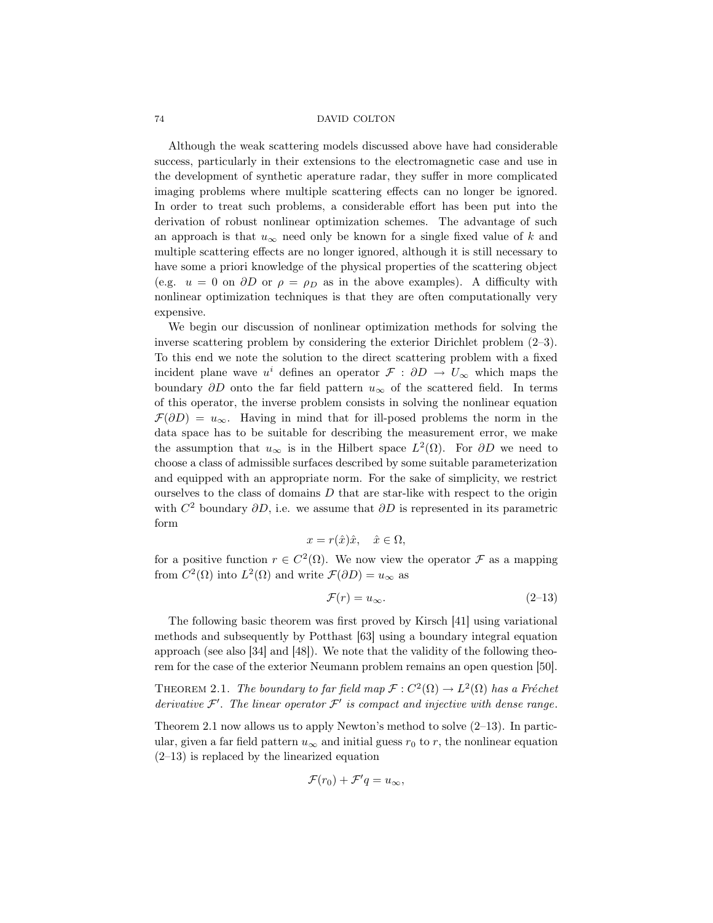Although the weak scattering models discussed above have had considerable success, particularly in their extensions to the electromagnetic case and use in the development of synthetic aperature radar, they suffer in more complicated imaging problems where multiple scattering effects can no longer be ignored. In order to treat such problems, a considerable effort has been put into the derivation of robust nonlinear optimization schemes. The advantage of such an approach is that  $u_{\infty}$  need only be known for a single fixed value of k and multiple scattering effects are no longer ignored, although it is still necessary to have some a priori knowledge of the physical properties of the scattering object (e.g.  $u = 0$  on  $\partial D$  or  $\rho = \rho_D$  as in the above examples). A difficulty with nonlinear optimization techniques is that they are often computationally very expensive.

We begin our discussion of nonlinear optimization methods for solving the inverse scattering problem by considering the exterior Dirichlet problem (2–3). To this end we note the solution to the direct scattering problem with a fixed incident plane wave  $u^i$  defines an operator  $\mathcal{F}$  :  $\partial D \to U_{\infty}$  which maps the boundary  $\partial D$  onto the far field pattern  $u_{\infty}$  of the scattered field. In terms of this operator, the inverse problem consists in solving the nonlinear equation  $\mathcal{F}(\partial D) = u_{\infty}$ . Having in mind that for ill-posed problems the norm in the data space has to be suitable for describing the measurement error, we make the assumption that  $u_{\infty}$  is in the Hilbert space  $L^2(\Omega)$ . For  $\partial D$  we need to choose a class of admissible surfaces described by some suitable parameterization and equipped with an appropriate norm. For the sake of simplicity, we restrict ourselves to the class of domains  $D$  that are star-like with respect to the origin with  $C^2$  boundary  $\partial D$ , i.e. we assume that  $\partial D$  is represented in its parametric form

$$
x = r(\hat{x})\hat{x}, \quad \hat{x} \in \Omega,
$$

for a positive function  $r \in C^2(\Omega)$ . We now view the operator  $\mathcal F$  as a mapping from  $C^2(\Omega)$  into  $L^2(\Omega)$  and write  $\mathcal{F}(\partial D) = u_{\infty}$  as

$$
\mathcal{F}(r) = u_{\infty}.\tag{2-13}
$$

The following basic theorem was first proved by Kirsch [41] using variational methods and subsequently by Potthast [63] using a boundary integral equation approach (see also [34] and [48]). We note that the validity of the following theorem for the case of the exterior Neumann problem remains an open question [50].

THEOREM 2.1. The boundary to far field map  $\mathcal{F}: C^2(\Omega) \to L^2(\Omega)$  has a Fréchet derivative  $\mathcal{F}'$ . The linear operator  $\mathcal{F}'$  is compact and injective with dense range.

Theorem 2.1 now allows us to apply Newton's method to solve (2–13). In particular, given a far field pattern  $u_{\infty}$  and initial guess  $r_0$  to r, the nonlinear equation (2–13) is replaced by the linearized equation

$$
\mathcal{F}(r_0) + \mathcal{F}'q = u_{\infty},
$$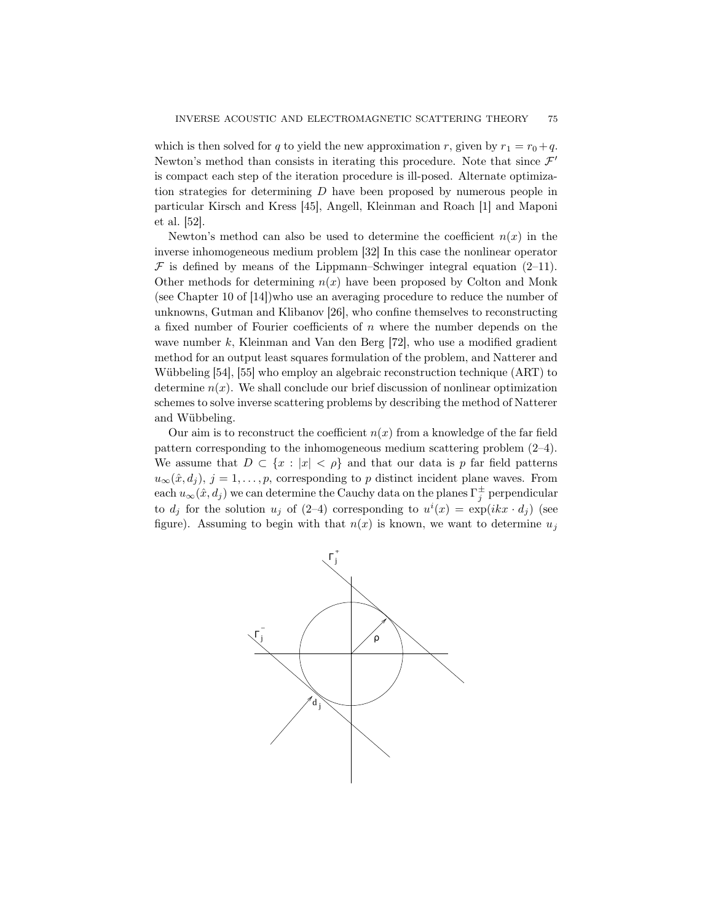which is then solved for q to yield the new approximation r, given by  $r_1 = r_0 + q$ . Newton's method than consists in iterating this procedure. Note that since  $\mathcal{F}'$ is compact each step of the iteration procedure is ill-posed. Alternate optimization strategies for determining D have been proposed by numerous people in particular Kirsch and Kress [45], Angell, Kleinman and Roach [1] and Maponi et al. [52].

Newton's method can also be used to determine the coefficient  $n(x)$  in the inverse inhomogeneous medium problem [32] In this case the nonlinear operator  $\mathcal F$  is defined by means of the Lippmann–Schwinger integral equation (2–11). Other methods for determining  $n(x)$  have been proposed by Colton and Monk (see Chapter 10 of [14])who use an averaging procedure to reduce the number of unknowns, Gutman and Klibanov [26], who confine themselves to reconstructing a fixed number of Fourier coefficients of  $n$  where the number depends on the wave number  $k$ , Kleinman and Van den Berg [72], who use a modified gradient method for an output least squares formulation of the problem, and Natterer and Wübbeling [54], [55] who employ an algebraic reconstruction technique (ART) to determine  $n(x)$ . We shall conclude our brief discussion of nonlinear optimization schemes to solve inverse scattering problems by describing the method of Natterer and Wübbeling.

Our aim is to reconstruct the coefficient  $n(x)$  from a knowledge of the far field pattern corresponding to the inhomogeneous medium scattering problem (2–4). We assume that  $D \subset \{x : |x| < \rho\}$  and that our data is p far field patterns  $u_{\infty}(\hat{x}, d_i)$ ,  $j = 1, \ldots, p$ , corresponding to p distinct incident plane waves. From each  $u_{\infty}(\hat{x}, d_j)$  we can determine the Cauchy data on the planes  $\Gamma_j^{\pm}$  perpendicular to  $d_j$  for the solution  $u_j$  of (2-4) corresponding to  $u^i(x) = \exp(ikx \cdot d_j)$  (see figure). Assuming to begin with that  $n(x)$  is known, we want to determine  $u_j$ 

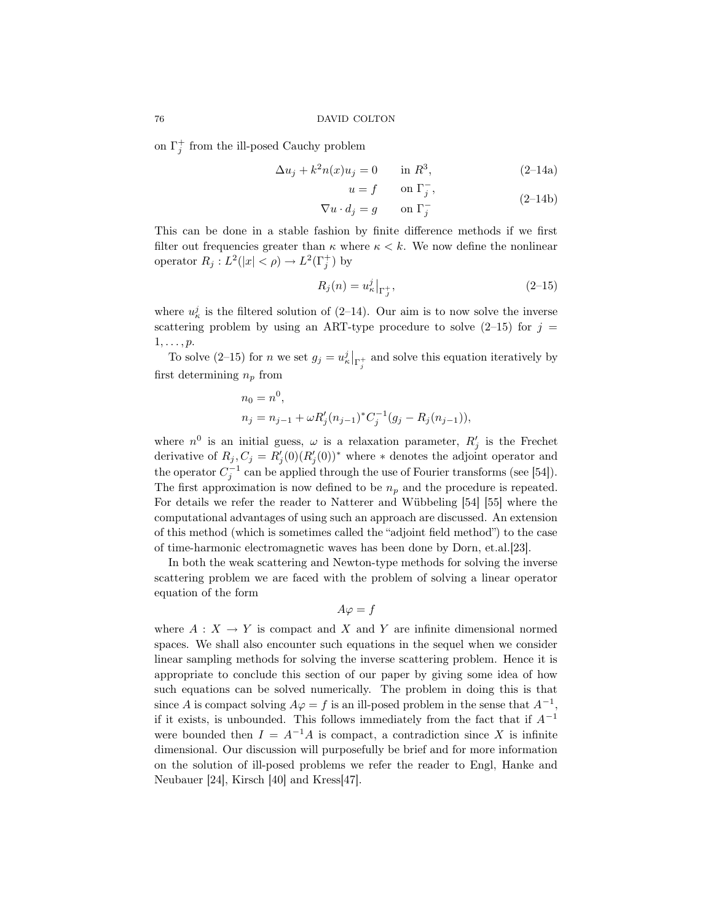on  $\Gamma_j^+$  from the ill-posed Cauchy problem

$$
\Delta u_j + k^2 n(x) u_j = 0 \quad \text{in } R^3,
$$
 (2-14a)

$$
u = f \qquad \text{on } \Gamma_j^-,
$$
  

$$
\nabla u \cdot d_j = g \qquad \text{on } \Gamma_j^- \tag{2-14b}
$$

This can be done in a stable fashion by finite difference methods if we first filter out frequencies greater than  $\kappa$  where  $\kappa < k$ . We now define the nonlinear operator  $R_j: L^2(|x| < \rho) \to L^2(\Gamma_j^+)$  by

$$
R_j(n) = u_\kappa^j\big|_{\Gamma_j^+},\tag{2-15}
$$

where  $u_{\kappa}^{j}$  is the filtered solution of (2-14). Our aim is to now solve the inverse scattering problem by using an ART-type procedure to solve  $(2-15)$  for  $j =$  $1, \ldots, p.$ 

To solve (2–15) for *n* we set  $g_j = u^j_{\kappa} \vert_{\Gamma^+_j}$  and solve this equation iteratively by first determining  $n_p$  from

$$
n_0 = n^0,
$$
  
\n
$$
n_j = n_{j-1} + \omega R'_j (n_{j-1})^* C_j^{-1} (g_j - R_j (n_{j-1})),
$$

where  $n^0$  is an initial guess,  $\omega$  is a relaxation parameter,  $R'_j$  is the Frechet derivative of  $R_j$ ,  $C_j = R'_j(0)(R'_j(0))^*$  where  $*$  denotes the adjoint operator and the operator  $C_j^{-1}$  can be applied through the use of Fourier transforms (see [54]). The first approximation is now defined to be  $n_p$  and the procedure is repeated. For details we refer the reader to Natterer and Wübbeling [54] [55] where the computational advantages of using such an approach are discussed. An extension of this method (which is sometimes called the "adjoint field method") to the case of time-harmonic electromagnetic waves has been done by Dorn, et.al.[23].

In both the weak scattering and Newton-type methods for solving the inverse scattering problem we are faced with the problem of solving a linear operator equation of the form

$$
A\varphi = f
$$

where  $A: X \to Y$  is compact and X and Y are infinite dimensional normed spaces. We shall also encounter such equations in the sequel when we consider linear sampling methods for solving the inverse scattering problem. Hence it is appropriate to conclude this section of our paper by giving some idea of how such equations can be solved numerically. The problem in doing this is that since A is compact solving  $A\varphi = f$  is an ill-posed problem in the sense that  $A^{-1}$ , if it exists, is unbounded. This follows immediately from the fact that if  $A^{-1}$ were bounded then  $I = A^{-1}A$  is compact, a contradiction since X is infinite dimensional. Our discussion will purposefully be brief and for more information on the solution of ill-posed problems we refer the reader to Engl, Hanke and Neubauer [24], Kirsch [40] and Kress[47].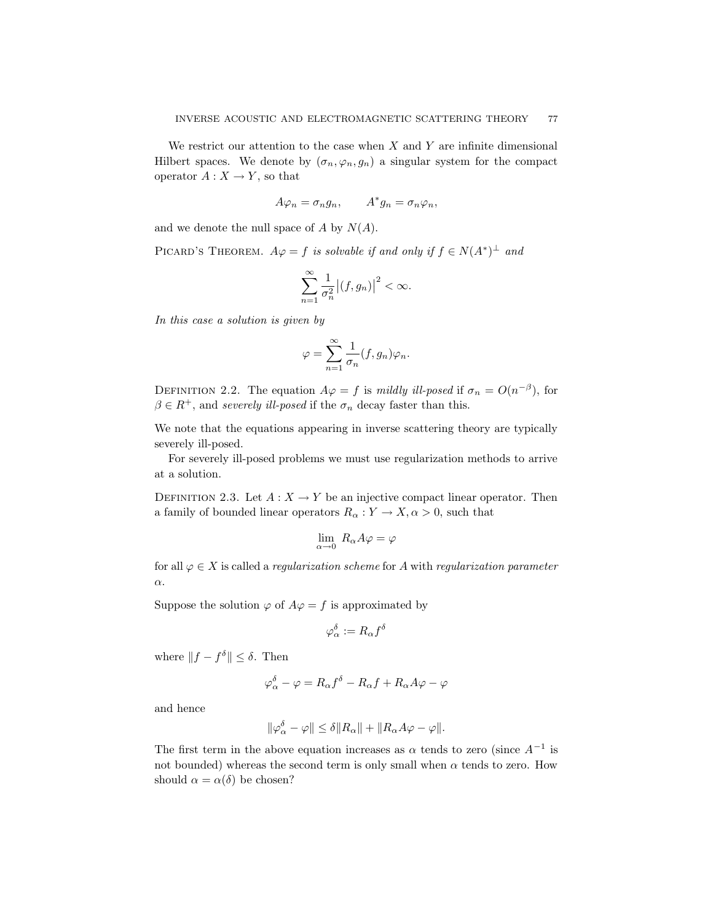We restrict our attention to the case when  $X$  and  $Y$  are infinite dimensional Hilbert spaces. We denote by  $(\sigma_n, \varphi_n, g_n)$  a singular system for the compact operator  $A: X \to Y$ , so that

$$
A\varphi_n = \sigma_n g_n, \qquad A^* g_n = \sigma_n \varphi_n,
$$

and we denote the null space of  $A$  by  $N(A)$ .

PICARD'S THEOREM.  $A\varphi = f$  is solvable if and only if  $f \in N(A^*)^{\perp}$  and

$$
\sum_{n=1}^{\infty} \frac{1}{\sigma_n^2} |(f, g_n)|^2 < \infty.
$$

In this case a solution is given by

$$
\varphi = \sum_{n=1}^{\infty} \frac{1}{\sigma_n} (f, g_n) \varphi_n.
$$

DEFINITION 2.2. The equation  $A\varphi = f$  is mildly ill-posed if  $\sigma_n = O(n^{-\beta})$ , for  $\beta \in R^+$ , and severely ill-posed if the  $\sigma_n$  decay faster than this.

We note that the equations appearing in inverse scattering theory are typically severely ill-posed.

For severely ill-posed problems we must use regularization methods to arrive at a solution.

DEFINITION 2.3. Let  $A: X \to Y$  be an injective compact linear operator. Then a family of bounded linear operators  $R_{\alpha}: Y \to X, \alpha > 0$ , such that

$$
\lim_{\alpha\to 0}~R_\alpha A\varphi=\varphi
$$

for all  $\varphi \in X$  is called a *regularization scheme* for A with *regularization parameter* α.

Suppose the solution  $\varphi$  of  $A\varphi = f$  is approximated by

$$
\varphi_{\alpha}^{\delta}:=R_{\alpha}f^{\delta}
$$

where  $||f - f^{\delta}|| \leq \delta$ . Then

$$
\varphi_{\alpha}^{\delta} - \varphi = R_{\alpha} f^{\delta} - R_{\alpha} f + R_{\alpha} A \varphi - \varphi
$$

and hence

$$
\|\varphi_{\alpha}^{\delta}-\varphi\|\leq \delta \|R_{\alpha}\|+\|R_{\alpha}A\varphi-\varphi\|.
$$

The first term in the above equation increases as  $\alpha$  tends to zero (since  $A^{-1}$  is not bounded) whereas the second term is only small when  $\alpha$  tends to zero. How should  $\alpha = \alpha(\delta)$  be chosen?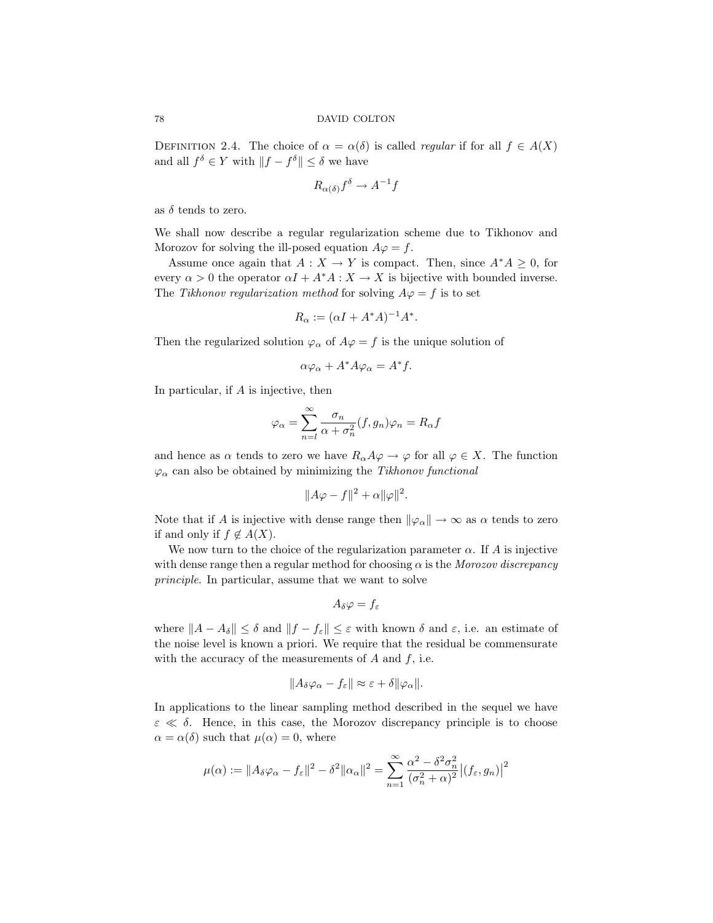DEFINITION 2.4. The choice of  $\alpha = \alpha(\delta)$  is called *regular* if for all  $f \in A(X)$ and all  $f^{\delta} \in Y$  with  $||f - f^{\delta}|| \leq \delta$  we have

$$
R_{\alpha(\delta)}f^{\delta} \to A^{-1}f
$$

as  $\delta$  tends to zero.

We shall now describe a regular regularization scheme due to Tikhonov and Morozov for solving the ill-posed equation  $A\varphi = f$ .

Assume once again that  $A: X \to Y$  is compact. Then, since  $A^*A \geq 0$ , for every  $\alpha > 0$  the operator  $\alpha I + A^*A : X \to X$  is bijective with bounded inverse. The Tikhonov regularization method for solving  $A\varphi = f$  is to set

$$
R_{\alpha} := (\alpha I + A^*A)^{-1}A^*.
$$

Then the regularized solution  $\varphi_{\alpha}$  of  $A\varphi = f$  is the unique solution of

$$
\alpha \varphi_{\alpha} + A^* A \varphi_{\alpha} = A^* f.
$$

In particular, if A is injective, then

$$
\varphi_{\alpha} = \sum_{n=1}^{\infty} \frac{\sigma_n}{\alpha + \sigma_n^2} (f, g_n) \varphi_n = R_{\alpha} f
$$

and hence as  $\alpha$  tends to zero we have  $R_{\alpha}A\varphi \to \varphi$  for all  $\varphi \in X$ . The function  $\varphi_{\alpha}$  can also be obtained by minimizing the Tikhonov functional

$$
||A\varphi - f||^2 + \alpha ||\varphi||^2.
$$

Note that if A is injective with dense range then  $\|\varphi_{\alpha}\| \to \infty$  as  $\alpha$  tends to zero if and only if  $f \notin A(X)$ .

We now turn to the choice of the regularization parameter  $\alpha$ . If A is injective with dense range then a regular method for choosing  $\alpha$  is the Morozov discrepancy principle. In particular, assume that we want to solve

$$
A_\delta \varphi = f_\varepsilon
$$

where  $||A - A_{\delta}|| \leq \delta$  and  $||f - f_{\varepsilon}|| \leq \varepsilon$  with known  $\delta$  and  $\varepsilon$ , i.e. an estimate of the noise level is known a priori. We require that the residual be commensurate with the accuracy of the measurements of  $A$  and  $f$ , i.e.

$$
||A_{\delta}\varphi_{\alpha}-f_{\varepsilon}||\approx \varepsilon+\delta||\varphi_{\alpha}||.
$$

In applications to the linear sampling method described in the sequel we have  $\varepsilon \ll \delta$ . Hence, in this case, the Morozov discrepancy principle is to choose  $\alpha = \alpha(\delta)$  such that  $\mu(\alpha) = 0$ , where

$$
\mu(\alpha):=\|A_\delta \varphi_\alpha-f_\varepsilon\|^2-\delta^2\|\alpha_\alpha\|^2=\sum_{n=1}^\infty\frac{\alpha^2-\delta^2\sigma_n^2}{(\sigma_n^2+\alpha)^2}\big|(f_\varepsilon,g_n)\big|^2
$$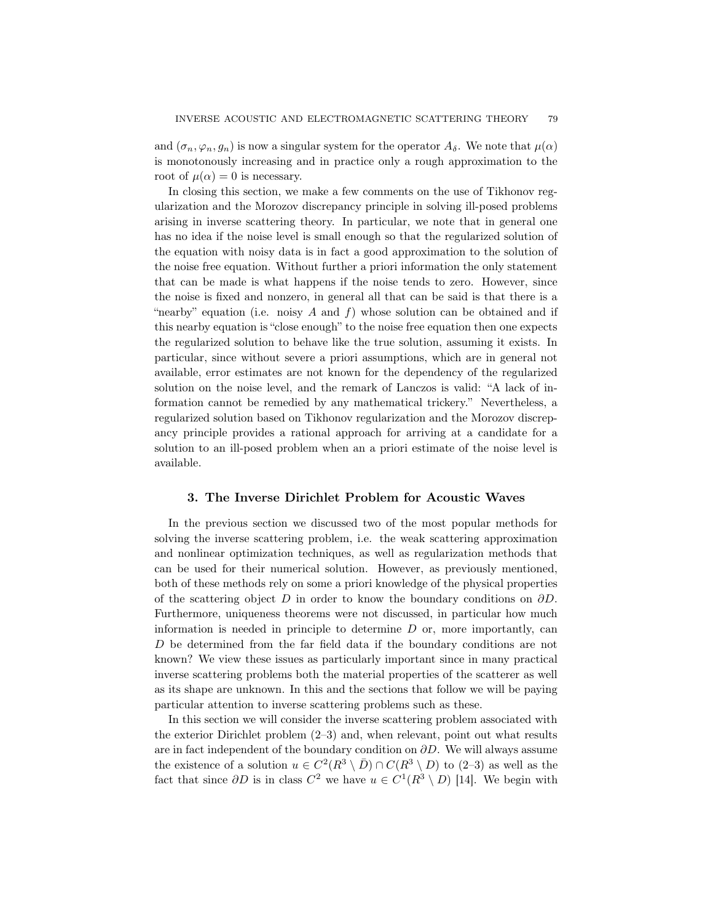and  $(\sigma_n, \varphi_n, g_n)$  is now a singular system for the operator  $A_\delta$ . We note that  $\mu(\alpha)$ is monotonously increasing and in practice only a rough approximation to the root of  $\mu(\alpha) = 0$  is necessary.

In closing this section, we make a few comments on the use of Tikhonov regularization and the Morozov discrepancy principle in solving ill-posed problems arising in inverse scattering theory. In particular, we note that in general one has no idea if the noise level is small enough so that the regularized solution of the equation with noisy data is in fact a good approximation to the solution of the noise free equation. Without further a priori information the only statement that can be made is what happens if the noise tends to zero. However, since the noise is fixed and nonzero, in general all that can be said is that there is a "nearby" equation (i.e. noisy A and f) whose solution can be obtained and if this nearby equation is "close enough" to the noise free equation then one expects the regularized solution to behave like the true solution, assuming it exists. In particular, since without severe a priori assumptions, which are in general not available, error estimates are not known for the dependency of the regularized solution on the noise level, and the remark of Lanczos is valid: "A lack of information cannot be remedied by any mathematical trickery." Nevertheless, a regularized solution based on Tikhonov regularization and the Morozov discrepancy principle provides a rational approach for arriving at a candidate for a solution to an ill-posed problem when an a priori estimate of the noise level is available.

# 3. The Inverse Dirichlet Problem for Acoustic Waves

In the previous section we discussed two of the most popular methods for solving the inverse scattering problem, i.e. the weak scattering approximation and nonlinear optimization techniques, as well as regularization methods that can be used for their numerical solution. However, as previously mentioned, both of these methods rely on some a priori knowledge of the physical properties of the scattering object D in order to know the boundary conditions on  $\partial D$ . Furthermore, uniqueness theorems were not discussed, in particular how much information is needed in principle to determine  $D$  or, more importantly, can D be determined from the far field data if the boundary conditions are not known? We view these issues as particularly important since in many practical inverse scattering problems both the material properties of the scatterer as well as its shape are unknown. In this and the sections that follow we will be paying particular attention to inverse scattering problems such as these.

In this section we will consider the inverse scattering problem associated with the exterior Dirichlet problem (2–3) and, when relevant, point out what results are in fact independent of the boundary condition on  $\partial D$ . We will always assume the existence of a solution  $u \in C^2(R^3 \setminus \overline{D}) \cap C(R^3 \setminus D)$  to  $(2-3)$  as well as the fact that since  $\partial D$  is in class  $C^2$  we have  $u \in C^1(R^3 \setminus D)$  [14]. We begin with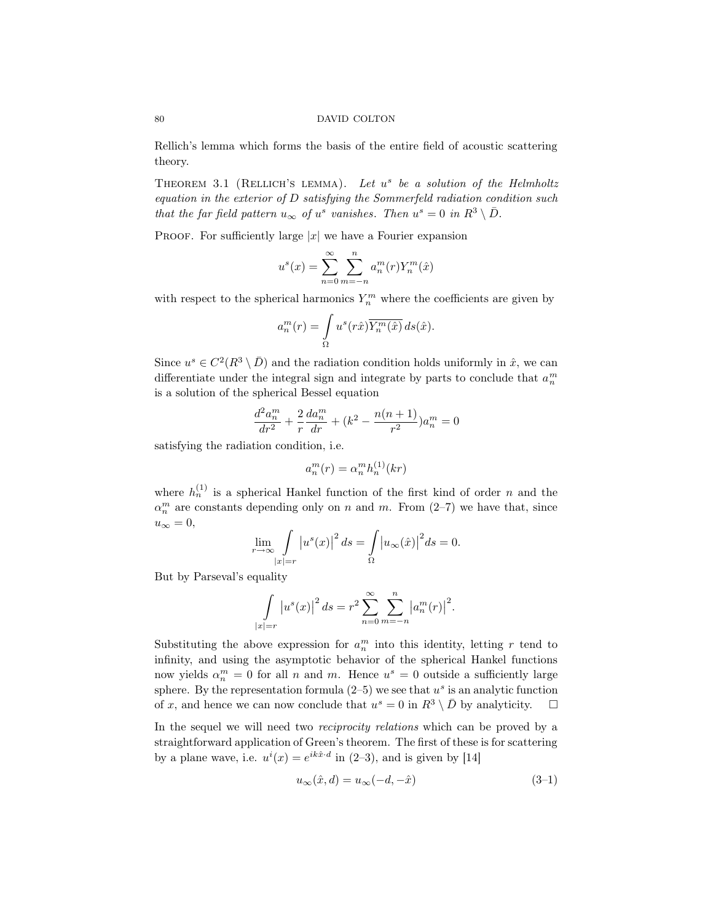Rellich's lemma which forms the basis of the entire field of acoustic scattering theory.

THEOREM 3.1 (RELLICH'S LEMMA). Let  $u^s$  be a solution of the Helmholtz equation in the exterior of D satisfying the Sommerfeld radiation condition such that the far field pattern  $u_{\infty}$  of  $u^{s}$  vanishes. Then  $u^{s} = 0$  in  $R^{3} \setminus \bar{D}$ .

PROOF. For sufficiently large  $|x|$  we have a Fourier expansion

$$
u^{s}(x) = \sum_{n=0}^{\infty} \sum_{m=-n}^{n} a_{n}^{m}(r) Y_{n}^{m}(\hat{x})
$$

with respect to the spherical harmonics  $Y_n^m$  where the coefficients are given by

$$
a_n^m(r) = \int\limits_{\Omega} u^s(r\hat{x}) \overline{Y_n^m(\hat{x})} \, ds(\hat{x}).
$$

Since  $u^s \in C^2(R^3 \setminus \overline{D})$  and the radiation condition holds uniformly in  $\hat{x}$ , we can differentiate under the integral sign and integrate by parts to conclude that  $a_n^m$ is a solution of the spherical Bessel equation

$$
\frac{d^2a_n^m}{dr^2} + \frac{2}{r}\frac{da_n^m}{dr} + (k^2 - \frac{n(n+1)}{r^2})a_n^m = 0
$$

satisfying the radiation condition, i.e.

$$
a_n^m(r) = \alpha_n^m h_n^{(1)}(kr)
$$

where  $h_n^{(1)}$  is a spherical Hankel function of the first kind of order n and the  $\alpha_n^m$  are constants depending only on n and m. From  $(2-7)$  we have that, since  $u_{\infty}=0,$ 

$$
\lim_{r \to \infty} \int_{|x|=r} |u^s(x)|^2 ds = \int_{\Omega} |u_{\infty}(\hat{x})|^2 ds = 0.
$$

But by Parseval's equality

$$
\int_{|x|=r} |u^{s}(x)|^{2} ds = r^{2} \sum_{n=0}^{\infty} \sum_{m=-n}^{n} |a_{n}^{m}(r)|^{2}.
$$

Substituting the above expression for  $a_n^m$  into this identity, letting r tend to infinity, and using the asymptotic behavior of the spherical Hankel functions now yields  $\alpha_n^m = 0$  for all n and m. Hence  $u^s = 0$  outside a sufficiently large sphere. By the representation formula  $(2-5)$  we see that  $u<sup>s</sup>$  is an analytic function of x, and hence we can now conclude that  $u^s = 0$  in  $R^3 \setminus \overline{D}$  by analyticity.  $\Box$ 

In the sequel we will need two *reciprocity relations* which can be proved by a straightforward application of Green's theorem. The first of these is for scattering by a plane wave, i.e.  $u^{i}(x) = e^{ik\hat{x}\cdot d}$  in (2-3), and is given by [14]

$$
u_{\infty}(\hat{x}, d) = u_{\infty}(-d, -\hat{x})
$$
\n(3-1)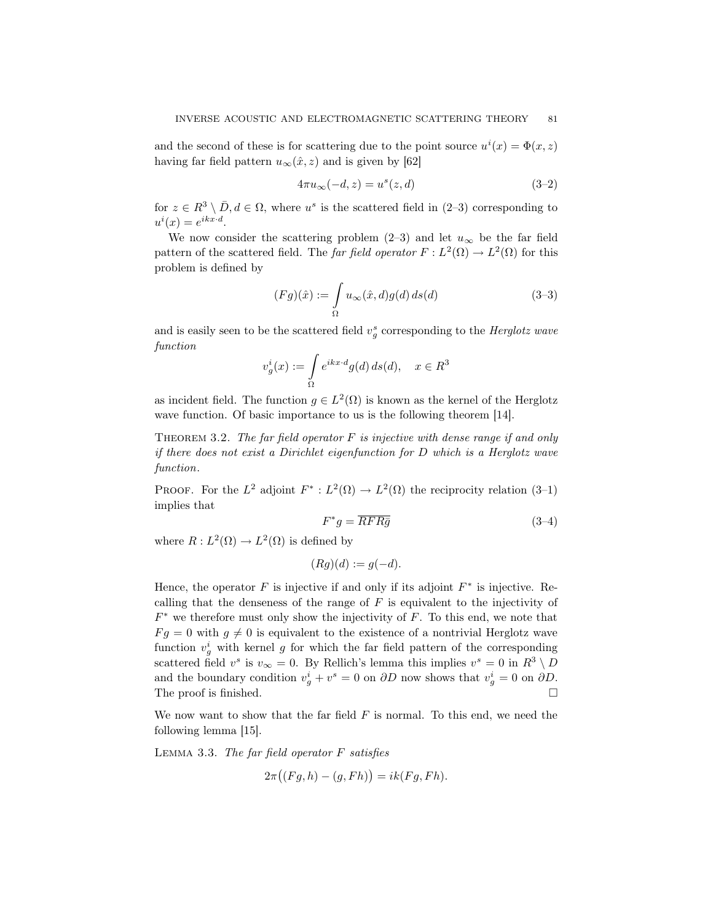and the second of these is for scattering due to the point source  $u^{i}(x) = \Phi(x, z)$ having far field pattern  $u_{\infty}(\hat{x}, z)$  and is given by [62]

$$
4\pi u_{\infty}(-d,z) = u^s(z,d)
$$
\n(3-2)

for  $z \in R^3 \setminus \overline{D}$ ,  $d \in \Omega$ , where  $u^s$  is the scattered field in (2–3) corresponding to  $u^i(x) = e^{ikx \cdot d}.$ 

We now consider the scattering problem (2–3) and let  $u_{\infty}$  be the far field pattern of the scattered field. The *far field operator*  $F: L^2(\Omega) \to L^2(\Omega)$  for this problem is defined by

$$
(Fg)(\hat{x}) := \int_{\Omega} u_{\infty}(\hat{x}, d)g(d) ds(d)
$$
\n(3-3)

and is easily seen to be the scattered field  $v_g^s$  corresponding to the *Herglotz wave* function

$$
v_g^i(x) := \int_{\Omega} e^{ikx \cdot d} g(d) \, ds(d), \quad x \in R^3
$$

as incident field. The function  $g \in L^2(\Omega)$  is known as the kernel of the Herglotz wave function. Of basic importance to us is the following theorem [14].

THEOREM 3.2. The far field operator  $F$  is injective with dense range if and only if there does not exist a Dirichlet eigenfunction for D which is a Herglotz wave function.

PROOF. For the  $L^2$  adjoint  $F^*: L^2(\Omega) \to L^2(\Omega)$  the reciprocity relation (3-1) implies that

$$
F^*g = \overline{RFRg} \tag{3-4}
$$

where  $R: L^2(\Omega) \to L^2(\Omega)$  is defined by

$$
(Rg)(d) := g(-d).
$$

Hence, the operator  $F$  is injective if and only if its adjoint  $F^*$  is injective. Recalling that the denseness of the range of  $F$  is equivalent to the injectivity of  $F^*$  we therefore must only show the injectivity of  $F$ . To this end, we note that  $Fg = 0$  with  $g \neq 0$  is equivalent to the existence of a nontrivial Herglotz wave function  $v_g^i$  with kernel g for which the far field pattern of the corresponding scattered field  $v^s$  is  $v_\infty = 0$ . By Rellich's lemma this implies  $v^s = 0$  in  $R^3 \setminus D$ and the boundary condition  $v_g^i + v^s = 0$  on  $\partial D$  now shows that  $v_g^i = 0$  on  $\partial D$ . The proof is finished.  $\Box$ 

We now want to show that the far field  $F$  is normal. To this end, we need the following lemma [15].

LEMMA 3.3. The far field operator  $F$  satisfies

$$
2\pi((Fg,h)-(g,Fh))=ik(Fg,Fh).
$$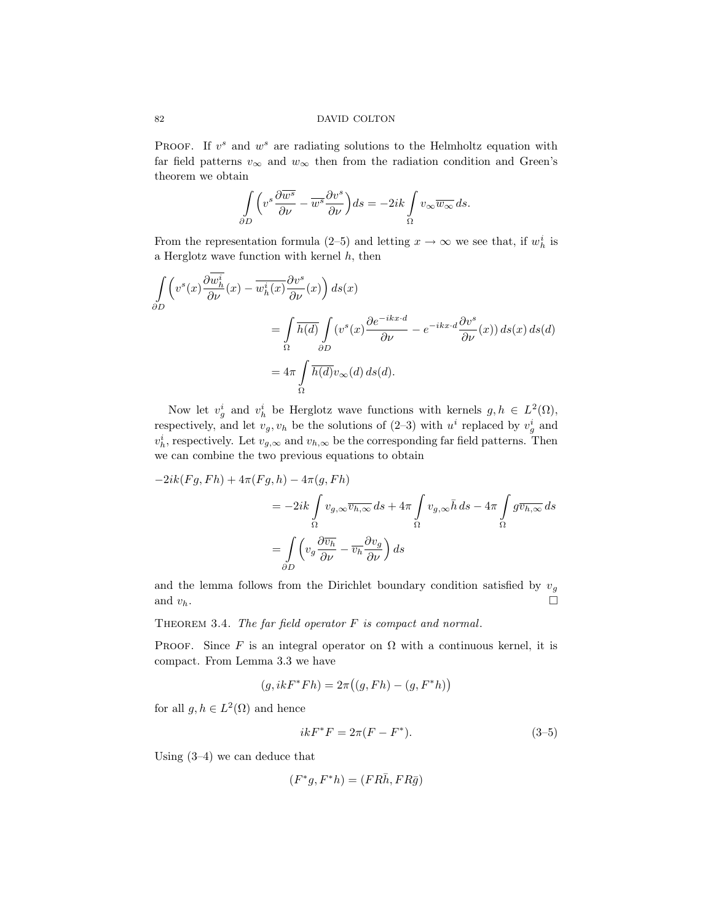PROOF. If  $v^s$  and  $w^s$  are radiating solutions to the Helmholtz equation with far field patterns  $v_{\infty}$  and  $w_{\infty}$  then from the radiation condition and Green's theorem we obtain

$$
\int_{\partial D} \left( v^s \frac{\partial \overline{w^s}}{\partial \nu} - \overline{w^s} \frac{\partial v^s}{\partial \nu} \right) ds = -2ik \int_{\Omega} v_{\infty} \overline{w_{\infty}} ds.
$$

From the representation formula (2–5) and letting  $x \to \infty$  we see that, if  $w_h^i$  is a Herglotz wave function with kernel  $h$ , then

$$
\int_{\partial D} \left( v^s(x) \frac{\partial \overline{w_h^i}}{\partial \nu}(x) - \overline{w_h^i(x)} \frac{\partial v^s}{\partial \nu}(x) \right) ds(x)
$$
\n
$$
= \int_{\Omega} \overline{h(d)} \int_{\partial D} (v^s(x) \frac{\partial e^{-ikx \cdot d}}{\partial \nu} - e^{-ikx \cdot d} \frac{\partial v^s}{\partial \nu}(x)) ds(x) ds(d)
$$
\n
$$
= 4\pi \int_{\Omega} \overline{h(d)} v_{\infty}(d) ds(d).
$$

Now let  $v_g^i$  and  $v_h^i$  be Herglotz wave functions with kernels  $g, h \in L^2(\Omega)$ , respectively, and let  $v_g, v_h$  be the solutions of (2–3) with  $u^i$  replaced by  $v_g^i$  and  $v_h^i$ , respectively. Let  $v_{g,\infty}$  and  $v_{h,\infty}$  be the corresponding far field patterns. Then we can combine the two previous equations to obtain

$$
-2ik(Fg, Fh) + 4\pi(Fg, h) - 4\pi(g, Fh)
$$
  
=  $-2ik \int_{\Omega} v_{g,\infty} \overline{v_{h,\infty}} ds + 4\pi \int_{\Omega} v_{g,\infty} \overline{h} ds - 4\pi \int_{\Omega} g \overline{v_{h,\infty}} ds$   
=  $\int_{\partial D} \left( v_g \frac{\partial \overline{v_h}}{\partial \nu} - \overline{v_h} \frac{\partial v_g}{\partial \nu} \right) ds$ 

and the lemma follows from the Dirichlet boundary condition satisfied by  $v<sub>g</sub>$ and  $v_h$ .

THEOREM 3.4. The far field operator  $F$  is compact and normal.

PROOF. Since F is an integral operator on  $\Omega$  with a continuous kernel, it is compact. From Lemma 3.3 we have

$$
\big(g, ikF^*Fh\big) = 2\pi\big( (g,Fh) - (g,F^*h)\big)
$$

for all  $g, h \in L^2(\Omega)$  and hence

$$
ikF^*F = 2\pi (F - F^*).
$$
 (3-5)

Using (3–4) we can deduce that

$$
(F^*g, F^*h) = (FR\bar{h}, FR\bar{g})
$$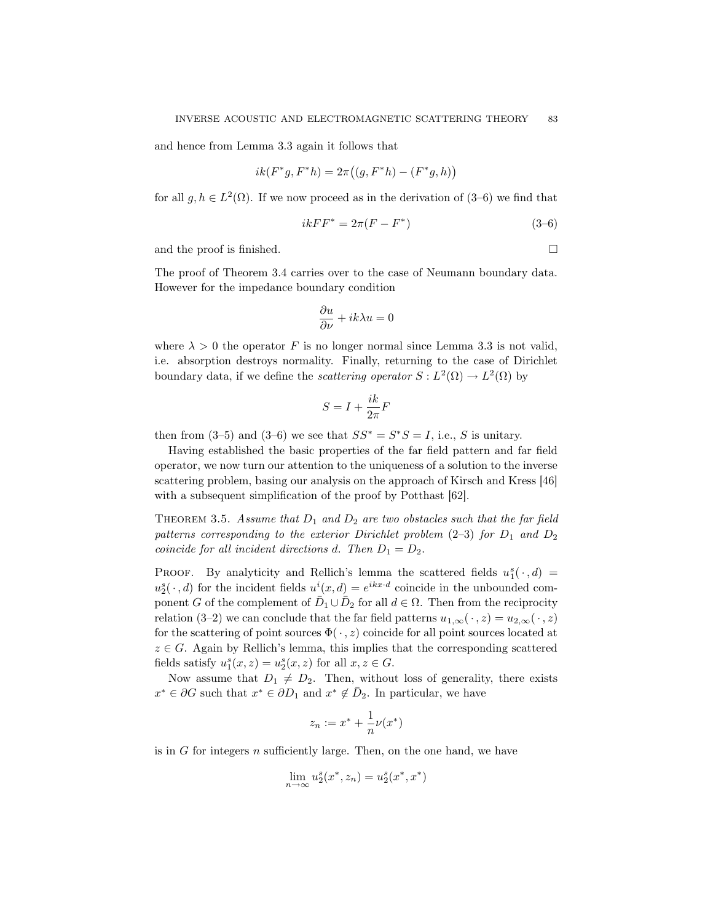and hence from Lemma 3.3 again it follows that

$$
ik(F^*g,F^*h)=2\pi\bigl((g,F^*h)-(F^*g,h)\bigr)
$$

for all  $g, h \in L^2(\Omega)$ . If we now proceed as in the derivation of (3–6) we find that

$$
ikFF^* = 2\pi (F - F^*)
$$
 (3-6)

and the proof is finished.  $\hfill \square$ 

The proof of Theorem 3.4 carries over to the case of Neumann boundary data. However for the impedance boundary condition

$$
\frac{\partial u}{\partial \nu} + ik\lambda u = 0
$$

where  $\lambda > 0$  the operator F is no longer normal since Lemma 3.3 is not valid, i.e. absorption destroys normality. Finally, returning to the case of Dirichlet boundary data, if we define the *scattering operator*  $S: L^2(\Omega) \to L^2(\Omega)$  by

$$
S = I + \frac{ik}{2\pi}F
$$

then from (3–5) and (3–6) we see that  $SS^* = S^*S = I$ , i.e., S is unitary.

Having established the basic properties of the far field pattern and far field operator, we now turn our attention to the uniqueness of a solution to the inverse scattering problem, basing our analysis on the approach of Kirsch and Kress [46] with a subsequent simplification of the proof by Potthast [62].

THEOREM 3.5. Assume that  $D_1$  and  $D_2$  are two obstacles such that the far field patterns corresponding to the exterior Dirichlet problem  $(2-3)$  for  $D_1$  and  $D_2$ coincide for all incident directions d. Then  $D_1 = D_2$ .

PROOF. By analyticity and Rellich's lemma the scattered fields  $u_1^s(\cdot, d) =$  $u_2^s(\cdot, d)$  for the incident fields  $u^i(x, d) = e^{ikx \cdot d}$  coincide in the unbounded component G of the complement of  $\bar{D}_1 \cup \bar{D}_2$  for all  $d \in \Omega$ . Then from the reciprocity relation (3–2) we can conclude that the far field patterns  $u_{1,\infty}(\cdot,z) = u_{2,\infty}(\cdot,z)$ for the scattering of point sources  $\Phi(\cdot, z)$  coincide for all point sources located at  $z \in G$ . Again by Rellich's lemma, this implies that the corresponding scattered fields satisfy  $u_1^s(x, z) = u_2^s(x, z)$  for all  $x, z \in G$ .

Now assume that  $D_1 \neq D_2$ . Then, without loss of generality, there exists  $x^* \in \partial G$  such that  $x^* \in \partial D_1$  and  $x^* \notin \overline{D}_2$ . In particular, we have

$$
z_n := x^* + \frac{1}{n}\nu(x^*)
$$

is in  $G$  for integers  $n$  sufficiently large. Then, on the one hand, we have

$$
\lim_{n \to \infty} u_2^s(x^*, z_n) = u_2^s(x^*, x^*)
$$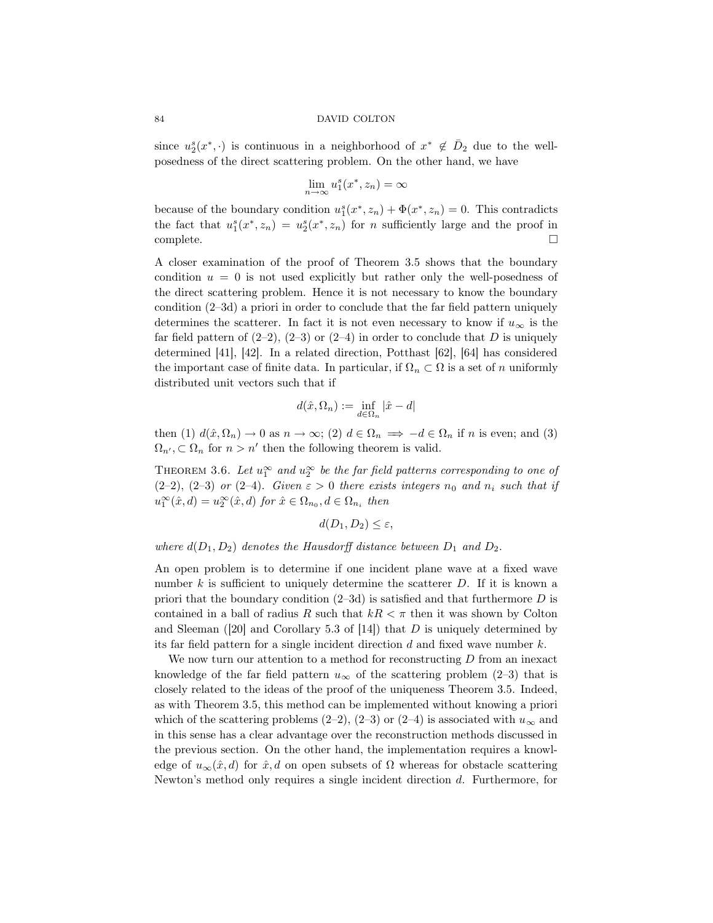since  $u_2^s(x^*,\cdot)$  is continuous in a neighborhood of  $x^* \notin \overline{D}_2$  due to the wellposedness of the direct scattering problem. On the other hand, we have

$$
\lim_{n \to \infty} u_1^s(x^*, z_n) = \infty
$$

because of the boundary condition  $u_1^s(x^*, z_n) + \Phi(x^*, z_n) = 0$ . This contradicts the fact that  $u_1^s(x^*, z_n) = u_2^s(x^*, z_n)$  for n sufficiently large and the proof in  $\Box$  complete.  $\Box$ 

A closer examination of the proof of Theorem 3.5 shows that the boundary condition  $u = 0$  is not used explicitly but rather only the well-posedness of the direct scattering problem. Hence it is not necessary to know the boundary condition (2–3d) a priori in order to conclude that the far field pattern uniquely determines the scatterer. In fact it is not even necessary to know if  $u_{\infty}$  is the far field pattern of  $(2-2)$ ,  $(2-3)$  or  $(2-4)$  in order to conclude that D is uniquely determined [41], [42]. In a related direction, Potthast [62], [64] has considered the important case of finite data. In particular, if  $\Omega_n \subset \Omega$  is a set of n uniformly distributed unit vectors such that if

$$
d(\hat{x}, \Omega_n) := \inf_{d \in \Omega_n} |\hat{x} - d|
$$

then (1)  $d(\hat{x}, \Omega_n) \to 0$  as  $n \to \infty$ ; (2)  $d \in \Omega_n \implies -d \in \Omega_n$  if n is even; and (3)  $\Omega_{n'}$ ,  $\subset \Omega_n$  for  $n > n'$  then the following theorem is valid.

THEOREM 3.6. Let  $u_1^{\infty}$  and  $u_2^{\infty}$  be the far field patterns corresponding to one of (2–2), (2–3) or (2–4). Given  $\varepsilon > 0$  there exists integers  $n_0$  and  $n_i$  such that if  $u_1^{\infty}(\hat{x}, d) = u_2^{\infty}(\hat{x}, d)$  for  $\hat{x} \in \Omega_{n_0}, d \in \Omega_{n_i}$  then

$$
d(D_1, D_2) \le \varepsilon
$$

where  $d(D_1, D_2)$  denotes the Hausdorff distance between  $D_1$  and  $D_2$ .

An open problem is to determine if one incident plane wave at a fixed wave number  $k$  is sufficient to uniquely determine the scatterer  $D$ . If it is known a priori that the boundary condition  $(2-3d)$  is satisfied and that furthermore D is contained in a ball of radius R such that  $kR < \pi$  then it was shown by Colton and Sleeman  $(20]$  and Corollary 5.3 of  $[14]$ ) that D is uniquely determined by its far field pattern for a single incident direction  $d$  and fixed wave number  $k$ .

We now turn our attention to a method for reconstructing  $D$  from an inexact knowledge of the far field pattern  $u_{\infty}$  of the scattering problem (2–3) that is closely related to the ideas of the proof of the uniqueness Theorem 3.5. Indeed, as with Theorem 3.5, this method can be implemented without knowing a priori which of the scattering problems (2–2), (2–3) or (2–4) is associated with  $u_{\infty}$  and in this sense has a clear advantage over the reconstruction methods discussed in the previous section. On the other hand, the implementation requires a knowledge of  $u_{\infty}(\hat{x}, d)$  for  $\hat{x}, d$  on open subsets of  $\Omega$  whereas for obstacle scattering Newton's method only requires a single incident direction d. Furthermore, for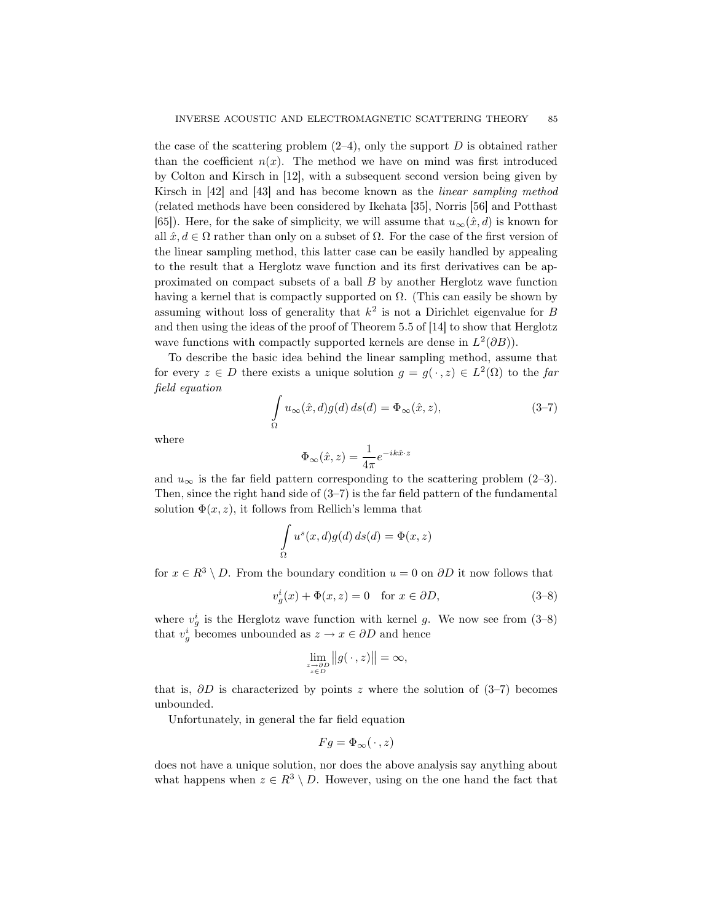the case of the scattering problem  $(2-4)$ , only the support D is obtained rather than the coefficient  $n(x)$ . The method we have on mind was first introduced by Colton and Kirsch in [12], with a subsequent second version being given by Kirsch in [42] and [43] and has become known as the *linear sampling method* (related methods have been considered by Ikehata [35], Norris [56] and Potthast [65]). Here, for the sake of simplicity, we will assume that  $u_{\infty}(\hat{x}, d)$  is known for all  $\hat{x}, d \in \Omega$  rather than only on a subset of  $\Omega$ . For the case of the first version of the linear sampling method, this latter case can be easily handled by appealing to the result that a Herglotz wave function and its first derivatives can be approximated on compact subsets of a ball B by another Herglotz wave function having a kernel that is compactly supported on  $\Omega$ . (This can easily be shown by assuming without loss of generality that  $k^2$  is not a Dirichlet eigenvalue for B and then using the ideas of the proof of Theorem 5.5 of [14] to show that Herglotz wave functions with compactly supported kernels are dense in  $L^2(\partial B)$ .

To describe the basic idea behind the linear sampling method, assume that for every  $z \in D$  there exists a unique solution  $g = g(\cdot, z) \in L^2(\Omega)$  to the far field equation

$$
\int_{\Omega} u_{\infty}(\hat{x}, d)g(d) ds(d) = \Phi_{\infty}(\hat{x}, z),
$$
\n(3-7)

where

$$
\Phi_{\infty}(\hat{x}, z) = \frac{1}{4\pi} e^{-ik\hat{x}\cdot z}
$$

and  $u_{\infty}$  is the far field pattern corresponding to the scattering problem (2–3). Then, since the right hand side of (3–7) is the far field pattern of the fundamental solution  $\Phi(x, z)$ , it follows from Rellich's lemma that

$$
\int_{\Omega} u^s(x, d)g(d) ds(d) = \Phi(x, z)
$$

for  $x \in R^3 \setminus D$ . From the boundary condition  $u = 0$  on  $\partial D$  it now follows that

$$
v_g^i(x) + \Phi(x, z) = 0 \quad \text{for } x \in \partial D,
$$
 (3–8)

where  $v_g^i$  is the Herglotz wave function with kernel g. We now see from (3-8) that  $v_g^i$  becomes unbounded as  $z \to x \in \partial D$  and hence

$$
\lim_{\substack{z \to \partial D \\ z \in D}} \|g(\cdot, z)\| = \infty,
$$

that is,  $\partial D$  is characterized by points z where the solution of (3–7) becomes unbounded.

Unfortunately, in general the far field equation

$$
Fg = \Phi_{\infty}(\,\cdot\,,z)
$$

does not have a unique solution, nor does the above analysis say anything about what happens when  $z \in \mathbb{R}^3 \setminus D$ . However, using on the one hand the fact that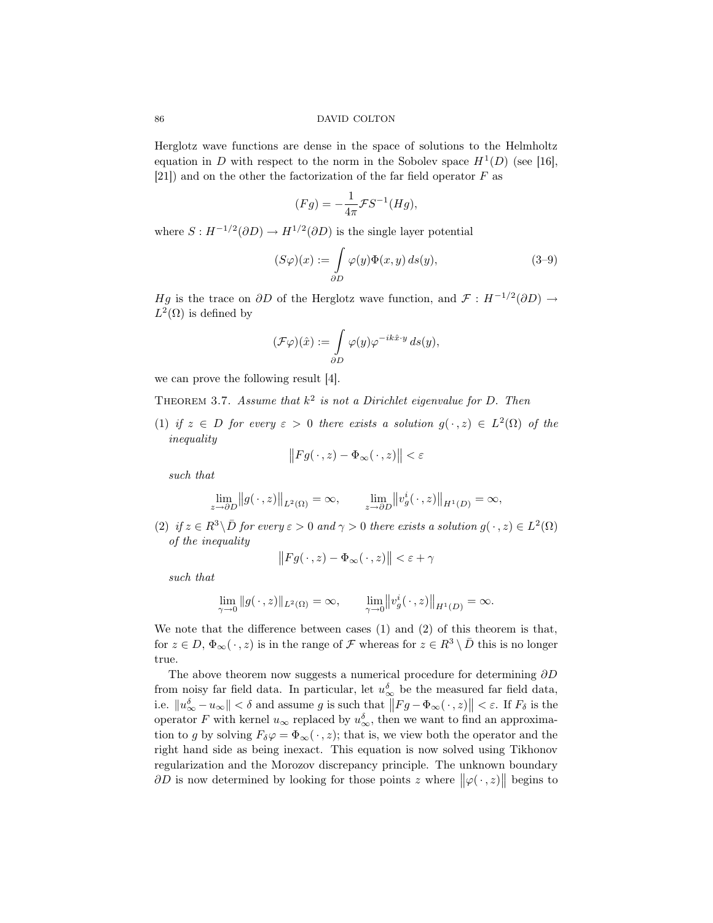Herglotz wave functions are dense in the space of solutions to the Helmholtz equation in D with respect to the norm in the Sobolev space  $H^1(D)$  (see [16],  $[21]$  and on the other the factorization of the far field operator F as

$$
(Fg) = -\frac{1}{4\pi} \mathcal{F} S^{-1}(Hg),
$$

where  $S: H^{-1/2}(\partial D) \to H^{1/2}(\partial D)$  is the single layer potential

$$
(S\varphi)(x) := \int_{\partial D} \varphi(y)\Phi(x, y) \, ds(y),\tag{3-9}
$$

 $Hg$  is the trace on  $\partial D$  of the Herglotz wave function, and  $\mathcal{F}: H^{-1/2}(\partial D) \to$  $L^2(\Omega)$  is defined by

$$
(\mathcal{F}\varphi)(\hat{x}) := \int_{\partial D} \varphi(y) \varphi^{-ik\hat{x}\cdot y} ds(y),
$$

we can prove the following result [4].

THEOREM 3.7. Assume that  $k^2$  is not a Dirichlet eigenvalue for D. Then

(1) if  $z \in D$  for every  $\varepsilon > 0$  there exists a solution  $g(\cdot, z) \in L^2(\Omega)$  of the inequality

$$
\|Fg(\,\cdot\,,z)-\Phi_\infty(\,\cdot\,,z)\|<\varepsilon
$$

such that

$$
\lim_{z \to \partial D} ||g(\,\cdot\,,z)||_{L^2(\Omega)} = \infty, \qquad \lim_{z \to \partial D} ||v_g^i(\,\cdot\,,z)||_{H^1(D)} = \infty,
$$

(2) if  $z \in R^3 \setminus \overline{D}$  for every  $\varepsilon > 0$  and  $\gamma > 0$  there exists a solution  $g(\cdot, z) \in L^2(\Omega)$ of the inequality

$$
\|Fg(\,\cdot\,,z)-\Phi_\infty(\,\cdot\,,z)\|<\varepsilon+\gamma
$$

such that

$$
\lim_{\gamma \to 0} \|g(\,\cdot\,,z)\|_{L^2(\Omega)} = \infty, \qquad \lim_{\gamma \to 0} \|v_g^i(\,\cdot\,,z)\|_{H^1(D)} = \infty.
$$

We note that the difference between cases (1) and (2) of this theorem is that, for  $z \in D$ ,  $\Phi_{\infty}(\cdot, z)$  is in the range of F whereas for  $z \in R^3 \setminus \overline{D}$  this is no longer true.

The above theorem now suggests a numerical procedure for determining  $\partial D$ from noisy far field data. In particular, let  $u_{\infty}^{\delta}$  be the measured far field data, i.e.  $||u_{\infty}^{\delta} - u_{\infty}|| < \delta$  and assume g is such that  $||Fg - \Phi_{\infty}(\cdot, z)|| < \varepsilon$ . If  $F_{\delta}$  is the operator F with kernel  $u_{\infty}$  replaced by  $u_{\infty}^{\delta}$ , then we want to find an approximation to g by solving  $F_\delta \varphi = \Phi_\infty(\cdot, z)$ ; that is, we view both the operator and the right hand side as being inexact. This equation is now solved using Tikhonov regularization and the Morozov discrepancy principle. The unknown boundary  $\partial D$  is now determined by looking for those points z where  $\|\varphi(\cdot,z)\|$  begins to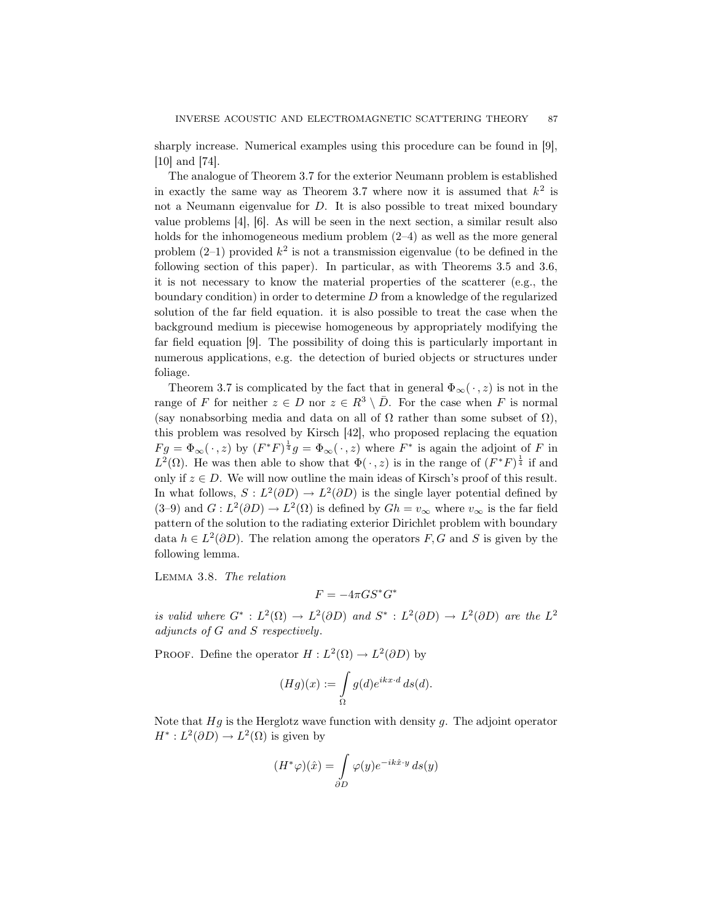sharply increase. Numerical examples using this procedure can be found in [9], [10] and [74].

The analogue of Theorem 3.7 for the exterior Neumann problem is established in exactly the same way as Theorem 3.7 where now it is assumed that  $k^2$  is not a Neumann eigenvalue for D. It is also possible to treat mixed boundary value problems [4], [6]. As will be seen in the next section, a similar result also holds for the inhomogeneous medium problem  $(2-4)$  as well as the more general problem  $(2-1)$  provided  $k^2$  is not a transmission eigenvalue (to be defined in the following section of this paper). In particular, as with Theorems 3.5 and 3.6, it is not necessary to know the material properties of the scatterer (e.g., the boundary condition) in order to determine  $D$  from a knowledge of the regularized solution of the far field equation. it is also possible to treat the case when the background medium is piecewise homogeneous by appropriately modifying the far field equation [9]. The possibility of doing this is particularly important in numerous applications, e.g. the detection of buried objects or structures under foliage.

Theorem 3.7 is complicated by the fact that in general  $\Phi_{\infty}(\cdot, z)$  is not in the range of F for neither  $z \in D$  nor  $z \in R^3 \setminus \overline{D}$ . For the case when F is normal (say nonabsorbing media and data on all of  $\Omega$  rather than some subset of  $\Omega$ ), this problem was resolved by Kirsch [42], who proposed replacing the equation  $F_g = \Phi_\infty(\cdot, z)$  by  $(F^*F)^{\frac{1}{4}}g = \Phi_\infty(\cdot, z)$  where  $F^*$  is again the adjoint of F in  $L^2(\Omega)$ . He was then able to show that  $\Phi(\cdot, z)$  is in the range of  $(F^*F)^{\frac{1}{4}}$  if and only if  $z \in D$ . We will now outline the main ideas of Kirsch's proof of this result. In what follows,  $S: L^2(\partial D) \to L^2(\partial D)$  is the single layer potential defined by (3–9) and  $G: L^2(\partial D) \to L^2(\Omega)$  is defined by  $Gh = v_{\infty}$  where  $v_{\infty}$  is the far field pattern of the solution to the radiating exterior Dirichlet problem with boundary data  $h \in L^2(\partial D)$ . The relation among the operators  $F, G$  and S is given by the following lemma.

Lemma 3.8. The relation

$$
F = -4\pi GS^*G^*
$$

is valid where  $G^* : L^2(\Omega) \to L^2(\partial D)$  and  $S^* : L^2(\partial D) \to L^2(\partial D)$  are the  $L^2$ adjuncts of G and S respectively.

PROOF. Define the operator  $H: L^2(\Omega) \to L^2(\partial D)$  by

$$
(Hg)(x) := \int_{\Omega} g(d)e^{ikx \cdot d} ds(d).
$$

Note that  $Hg$  is the Herglotz wave function with density g. The adjoint operator  $H^*: L^2(\partial D) \to L^2(\Omega)$  is given by

$$
(H^*\varphi)(\hat{x}) = \int_{\partial D} \varphi(y)e^{-ik\hat{x}\cdot y} ds(y)
$$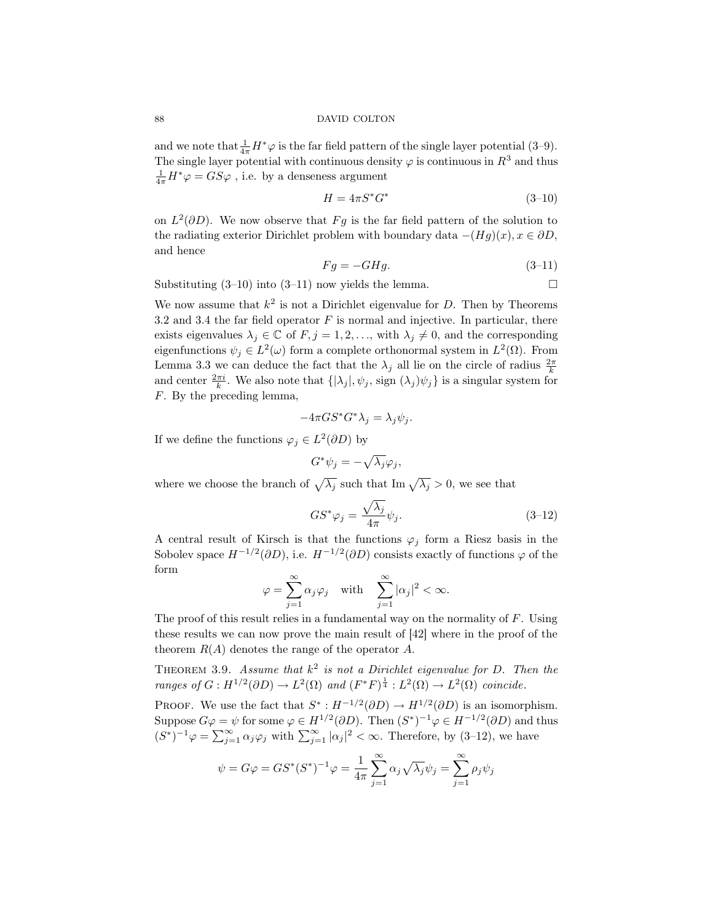and we note that  $\frac{1}{4\pi}H^*\varphi$  is the far field pattern of the single layer potential (3–9). The single layer potential with continuous density  $\varphi$  is continuous in  $R^3$  and thus  $\frac{1}{4\pi}H^*\varphi = G S \varphi$  , i.e. by a denseness argument

$$
H = 4\pi S^* G^* \tag{3-10}
$$

on  $L^2(\partial D)$ . We now observe that  $Fg$  is the far field pattern of the solution to the radiating exterior Dirichlet problem with boundary data  $-(Hg)(x), x \in \partial D$ , and hence

$$
Fg = -GHg.\tag{3-11}
$$

Substituting  $(3-10)$  into  $(3-11)$  now yields the lemma.

We now assume that  $k^2$  is not a Dirichlet eigenvalue for D. Then by Theorems 3.2 and 3.4 the far field operator  $F$  is normal and injective. In particular, there exists eigenvalues  $\lambda_j \in \mathbb{C}$  of  $F, j = 1, 2, \ldots$ , with  $\lambda_j \neq 0$ , and the corresponding eigenfunctions  $\psi_j \in L^2(\omega)$  form a complete orthonormal system in  $L^2(\Omega)$ . From Lemma 3.3 we can deduce the fact that the  $\lambda_j$  all lie on the circle of radius  $\frac{2\pi}{k}$ and center  $\frac{2\pi i}{k}$ . We also note that  $\{|\lambda_j|, \psi_j, \text{sign}(\lambda_j)\psi_j\}$  is a singular system for F. By the preceding lemma,

$$
-4\pi GS^*G^*\lambda_j = \lambda_j \psi_j.
$$

If we define the functions  $\varphi_j \in L^2(\partial D)$  by

$$
G^*\psi_j = -\sqrt{\lambda_j}\varphi_j,
$$

where we choose the branch of  $\sqrt{\lambda_j}$  such that Im  $\sqrt{\lambda_j} > 0$ , we see that

$$
GS^*\varphi_j = \frac{\sqrt{\lambda_j}}{4\pi} \psi_j.
$$
 (3-12)

A central result of Kirsch is that the functions  $\varphi_i$  form a Riesz basis in the Sobolev space  $H^{-1/2}(\partial D)$ , i.e.  $H^{-1/2}(\partial D)$  consists exactly of functions  $\varphi$  of the form

$$
\varphi = \sum_{j=1}^{\infty} \alpha_j \varphi_j \quad \text{with} \quad \sum_{j=1}^{\infty} |\alpha_j|^2 < \infty.
$$

The proof of this result relies in a fundamental way on the normality of  $F$ . Using these results we can now prove the main result of [42] where in the proof of the theorem  $R(A)$  denotes the range of the operator A.

THEOREM 3.9. Assume that  $k^2$  is not a Dirichlet eigenvalue for D. Then the ranges of  $G: H^{1/2}(\partial D) \to L^2(\Omega)$  and  $(F^*F)^{\frac{1}{4}}: L^2(\Omega) \to L^2(\Omega)$  coincide.

PROOF. We use the fact that  $S^* : H^{-1/2}(\partial D) \to H^{1/2}(\partial D)$  is an isomorphism. Suppose  $G\varphi = \psi$  for some  $\varphi \in H^{1/2}(\partial D)$ . Then  $(S^*)^{-1}\varphi \in H^{-1/2}(\partial D)$  and thus  $(S^*)^{-1}\varphi = \sum_{j=1}^{\infty} \alpha_j \varphi_j$  with  $\sum_{j=1}^{\infty} |\alpha_j|^2 < \infty$ . Therefore, by (3-12), we have

$$
\psi = G\varphi = GS^*(S^*)^{-1}\varphi = \frac{1}{4\pi} \sum_{j=1}^{\infty} \alpha_j \sqrt{\lambda_j} \psi_j = \sum_{j=1}^{\infty} \rho_j \psi_j
$$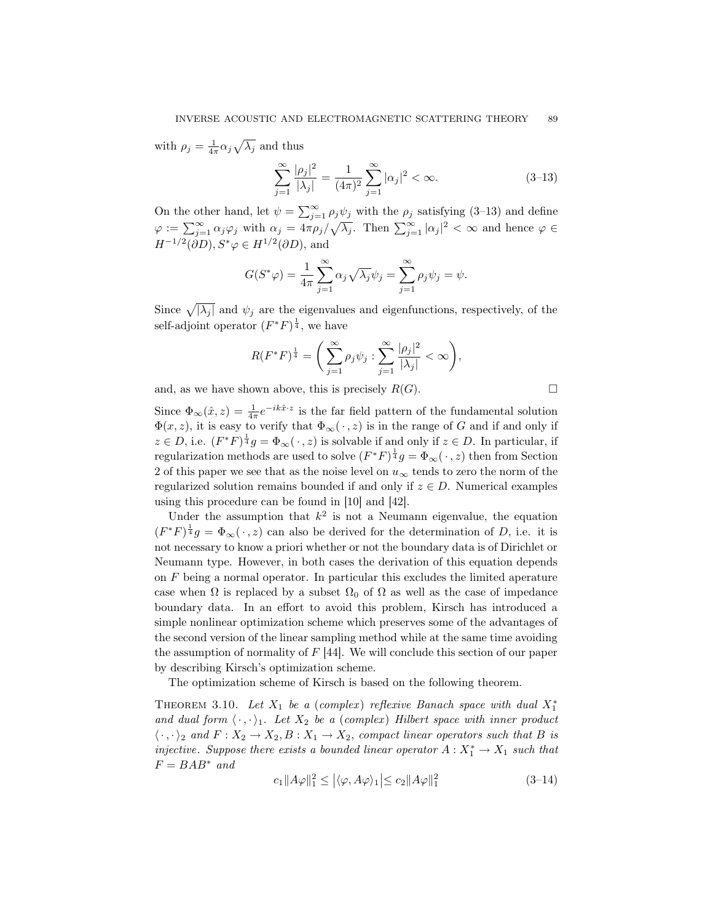with  $\rho_j = \frac{1}{4\pi} \alpha_j \sqrt{\lambda_j}$  and thus

$$
\sum_{j=1}^{\infty} \frac{|\rho_j|^2}{|\lambda_j|} = \frac{1}{(4\pi)^2} \sum_{j=1}^{\infty} |\alpha_j|^2 < \infty. \tag{3-13}
$$

On the other hand, let  $\psi = \sum_{j=1}^{\infty} \rho_j \psi_j$  with the  $\rho_j$  satisfying (3-13) and define  $\varphi := \sum_{j=1}^{\infty} \alpha_j \varphi_j$  with  $\alpha_j = 4\pi \rho_j / \sqrt{\lambda_j}$ . Then  $\sum_{j=1}^{\infty} |\alpha_j|^2 < \infty$  and hence  $\varphi \in$  $H^{-1/2}(\partial D)$ ,  $S^*\varphi \in H^{1/2}(\partial D)$ , and

$$
G(S^*\varphi) = \frac{1}{4\pi} \sum_{j=1}^{\infty} \alpha_j \sqrt{\lambda_j} \psi_j = \sum_{j=1}^{\infty} \rho_j \psi_j = \psi.
$$

Since  $\sqrt{\vert \lambda_j \vert}$  and  $\psi_j$  are the eigenvalues and eigenfunctions, respectively, of the self-adjoint operator  $(F^*F)^{\frac{1}{4}}$ , we have

$$
R(F^*F)^{\frac{1}{4}} = \left(\sum_{j=1}^{\infty} \rho_j \psi_j : \sum_{j=1}^{\infty} \frac{|\rho_j|^2}{|\lambda_j|} < \infty\right),
$$

and, as we have shown above, this is precisely  $R(G)$ .

Since  $\Phi_{\infty}(\hat{x}, z) = \frac{1}{4\pi}e^{-ik\hat{x}\cdot z}$  is the far field pattern of the fundamental solution  $\Phi(x, z)$ , it is easy to verify that  $\Phi_{\infty}(\cdot, z)$  is in the range of G and if and only if  $z \in D$ , i.e.  $(F^*F)^{\frac{1}{4}}g = \Phi_\infty(\cdot, z)$  is solvable if and only if  $z \in D$ . In particular, if regularization methods are used to solve  $(F^*F)^{\frac{1}{4}}g = \Phi_\infty(\cdot, z)$  then from Section 2 of this paper we see that as the noise level on  $u_{\infty}$  tends to zero the norm of the regularized solution remains bounded if and only if  $z \in D$ . Numerical examples using this procedure can be found in [10] and [42].

Under the assumption that  $k^2$  is not a Neumann eigenvalue, the equation  $(F^*F)^{\frac{1}{4}}g = \Phi_\infty(\cdot, z)$  can also be derived for the determination of D, i.e. it is not necessary to know a priori whether or not the boundary data is of Dirichlet or Neumann type. However, in both cases the derivation of this equation depends on  $F$  being a normal operator. In particular this excludes the limited aperature case when  $\Omega$  is replaced by a subset  $\Omega_0$  of  $\Omega$  as well as the case of impedance boundary data. In an effort to avoid this problem, Kirsch has introduced a simple nonlinear optimization scheme which preserves some of the advantages of the second version of the linear sampling method while at the same time avoiding the assumption of normality of  $F$  [44]. We will conclude this section of our paper by describing Kirsch's optimization scheme.

The optimization scheme of Kirsch is based on the following theorem.

THEOREM 3.10. Let  $X_1$  be a (complex) reflexive Banach space with dual  $X_1^*$ and dual form  $\langle \cdot , \cdot \rangle_1$ . Let  $X_2$  be a (complex) Hilbert space with inner product  $\langle \cdot , \cdot \rangle_2$  and  $F : X_2 \to X_2, B : X_1 \to X_2$ , compact linear operators such that B is injective. Suppose there exists a bounded linear operator  $A: X_1^* \to X_1$  such that  $F = BAB^*$  and

$$
c_1 \|A\varphi\|_1^2 \le |\langle \varphi, A\varphi \rangle_1| \le c_2 \|A\varphi\|_1^2 \tag{3-14}
$$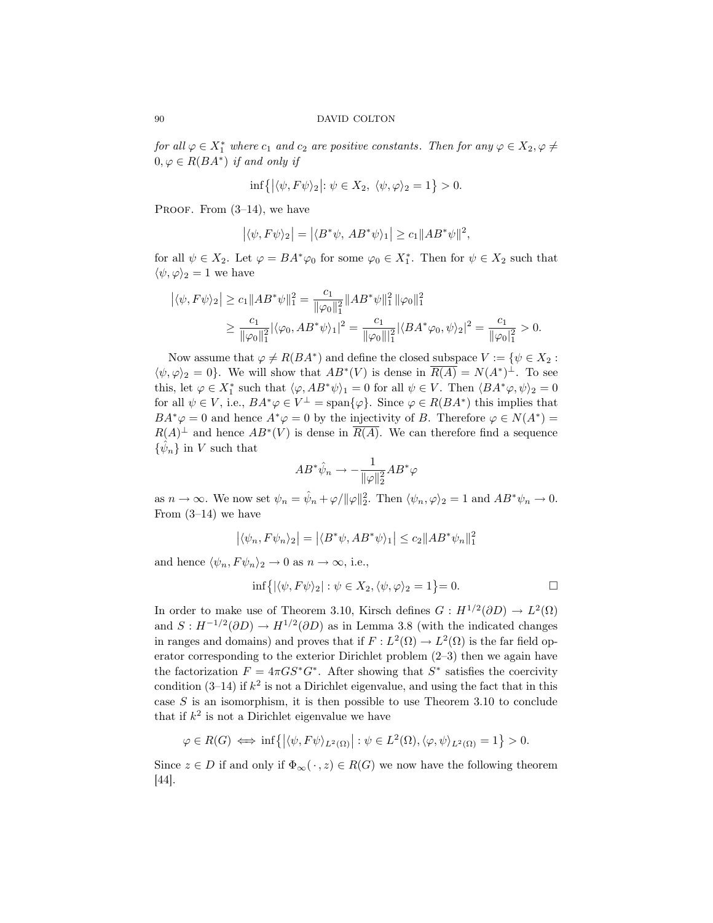for all  $\varphi \in X_1^*$  where  $c_1$  and  $c_2$  are positive constants. Then for any  $\varphi \in X_2, \varphi \neq 0$  $0, \varphi \in R(BA^*)$  if and only if

$$
\inf\{|\langle \psi, F\psi \rangle_2 | : \psi \in X_2, \ \langle \psi, \varphi \rangle_2 = 1\} > 0.
$$

PROOF. From  $(3-14)$ , we have

$$
\left| \langle \psi, F\psi \rangle_2 \right| = \left| \langle B^*\psi, AB^*\psi \rangle_1 \right| \ge c_1 \|AB^*\psi\|^2,
$$

for all  $\psi \in X_2$ . Let  $\varphi = BA^* \varphi_0$  for some  $\varphi_0 \in X_1^*$ . Then for  $\psi \in X_2$  such that  $\langle \psi, \varphi \rangle_2 = 1$  we have

$$
\begin{aligned} \left| \langle \psi, F\psi \rangle_2 \right| &\geq c_1 \| AB^* \psi \|_1^2 = \frac{c_1}{\| \varphi_0 \|_1^2} \| AB^* \psi \|_1^2 \, \| \varphi_0 \|_1^2 \\ &\geq \frac{c_1}{\| \varphi_0 \|_1^2} | \langle \varphi_0, AB^* \psi \rangle_1 |^2 = \frac{c_1}{\| \varphi_0 \|_1^2} | \langle BA^* \varphi_0, \psi \rangle_2 |^2 = \frac{c_1}{\| \varphi_0 \|_1^2} > 0. \end{aligned}
$$

Now assume that  $\varphi \neq R(BA^*)$  and define the closed subspace  $V := \{ \psi \in X_2 :$  $\langle \psi, \varphi \rangle_2 = 0$ . We will show that  $AB^*(V)$  is dense in  $\overline{R(A)} = N(A^*)^{\perp}$ . To see this, let  $\varphi \in X_1^*$  such that  $\langle \varphi, AB^* \psi \rangle_1 = 0$  for all  $\psi \in V$ . Then  $\langle BA^* \varphi, \psi \rangle_2 = 0$ for all  $\psi \in V$ , i.e.,  $BA^*\varphi \in V^{\perp} = \text{span}\{\varphi\}$ . Since  $\varphi \in R(BA^*)$  this implies that  $BA^*\varphi = 0$  and hence  $A^*\varphi = 0$  by the injectivity of B. Therefore  $\varphi \in N(A^*)$  =  $R(A)^{\perp}$  and hence  $AB^*(V)$  is dense in  $\overline{R(A)}$ . We can therefore find a sequence  $\{\hat{\psi}_n\}$  in V such that

$$
AB^*\hat{\psi}_n \to -\frac{1}{\|\varphi\|_2^2}AB^*\varphi
$$

as  $n \to \infty$ . We now set  $\psi_n = \hat{\psi}_n + \varphi / ||\varphi||_2^2$ . Then  $\langle \psi_n, \varphi \rangle_2 = 1$  and  $AB^* \psi_n \to 0$ . From (3–14) we have

$$
|\langle \psi_n, F\psi_n \rangle_2| = |\langle B^*\psi, AB^*\psi \rangle_1| \le c_2 \|AB^*\psi_n\|_1^2
$$

and hence  $\langle \psi_n, F\psi_n \rangle_2 \to 0$  as  $n \to \infty$ , i.e.,

$$
\inf\big\{|\langle\psi,F\psi\rangle_2|:\psi\in X_2, \langle\psi,\varphi\rangle_2=1\big\}=0.\qquad \qquad \Box
$$

In order to make use of Theorem 3.10, Kirsch defines  $G: H^{1/2}(\partial D) \to L^2(\Omega)$ and  $S: H^{-1/2}(\partial D) \to H^{1/2}(\partial D)$  as in Lemma 3.8 (with the indicated changes in ranges and domains) and proves that if  $F: L^2(\Omega) \to L^2(\Omega)$  is the far field operator corresponding to the exterior Dirichlet problem (2–3) then we again have the factorization  $F = 4\pi GS^*G^*$ . After showing that  $S^*$  satisfies the coercivity condition  $(3-14)$  if  $k^2$  is not a Dirichlet eigenvalue, and using the fact that in this case  $S$  is an isomorphism, it is then possible to use Theorem 3.10 to conclude that if  $k^2$  is not a Dirichlet eigenvalue we have

$$
\varphi \in R(G) \iff \inf\{|\langle \psi, F\psi \rangle_{L^2(\Omega)}| : \psi \in L^2(\Omega), \langle \varphi, \psi \rangle_{L^2(\Omega)} = 1\} > 0.
$$

Since  $z \in D$  if and only if  $\Phi_{\infty}(\cdot, z) \in R(G)$  we now have the following theorem [44].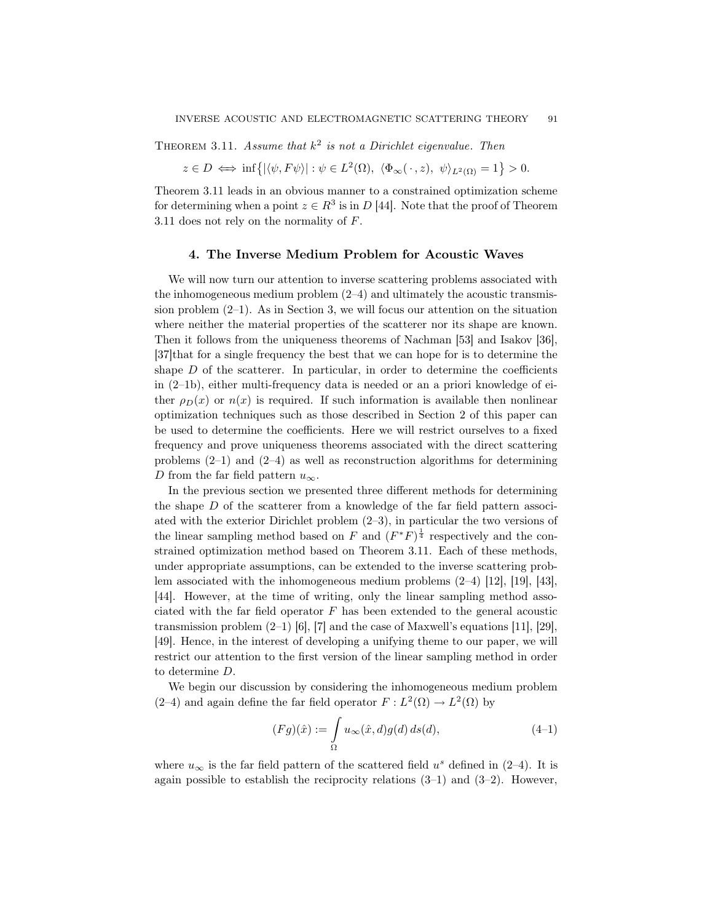THEOREM 3.11. Assume that  $k^2$  is not a Dirichlet eigenvalue. Then

$$
z \in D \iff \inf\{|\langle \psi, F\psi \rangle| : \psi \in L^2(\Omega), \ \langle \Phi_\infty(\cdot, z), \ \psi \rangle_{L^2(\Omega)} = 1\} > 0.
$$

Theorem 3.11 leads in an obvious manner to a constrained optimization scheme for determining when a point  $z \in R^3$  is in D [44]. Note that the proof of Theorem 3.11 does not rely on the normality of  $F$ .

# 4. The Inverse Medium Problem for Acoustic Waves

We will now turn our attention to inverse scattering problems associated with the inhomogeneous medium problem  $(2-4)$  and ultimately the acoustic transmission problem  $(2-1)$ . As in Section 3, we will focus our attention on the situation where neither the material properties of the scatterer nor its shape are known. Then it follows from the uniqueness theorems of Nachman [53] and Isakov [36], [37]that for a single frequency the best that we can hope for is to determine the shape  $D$  of the scatterer. In particular, in order to determine the coefficients in (2–1b), either multi-frequency data is needed or an a priori knowledge of either  $\rho_D(x)$  or  $n(x)$  is required. If such information is available then nonlinear optimization techniques such as those described in Section 2 of this paper can be used to determine the coefficients. Here we will restrict ourselves to a fixed frequency and prove uniqueness theorems associated with the direct scattering problems  $(2-1)$  and  $(2-4)$  as well as reconstruction algorithms for determining D from the far field pattern  $u_{\infty}$ .

In the previous section we presented three different methods for determining the shape D of the scatterer from a knowledge of the far field pattern associated with the exterior Dirichlet problem (2–3), in particular the two versions of the linear sampling method based on F and  $(F^*F)^{\frac{1}{4}}$  respectively and the constrained optimization method based on Theorem 3.11. Each of these methods, under appropriate assumptions, can be extended to the inverse scattering problem associated with the inhomogeneous medium problems (2–4) [12], [19], [43], [44]. However, at the time of writing, only the linear sampling method associated with the far field operator  $F$  has been extended to the general acoustic transmission problem  $(2-1)$  [6], [7] and the case of Maxwell's equations [11], [29], [49]. Hence, in the interest of developing a unifying theme to our paper, we will restrict our attention to the first version of the linear sampling method in order to determine D.

We begin our discussion by considering the inhomogeneous medium problem (2–4) and again define the far field operator  $F: L^2(\Omega) \to L^2(\Omega)$  by

$$
(Fg)(\hat{x}) := \int_{\Omega} u_{\infty}(\hat{x}, d)g(d) ds(d), \qquad (4-1)
$$

where  $u_{\infty}$  is the far field pattern of the scattered field  $u^s$  defined in (2–4). It is again possible to establish the reciprocity relations  $(3-1)$  and  $(3-2)$ . However,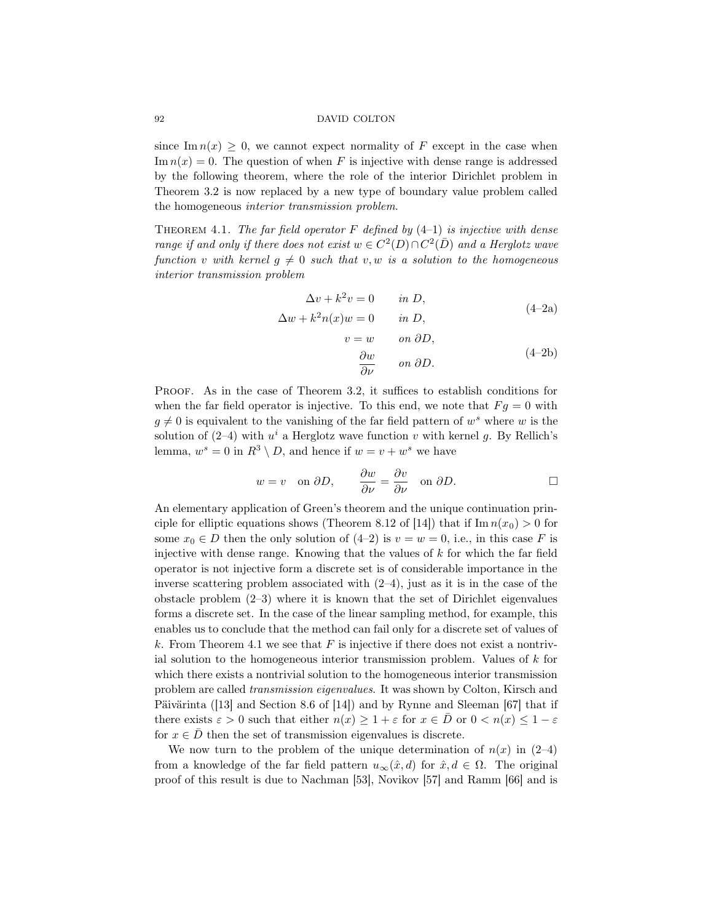since Im  $n(x) \geq 0$ , we cannot expect normality of F except in the case when Im  $n(x) = 0$ . The question of when F is injective with dense range is addressed by the following theorem, where the role of the interior Dirichlet problem in Theorem 3.2 is now replaced by a new type of boundary value problem called the homogeneous interior transmission problem.

THEOREM 4.1. The far field operator  $F$  defined by  $(4-1)$  is injective with dense range if and only if there does not exist  $w \in C^2(D) \cap C^2(\overline{D})$  and a Herglotz wave function v with kernel  $g \neq 0$  such that v, w is a solution to the homogeneous interior transmission problem

$$
\Delta v + k^2 v = 0 \t\t in D,\n\Delta w + k^2 n(x)w = 0 \t\t in D,
$$
\n(4-2a)

$$
v = w \t on \partial D,
$$
  
\n
$$
\frac{\partial w}{\partial \nu} \t on \partial D.
$$
 (4-2b)

PROOF. As in the case of Theorem 3.2, it suffices to establish conditions for when the far field operator is injective. To this end, we note that  $Fg = 0$  with  $g \neq 0$  is equivalent to the vanishing of the far field pattern of  $w^s$  where w is the solution of  $(2-4)$  with  $u^i$  a Herglotz wave function v with kernel g. By Rellich's lemma,  $w^s = 0$  in  $R^3 \setminus D$ , and hence if  $w = v + w^s$  we have

$$
w = v
$$
 on  $\partial D$ ,  $\frac{\partial w}{\partial \nu} = \frac{\partial v}{\partial \nu}$  on  $\partial D$ .

An elementary application of Green's theorem and the unique continuation principle for elliptic equations shows (Theorem 8.12 of [14]) that if  $\text{Im } n(x_0) > 0$  for some  $x_0 \in D$  then the only solution of (4–2) is  $v = w = 0$ , i.e., in this case F is injective with dense range. Knowing that the values of  $k$  for which the far field operator is not injective form a discrete set is of considerable importance in the inverse scattering problem associated with (2–4), just as it is in the case of the obstacle problem  $(2-3)$  where it is known that the set of Dirichlet eigenvalues forms a discrete set. In the case of the linear sampling method, for example, this enables us to conclude that the method can fail only for a discrete set of values of k. From Theorem 4.1 we see that  $F$  is injective if there does not exist a nontrivial solution to the homogeneous interior transmission problem. Values of  $k$  for which there exists a nontrivial solution to the homogeneous interior transmission problem are called transmission eigenvalues. It was shown by Colton, Kirsch and Päivärinta ([13] and Section 8.6 of [14]) and by Rynne and Sleeman [67] that if there exists  $\varepsilon > 0$  such that either  $n(x) \geq 1 + \varepsilon$  for  $x \in \overline{D}$  or  $0 < n(x) \leq 1 - \varepsilon$ for  $x \in D$  then the set of transmission eigenvalues is discrete.

We now turn to the problem of the unique determination of  $n(x)$  in  $(2-4)$ from a knowledge of the far field pattern  $u_{\infty}(\hat{x}, d)$  for  $\hat{x}, d \in \Omega$ . The original proof of this result is due to Nachman [53], Novikov [57] and Ramm [66] and is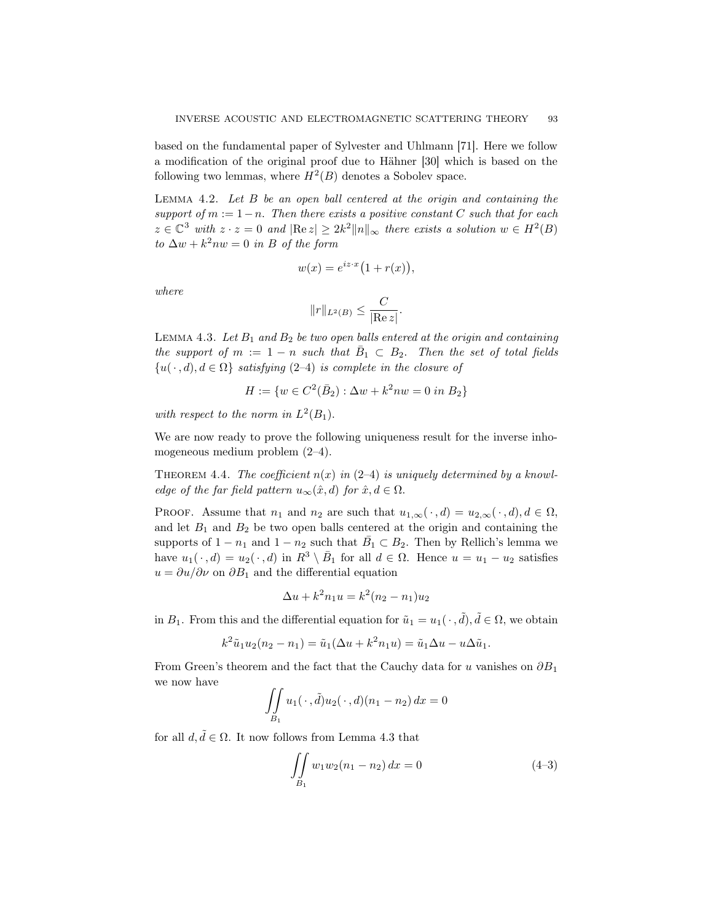based on the fundamental paper of Sylvester and Uhlmann [71]. Here we follow a modification of the original proof due to Hähner [30] which is based on the following two lemmas, where  $H^2(B)$  denotes a Sobolev space.

LEMMA  $4.2.$  Let  $B$  be an open ball centered at the origin and containing the support of  $m := 1 - n$ . Then there exists a positive constant C such that for each  $z \in \mathbb{C}^3$  with  $z \cdot z = 0$  and  $|\text{Re } z| \geq 2k^2 ||n||_{\infty}$  there exists a solution  $w \in H^2(B)$ to  $\Delta w + k^2 n w = 0$  in B of the form

$$
w(x) = e^{iz \cdot x} (1 + r(x)),
$$

where

$$
||r||_{L^2(B)} \leq \frac{C}{|\text{Re } z|}.
$$

LEMMA 4.3. Let  $B_1$  and  $B_2$  be two open balls entered at the origin and containing the support of  $m := 1 - n$  such that  $\overline{B}_1 \subset B_2$ . Then the set of total fields  $\{u(\cdot, d), d \in \Omega\}$  satisfying (2-4) is complete in the closure of

$$
H := \{ w \in C^2(\bar{B}_2) : \Delta w + k^2 n w = 0 \text{ in } B_2 \}
$$

with respect to the norm in  $L^2(B_1)$ .

We are now ready to prove the following uniqueness result for the inverse inhomogeneous medium problem (2–4).

THEOREM 4.4. The coefficient  $n(x)$  in (2–4) is uniquely determined by a knowledge of the far field pattern  $u_{\infty}(\hat{x}, d)$  for  $\hat{x}, d \in \Omega$ .

PROOF. Assume that  $n_1$  and  $n_2$  are such that  $u_{1,\infty}(\cdot, d) = u_{2,\infty}(\cdot, d), d \in \Omega$ , and let  $B_1$  and  $B_2$  be two open balls centered at the origin and containing the supports of  $1 - n_1$  and  $1 - n_2$  such that  $\overline{B}_1 \subset B_2$ . Then by Rellich's lemma we have  $u_1(\cdot, d) = u_2(\cdot, d)$  in  $R^3 \setminus \overline{B}_1$  for all  $d \in \Omega$ . Hence  $u = u_1 - u_2$  satisfies  $u = \partial u / \partial \nu$  on  $\partial B_1$  and the differential equation

$$
\Delta u + k^2 n_1 u = k^2 (n_2 - n_1) u_2
$$

in  $B_1$ . From this and the differential equation for  $\tilde{u}_1 = u_1(\cdot, \tilde{d}), \tilde{d} \in \Omega$ , we obtain

$$
k^{2}\tilde{u}_{1}u_{2}(n_{2}-n_{1}) = \tilde{u}_{1}(\Delta u + k^{2}n_{1}u) = \tilde{u}_{1}\Delta u - u\Delta\tilde{u}_{1}.
$$

From Green's theorem and the fact that the Cauchy data for u vanishes on  $\partial B_1$ we now have

$$
\iint\limits_{B_1} u_1(\cdot,\tilde{d})u_2(\cdot,d)(n_1-n_2) dx = 0
$$

for all  $d, \tilde{d} \in \Omega$ . It now follows from Lemma 4.3 that

$$
\iint_{B_1} w_1 w_2 (n_1 - n_2) \, dx = 0 \tag{4-3}
$$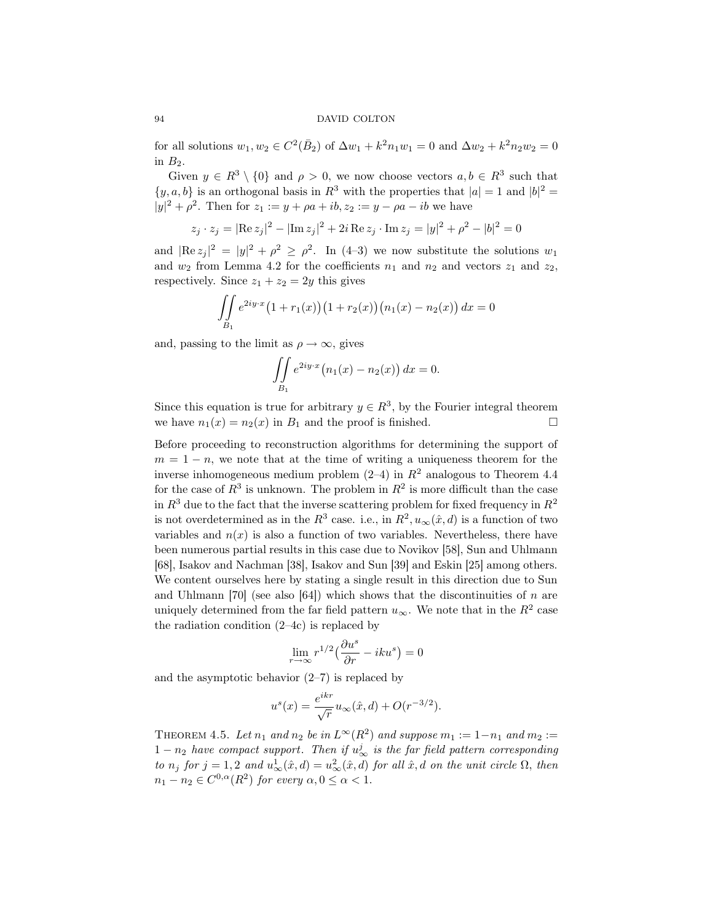for all solutions  $w_1, w_2 \in C^2(\bar{B}_2)$  of  $\Delta w_1 + k^2 n_1 w_1 = 0$  and  $\Delta w_2 + k^2 n_2 w_2 = 0$ in  $B_2$ .

Given  $y \in R^3 \setminus \{0\}$  and  $\rho > 0$ , we now choose vectors  $a, b \in R^3$  such that  $\{y, a, b\}$  is an orthogonal basis in  $R^3$  with the properties that  $|a| = 1$  and  $|b|^2 =$  $|y|^2 + \rho^2$ . Then for  $z_1 := y + \rho a + ib, z_2 := y - \rho a - ib$  we have

$$
z_j \cdot z_j = |\text{Re } z_j|^2 - |\text{Im } z_j|^2 + 2i \text{ Re } z_j \cdot \text{Im } z_j = |y|^2 + \rho^2 - |b|^2 = 0
$$

and  $|\text{Re } z_j|^2 = |y|^2 + \rho^2 \ge \rho^2$ . In (4-3) we now substitute the solutions  $w_1$ and  $w_2$  from Lemma 4.2 for the coefficients  $n_1$  and  $n_2$  and vectors  $z_1$  and  $z_2$ , respectively. Since  $z_1 + z_2 = 2y$  this gives

$$
\iint_{B_1} e^{2iy \cdot x} (1 + r_1(x)) (1 + r_2(x)) (n_1(x) - n_2(x)) dx = 0
$$

and, passing to the limit as  $\rho \to \infty$ , gives

$$
\iint_{B_1} e^{2iy \cdot x} (n_1(x) - n_2(x)) dx = 0.
$$

Since this equation is true for arbitrary  $y \in \mathbb{R}^3$ , by the Fourier integral theorem we have  $n_1(x) = n_2(x)$  in  $B_1$  and the proof is finished.

Before proceeding to reconstruction algorithms for determining the support of  $m = 1 - n$ , we note that at the time of writing a uniqueness theorem for the inverse inhomogeneous medium problem  $(2-4)$  in  $\mathbb{R}^2$  analogous to Theorem 4.4 for the case of  $R^3$  is unknown. The problem in  $R^2$  is more difficult than the case in  $R<sup>3</sup>$  due to the fact that the inverse scattering problem for fixed frequency in  $R<sup>2</sup>$ is not overdetermined as in the  $R^3$  case. i.e., in  $R^2$ ,  $u_{\infty}(\hat{x}, d)$  is a function of two variables and  $n(x)$  is also a function of two variables. Nevertheless, there have been numerous partial results in this case due to Novikov [58], Sun and Uhlmann [68], Isakov and Nachman [38], Isakov and Sun [39] and Eskin [25] among others. We content ourselves here by stating a single result in this direction due to Sun and Uhlmann [70] (see also [64]) which shows that the discontinuities of  $n$  are uniquely determined from the far field pattern  $u_{\infty}$ . We note that in the  $R^2$  case the radiation condition (2–4c) is replaced by

$$
\lim_{r \to \infty} r^{1/2} \left( \frac{\partial u^s}{\partial r} - i k u^s \right) = 0
$$

and the asymptotic behavior  $(2-7)$  is replaced by

$$
u^{s}(x) = \frac{e^{ikr}}{\sqrt{r}}u_{\infty}(\hat{x}, d) + O(r^{-3/2}).
$$

THEOREM 4.5. Let  $n_1$  and  $n_2$  be in  $L^{\infty}(R^2)$  and suppose  $m_1 := 1 - n_1$  and  $m_2 :=$  $1 - n_2$  have compact support. Then if  $u_{\infty}^j$  is the far field pattern corresponding to  $n_j$  for  $j = 1, 2$  and  $u^1_{\infty}(\hat{x}, d) = u^2_{\infty}(\hat{x}, d)$  for all  $\hat{x}, d$  on the unit circle  $\Omega$ , then  $n_1 - n_2 \in C^{0,\alpha}(R^2)$  for every  $\alpha, 0 \leq \alpha < 1$ .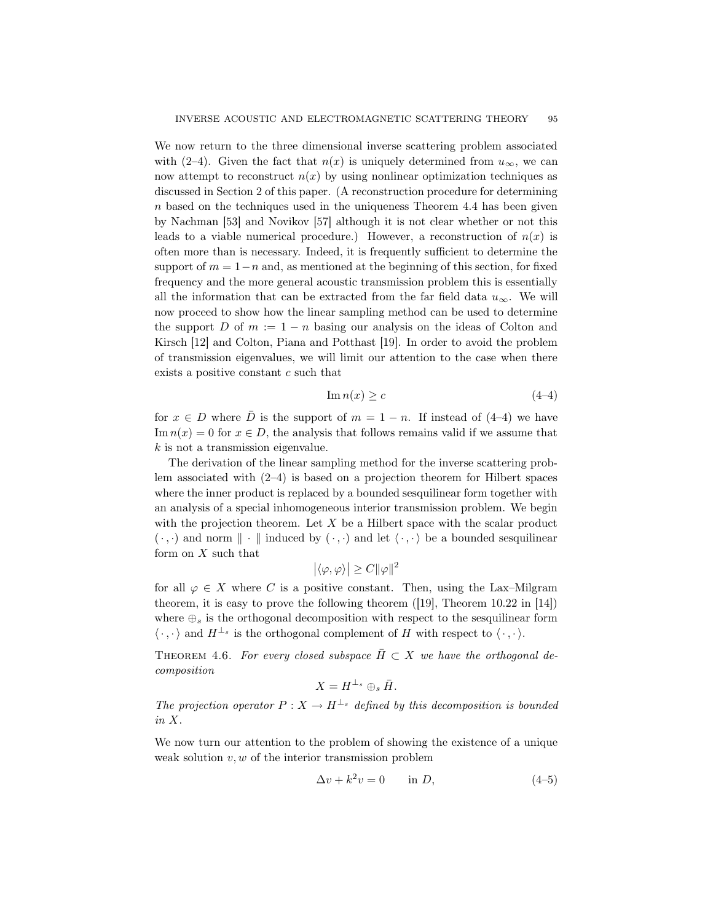We now return to the three dimensional inverse scattering problem associated with (2–4). Given the fact that  $n(x)$  is uniquely determined from  $u_{\infty}$ , we can now attempt to reconstruct  $n(x)$  by using nonlinear optimization techniques as discussed in Section 2 of this paper. (A reconstruction procedure for determining  $n$  based on the techniques used in the uniqueness Theorem 4.4 has been given by Nachman [53] and Novikov [57] although it is not clear whether or not this leads to a viable numerical procedure.) However, a reconstruction of  $n(x)$  is often more than is necessary. Indeed, it is frequently sufficient to determine the support of  $m = 1-n$  and, as mentioned at the beginning of this section, for fixed frequency and the more general acoustic transmission problem this is essentially all the information that can be extracted from the far field data  $u_{\infty}$ . We will now proceed to show how the linear sampling method can be used to determine the support D of  $m := 1 - n$  basing our analysis on the ideas of Colton and Kirsch [12] and Colton, Piana and Potthast [19]. In order to avoid the problem of transmission eigenvalues, we will limit our attention to the case when there exists a positive constant  $c$  such that

$$
\operatorname{Im} n(x) \ge c \tag{4-4}
$$

for  $x \in D$  where  $\overline{D}$  is the support of  $m = 1 - n$ . If instead of (4–4) we have Im  $n(x) = 0$  for  $x \in D$ , the analysis that follows remains valid if we assume that  $k$  is not a transmission eigenvalue.

The derivation of the linear sampling method for the inverse scattering problem associated with (2–4) is based on a projection theorem for Hilbert spaces where the inner product is replaced by a bounded sesquilinear form together with an analysis of a special inhomogeneous interior transmission problem. We begin with the projection theorem. Let  $X$  be a Hilbert space with the scalar product  $(\cdot, \cdot)$  and norm  $\|\cdot\|$  induced by  $(\cdot, \cdot)$  and let  $\langle \cdot, \cdot \rangle$  be a bounded sesquilinear form on X such that

$$
\left| \langle \varphi, \varphi \rangle \right| \ge C \|\varphi\|^2
$$

for all  $\varphi \in X$  where C is a positive constant. Then, using the Lax–Milgram theorem, it is easy to prove the following theorem ([19], Theorem 10.22 in [14]) where  $\bigoplus_{s}$  is the orthogonal decomposition with respect to the sesquilinear form  $\langle \cdot, \cdot \rangle$  and  $H^{\perp_s}$  is the orthogonal complement of H with respect to  $\langle \cdot, \cdot \rangle$ .

THEOREM 4.6. For every closed subspace  $\overline{H} \subset X$  we have the orthogonal decomposition

$$
X = H^{\perp_s} \oplus_s \bar{H}.
$$

The projection operator  $P: X \to H^{\perp_s}$  defined by this decomposition is bounded in X.

We now turn our attention to the problem of showing the existence of a unique weak solution  $v, w$  of the interior transmission problem

$$
\Delta v + k^2 v = 0 \qquad \text{in } D,\tag{4-5}
$$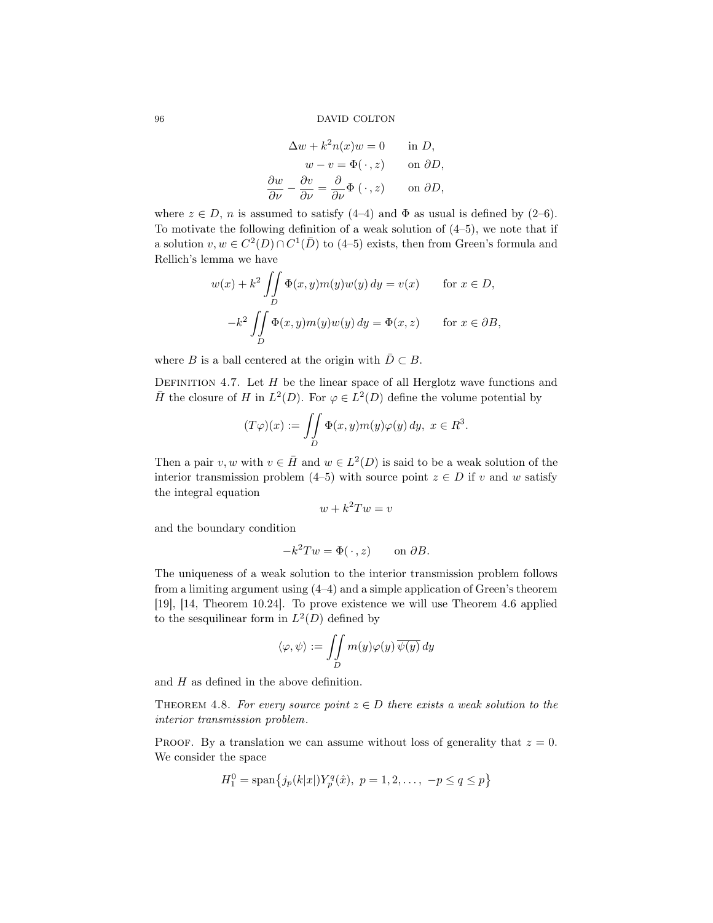$$
\Delta w + k^2 n(x)w = 0 \quad \text{in } D,
$$
  
\n
$$
w - v = \Phi(\cdot, z) \quad \text{on } \partial D,
$$
  
\n
$$
\frac{\partial w}{\partial \nu} - \frac{\partial v}{\partial \nu} = \frac{\partial}{\partial \nu} \Phi(\cdot, z) \quad \text{on } \partial D,
$$

where  $z \in D$ , *n* is assumed to satisfy (4–4) and  $\Phi$  as usual is defined by (2–6). To motivate the following definition of a weak solution of  $(4-5)$ , we note that if a solution  $v, w \in C^2(D) \cap C^1(\overline{D})$  to (4-5) exists, then from Green's formula and Rellich's lemma we have

$$
w(x) + k^2 \iint_D \Phi(x, y) m(y) w(y) dy = v(x) \quad \text{for } x \in D,
$$
  

$$
-k^2 \iint_D \Phi(x, y) m(y) w(y) dy = \Phi(x, z) \quad \text{for } x \in \partial B,
$$

where B is a ball centered at the origin with  $\overline{D} \subset B$ .

DEFINITION 4.7. Let  $H$  be the linear space of all Herglotz wave functions and  $\overline{H}$  the closure of H in  $L^2(D)$ . For  $\varphi \in L^2(D)$  define the volume potential by

$$
(T\varphi)(x) := \iint_D \Phi(x, y) m(y) \varphi(y) dy, \ x \in R^3.
$$

Then a pair  $v, w$  with  $v \in \overline{H}$  and  $w \in L^2(D)$  is said to be a weak solution of the interior transmission problem (4–5) with source point  $z \in D$  if v and w satisfy the integral equation

$$
w + k^2 T w = v
$$

and the boundary condition

$$
-k^2Tw = \Phi(\cdot, z) \qquad \text{on } \partial B.
$$

The uniqueness of a weak solution to the interior transmission problem follows from a limiting argument using (4–4) and a simple application of Green's theorem [19], [14, Theorem 10.24]. To prove existence we will use Theorem 4.6 applied to the sesquilinear form in  $L^2(D)$  defined by

$$
\langle \varphi, \psi \rangle := \iint\limits_{D} m(y) \varphi(y) \, \overline{\psi(y)} \, dy
$$

and H as defined in the above definition.

THEOREM 4.8. For every source point  $z \in D$  there exists a weak solution to the interior transmission problem.

PROOF. By a translation we can assume without loss of generality that  $z = 0$ . We consider the space

$$
H_1^0 = \text{span}\{j_p(k|x|)Y_p^q(\hat{x}), \ p = 1, 2, \dots, -p \le q \le p\}
$$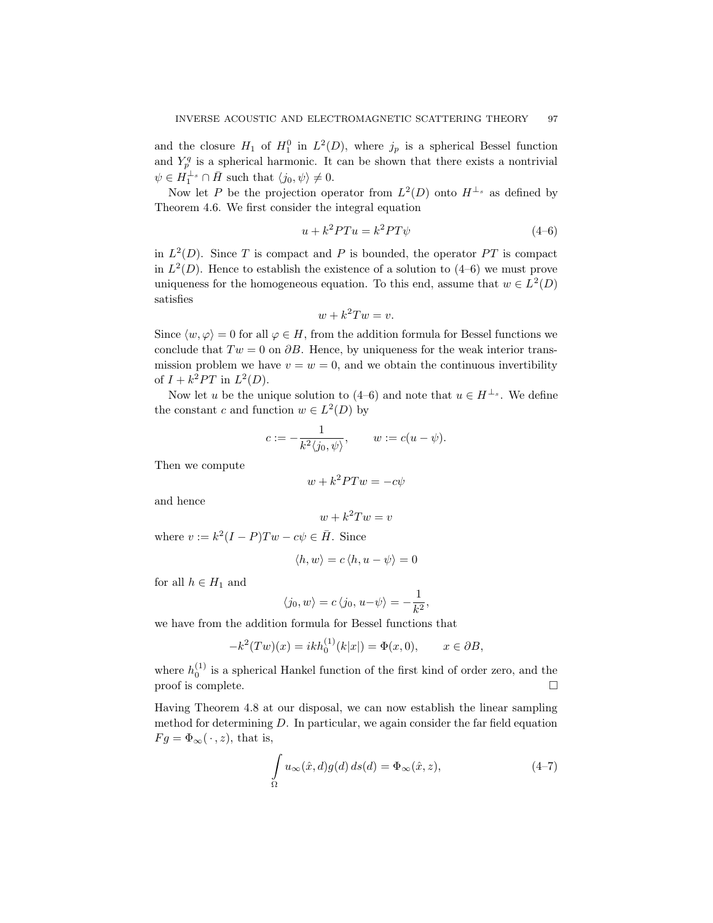and the closure  $H_1$  of  $H_1^0$  in  $L^2(D)$ , where  $j_p$  is a spherical Bessel function and  $Y_p^q$  is a spherical harmonic. It can be shown that there exists a nontrivial  $\psi \in H_1^{\perp_s} \cap \bar{H}$  such that  $\langle j_0, \psi \rangle \neq 0$ .

Now let P be the projection operator from  $L^2(D)$  onto  $H^{\perp_s}$  as defined by Theorem 4.6. We first consider the integral equation

$$
u + k^2 PTu = k^2 PT\psi \tag{4-6}
$$

in  $L^2(D)$ . Since T is compact and P is bounded, the operator PT is compact in  $L^2(D)$ . Hence to establish the existence of a solution to  $(4-6)$  we must prove uniqueness for the homogeneous equation. To this end, assume that  $w \in L^2(D)$ satisfies

$$
w + k^2 T w = v.
$$

Since  $\langle w, \varphi \rangle = 0$  for all  $\varphi \in H$ , from the addition formula for Bessel functions we conclude that  $Tw = 0$  on  $\partial B$ . Hence, by uniqueness for the weak interior transmission problem we have  $v = w = 0$ , and we obtain the continuous invertibility of  $I + k^2 PT$  in  $L^2(D)$ .

Now let u be the unique solution to (4–6) and note that  $u \in H^{\perp_s}$ . We define the constant c and function  $w \in L^2(D)$  by

$$
c := -\frac{1}{k^2 \langle j_0, \psi \rangle}, \qquad w := c(u - \psi).
$$

Then we compute

$$
w + k^2 PTw = -c\psi
$$

and hence

$$
w + k^2 T w = v
$$

where  $v := k^2(I - P)Tw - c\psi \in \overline{H}$ . Since

$$
\langle h, w \rangle = c \langle h, u - \psi \rangle = 0
$$

for all  $h\in H_1$  and

$$
\langle j_0, w \rangle = c \langle j_0, u - \psi \rangle = -\frac{1}{k^2},
$$

we have from the addition formula for Bessel functions that

$$
-k^2(Tw)(x) = ikh_0^{(1)}(k|x|) = \Phi(x,0), \qquad x \in \partial B,
$$

where  $h_0^{(1)}$  is a spherical Hankel function of the first kind of order zero, and the proof is complete.  $\Box$ 

Having Theorem 4.8 at our disposal, we can now establish the linear sampling method for determining D. In particular, we again consider the far field equation  $Fg = \Phi_{\infty}(\cdot, z)$ , that is,

$$
\int_{\Omega} u_{\infty}(\hat{x}, d)g(d) ds(d) = \Phi_{\infty}(\hat{x}, z), \tag{4-7}
$$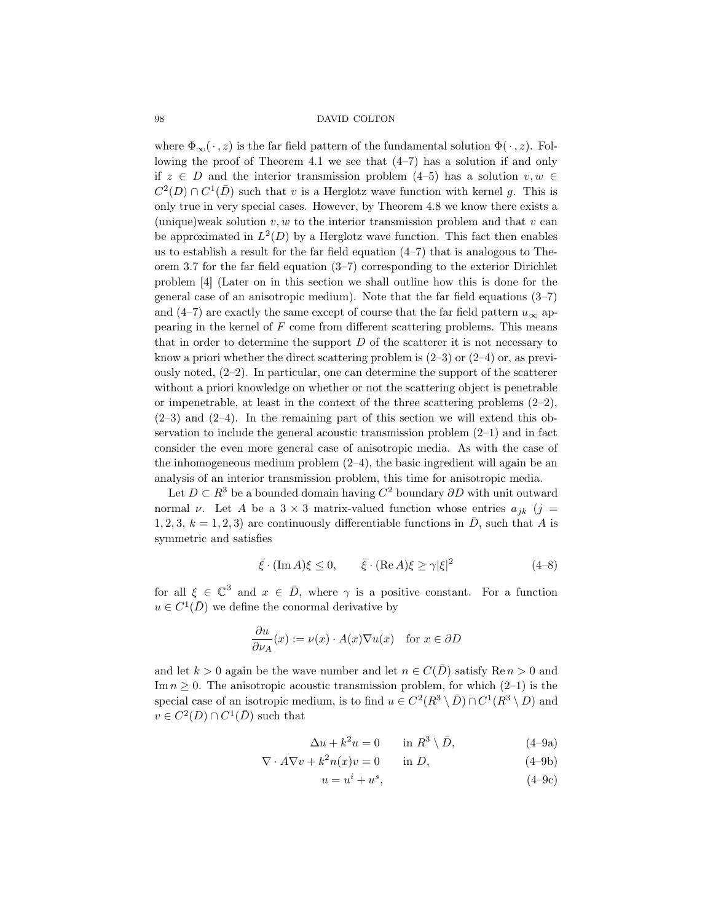where  $\Phi_{\infty}(\cdot, z)$  is the far field pattern of the fundamental solution  $\Phi(\cdot, z)$ . Following the proof of Theorem 4.1 we see that (4–7) has a solution if and only if  $z \in D$  and the interior transmission problem (4–5) has a solution  $v, w \in$  $C^2(D) \cap C^1(\overline{D})$  such that v is a Herglotz wave function with kernel g. This is only true in very special cases. However, by Theorem 4.8 we know there exists a (unique)weak solution  $v, w$  to the interior transmission problem and that v can be approximated in  $L^2(D)$  by a Herglotz wave function. This fact then enables us to establish a result for the far field equation  $(4-7)$  that is analogous to Theorem 3.7 for the far field equation (3–7) corresponding to the exterior Dirichlet problem [4] (Later on in this section we shall outline how this is done for the general case of an anisotropic medium). Note that the far field equations (3–7) and (4–7) are exactly the same except of course that the far field pattern  $u_{\infty}$  appearing in the kernel of  $F$  come from different scattering problems. This means that in order to determine the support  $D$  of the scatterer it is not necessary to know a priori whether the direct scattering problem is (2–3) or (2–4) or, as previously noted, (2–2). In particular, one can determine the support of the scatterer without a priori knowledge on whether or not the scattering object is penetrable or impenetrable, at least in the context of the three scattering problems  $(2-2)$ ,  $(2-3)$  and  $(2-4)$ . In the remaining part of this section we will extend this observation to include the general acoustic transmission problem (2–1) and in fact consider the even more general case of anisotropic media. As with the case of the inhomogeneous medium problem  $(2-4)$ , the basic ingredient will again be an analysis of an interior transmission problem, this time for anisotropic media.

Let  $D \subset R^3$  be a bounded domain having  $C^2$  boundary  $\partial D$  with unit outward normal  $\nu$ . Let A be a  $3 \times 3$  matrix-valued function whose entries  $a_{ik}$  (j =  $1, 2, 3, k = 1, 2, 3$  are continuously differentiable functions in  $\overline{D}$ , such that A is symmetric and satisfies

$$
\bar{\xi} \cdot (\operatorname{Im} A)\xi \le 0, \qquad \bar{\xi} \cdot (\operatorname{Re} A)\xi \ge \gamma |\xi|^2 \tag{4-8}
$$

for all  $\xi \in \mathbb{C}^3$  and  $x \in \overline{D}$ , where  $\gamma$  is a positive constant. For a function  $u \in C^1(\overline{D})$  we define the conormal derivative by

$$
\frac{\partial u}{\partial \nu_A}(x) := \nu(x) \cdot A(x) \nabla u(x) \quad \text{for } x \in \partial D
$$

and let  $k > 0$  again be the wave number and let  $n \in C(\overline{D})$  satisfy  $\text{Re } n > 0$  and Im  $n \geq 0$ . The anisotropic acoustic transmission problem, for which  $(2-1)$  is the special case of an isotropic medium, is to find  $u \in C^2(R^3 \setminus \overline{D}) \cap C^1(R^3 \setminus D)$  and  $v \in C^2(D) \cap C^1(\overline{D})$  such that

$$
\Delta u + k^2 u = 0 \qquad \text{in } R^3 \setminus \bar{D}, \tag{4-9a}
$$

$$
\nabla \cdot A \nabla v + k^2 n(x)v = 0 \quad \text{in } D,
$$
\n(4-9b)

$$
u = u^i + u^s,\tag{4-9c}
$$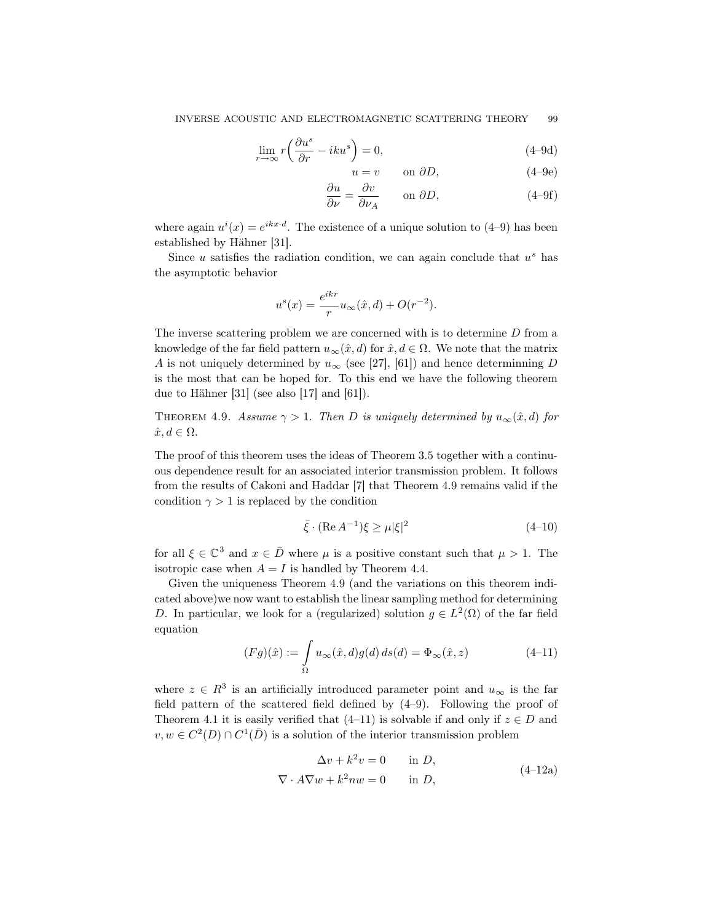$$
\lim_{r \to \infty} r \left( \frac{\partial u^s}{\partial r} - i k u^s \right) = 0, \tag{4-9d}
$$
\n
$$
u = v \qquad \text{on } \partial D. \tag{4-9e}
$$

$$
u = v \t on \t on \t on \t (4-9e)
$$
\n
$$
\frac{\partial u}{\partial v} = 0 \t on \t (4-9e)
$$

$$
\frac{\partial u}{\partial \nu} = \frac{\partial v}{\partial \nu_A} \qquad \text{on } \partial D,\tag{4-9f}
$$

where again  $u^{i}(x) = e^{ikx \cdot d}$ . The existence of a unique solution to (4–9) has been established by Hähner [31].

Since  $u$  satisfies the radiation condition, we can again conclude that  $u^s$  has the asymptotic behavior

$$
u^{s}(x) = \frac{e^{ikr}}{r}u_{\infty}(\hat{x}, d) + O(r^{-2}).
$$

The inverse scattering problem we are concerned with is to determine  $D$  from a knowledge of the far field pattern  $u_{\infty}(\hat{x}, d)$  for  $\hat{x}, d \in \Omega$ . We note that the matrix A is not uniquely determined by  $u_{\infty}$  (see [27], [61]) and hence determinning D is the most that can be hoped for. To this end we have the following theorem due to Hähner [31] (see also [17] and [61]).

THEOREM 4.9. Assume  $\gamma > 1$ . Then D is uniquely determined by  $u_{\infty}(\hat{x}, d)$  for  $\hat{x}, d \in \Omega$ .

The proof of this theorem uses the ideas of Theorem 3.5 together with a continuous dependence result for an associated interior transmission problem. It follows from the results of Cakoni and Haddar [7] that Theorem 4.9 remains valid if the condition  $\gamma > 1$  is replaced by the condition

$$
\bar{\xi} \cdot (\operatorname{Re} A^{-1})\xi \ge \mu |\xi|^2 \tag{4-10}
$$

for all  $\xi \in \mathbb{C}^3$  and  $x \in \overline{D}$  where  $\mu$  is a positive constant such that  $\mu > 1$ . The isotropic case when  $A = I$  is handled by Theorem 4.4.

Given the uniqueness Theorem 4.9 (and the variations on this theorem indicated above)we now want to establish the linear sampling method for determining D. In particular, we look for a (regularized) solution  $g \in L^2(\Omega)$  of the far field equation

$$
(Fg)(\hat{x}) := \int_{\Omega} u_{\infty}(\hat{x}, d)g(d) ds(d) = \Phi_{\infty}(\hat{x}, z)
$$
(4-11)

where  $z \in R^3$  is an artificially introduced parameter point and  $u_{\infty}$  is the far field pattern of the scattered field defined by (4–9). Following the proof of Theorem 4.1 it is easily verified that (4–11) is solvable if and only if  $z \in D$  and  $v, w \in C^2(D) \cap C^1(\overline{D})$  is a solution of the interior transmission problem

$$
\Delta v + k^2 v = 0 \quad \text{in } D,
$$
  

$$
\nabla \cdot A \nabla w + k^2 n w = 0 \quad \text{in } D,
$$
 (4-12a)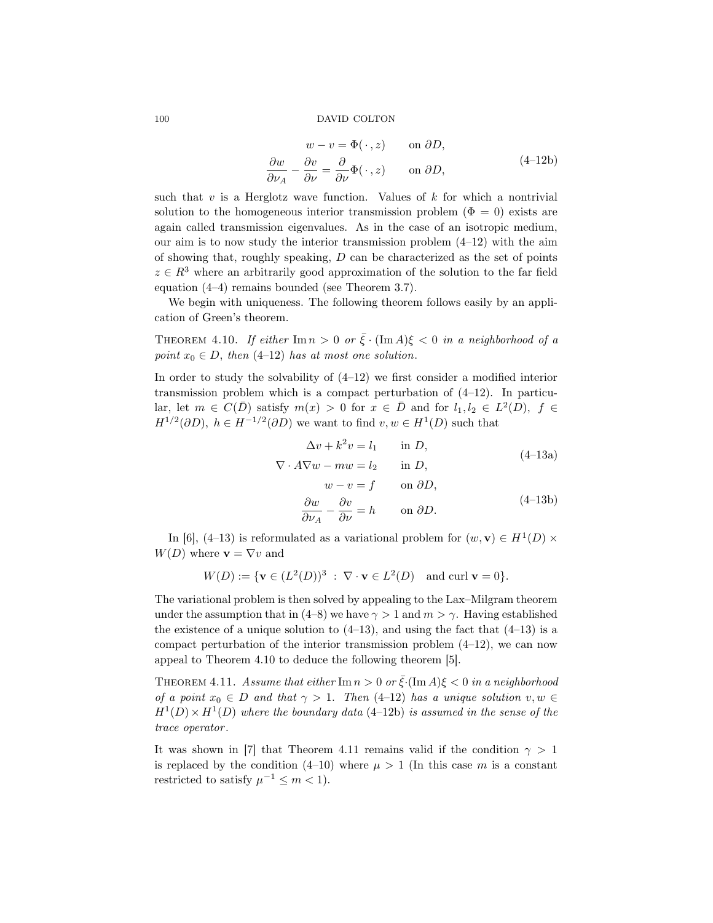$$
w - v = \Phi(\cdot, z) \quad \text{on } \partial D,
$$
  
\n
$$
\frac{\partial w}{\partial \nu_A} - \frac{\partial v}{\partial \nu} = \frac{\partial}{\partial \nu} \Phi(\cdot, z) \quad \text{on } \partial D,
$$
\n(4-12b)

such that  $v$  is a Herglotz wave function. Values of  $k$  for which a nontrivial solution to the homogeneous interior transmission problem ( $\Phi = 0$ ) exists are again called transmission eigenvalues. As in the case of an isotropic medium, our aim is to now study the interior transmission problem  $(4-12)$  with the aim of showing that, roughly speaking,  $D$  can be characterized as the set of points  $z \in \mathbb{R}^3$  where an arbitrarily good approximation of the solution to the far field equation (4–4) remains bounded (see Theorem 3.7).

We begin with uniqueness. The following theorem follows easily by an application of Green's theorem.

THEOREM 4.10. If either  $\text{Im } n > 0$  or  $\bar{\xi} \cdot (\text{Im } A)\xi < 0$  in a neighborhood of a point  $x_0 \in D$ , then (4-12) has at most one solution.

In order to study the solvability of  $(4-12)$  we first consider a modified interior transmission problem which is a compact perturbation of (4–12). In particular, let  $m \in C(\overline{D})$  satisfy  $m(x) > 0$  for  $x \in \overline{D}$  and for  $l_1, l_2 \in L^2(D)$ ,  $f \in$  $H^{1/2}(\partial D)$ ,  $h \in H^{-1/2}(\partial D)$  we want to find  $v, w \in H^1(D)$  such that

$$
\Delta v + k^2 v = l_1 \qquad \text{in } D,\tag{4-13a}
$$

$$
\nabla \cdot A \nabla w - m w = l_2 \qquad \text{in } D,
$$

$$
w - v = f \qquad \text{on } \partial D,
$$
  
\n
$$
\frac{\partial w}{\partial \nu_A} - \frac{\partial v}{\partial \nu} = h \qquad \text{on } \partial D.
$$
 (4-13b)

In [6], (4–13) is reformulated as a variational problem for  $(w, \mathbf{v}) \in H^1(D) \times$  $W(D)$  where  $\mathbf{v} = \nabla v$  and

$$
W(D) := \{ \mathbf{v} \in (L^2(D))^3 \; : \; \nabla \cdot \mathbf{v} \in L^2(D) \quad \text{and curl } \mathbf{v} = 0 \}.
$$

The variational problem is then solved by appealing to the Lax–Milgram theorem under the assumption that in (4–8) we have  $\gamma > 1$  and  $m > \gamma$ . Having established the existence of a unique solution to  $(4-13)$ , and using the fact that  $(4-13)$  is a compact perturbation of the interior transmission problem  $(4-12)$ , we can now appeal to Theorem 4.10 to deduce the following theorem [5].

THEOREM 4.11. Assume that either  $\text{Im } n > 0$  or  $\bar{\xi} \cdot (\text{Im } A)\xi < 0$  in a neighborhood of a point  $x_0 \in D$  and that  $\gamma > 1$ . Then (4-12) has a unique solution  $v, w \in D$  $H^1(D) \times H^1(D)$  where the boundary data (4-12b) is assumed in the sense of the trace operator.

It was shown in [7] that Theorem 4.11 remains valid if the condition  $\gamma > 1$ is replaced by the condition (4–10) where  $\mu > 1$  (In this case m is a constant restricted to satisfy  $\mu^{-1} \leq m < 1$ ).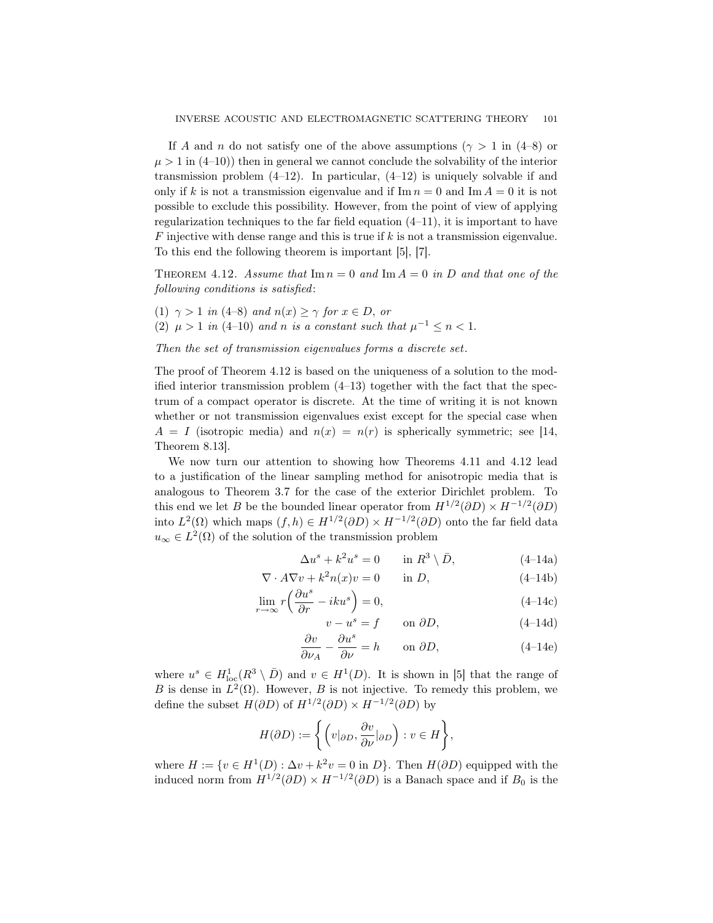If A and n do not satisfy one of the above assumptions ( $\gamma > 1$  in (4–8) or  $\mu > 1$  in (4–10)) then in general we cannot conclude the solvability of the interior transmission problem  $(4-12)$ . In particular,  $(4-12)$  is uniquely solvable if and only if k is not a transmission eigenvalue and if  $\text{Im } n = 0$  and  $\text{Im } A = 0$  it is not possible to exclude this possibility. However, from the point of view of applying regularization techniques to the far field equation  $(4-11)$ , it is important to have  $F$  injective with dense range and this is true if  $k$  is not a transmission eigenvalue. To this end the following theorem is important [5], [7].

THEOREM 4.12. Assume that  $\text{Im } n = 0$  and  $\text{Im } A = 0$  in D and that one of the following conditions is satisfied:

- (1)  $\gamma > 1$  in (4–8) and  $n(x) \geq \gamma$  for  $x \in D$ , or
- (2)  $\mu > 1$  in (4-10) and n is a constant such that  $\mu^{-1} \leq n < 1$ .

Then the set of transmission eigenvalues forms a discrete set.

The proof of Theorem 4.12 is based on the uniqueness of a solution to the modified interior transmission problem  $(4-13)$  together with the fact that the spectrum of a compact operator is discrete. At the time of writing it is not known whether or not transmission eigenvalues exist except for the special case when  $A = I$  (isotropic media) and  $n(x) = n(r)$  is spherically symmetric; see [14, Theorem 8.13].

We now turn our attention to showing how Theorems 4.11 and 4.12 lead to a justification of the linear sampling method for anisotropic media that is analogous to Theorem 3.7 for the case of the exterior Dirichlet problem. To this end we let B be the bounded linear operator from  $H^{1/2}(\partial D) \times H^{-1/2}(\partial D)$ into  $L^2(\Omega)$  which maps  $(f, h) \in H^{1/2}(\partial D) \times H^{-1/2}(\partial D)$  onto the far field data  $u_{\infty} \in L^2(\Omega)$  of the solution of the transmission problem

$$
\Delta u^s + k^2 u^s = 0 \qquad \text{in } R^3 \setminus \bar{D}, \tag{4-14a}
$$

$$
\nabla \cdot A \nabla v + k^2 n(x)v = 0 \quad \text{in } D,
$$
 (4-14b)

$$
\lim_{r \to \infty} r \left( \frac{\partial u^s}{\partial r} - iku^s \right) = 0, \tag{4-14c}
$$

$$
v - u^s = f \qquad \text{on } \partial D,\tag{4-14d}
$$

$$
\frac{\partial v}{\partial \nu_A} - \frac{\partial u^s}{\partial \nu} = h \qquad \text{on } \partial D,
$$
 (4-14e)

where  $u^s \in H^1_{loc}(R^3 \setminus \overline{D})$  and  $v \in H^1(D)$ . It is shown in [5] that the range of B is dense in  $L^2(\Omega)$ . However, B is not injective. To remedy this problem, we define the subset  $H(\partial D)$  of  $H^{1/2}(\partial D) \times H^{-1/2}(\partial D)$  by

$$
H(\partial D) := \left\{ \left( v|_{\partial D}, \frac{\partial v}{\partial \nu} |_{\partial D} \right) : v \in H \right\},\
$$

where  $H := \{v \in H^1(D) : \Delta v + k^2 v = 0 \text{ in } D\}$ . Then  $H(\partial D)$  equipped with the induced norm from  $H^{1/2}(\partial D) \times H^{-1/2}(\partial D)$  is a Banach space and if  $B_0$  is the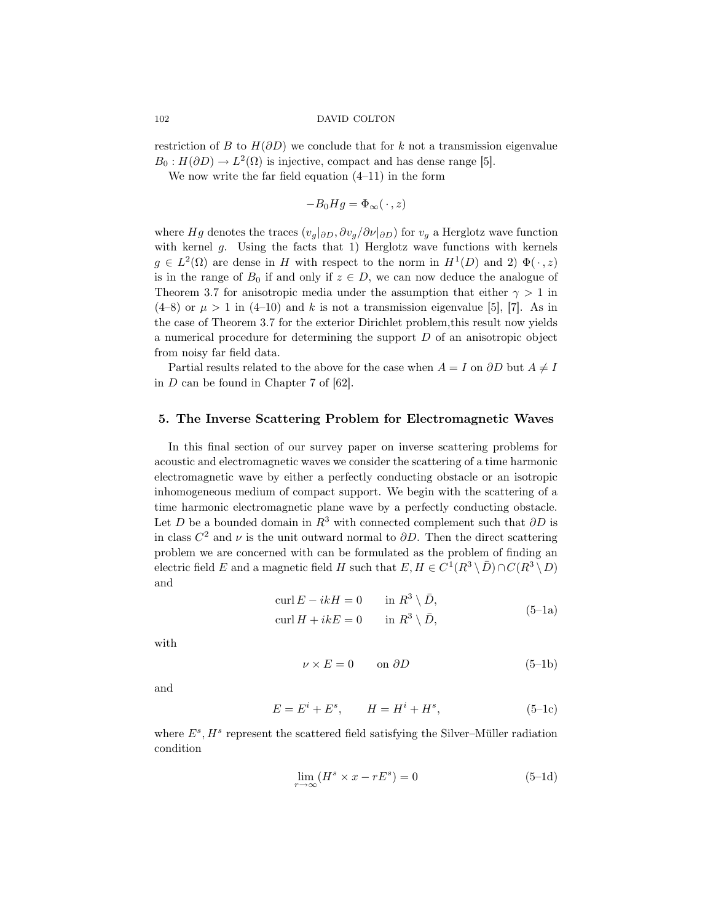restriction of B to  $H(\partial D)$  we conclude that for k not a transmission eigenvalue  $B_0: H(\partial D) \to L^2(\Omega)$  is injective, compact and has dense range [5].

We now write the far field equation (4–11) in the form

$$
-B_0Hg = \Phi_\infty(\,\cdot\,,z)
$$

where Hg denotes the traces  $(v_g|_{\partial D}, \partial v_g/\partial \nu|_{\partial D})$  for  $v_g$  a Herglotz wave function with kernel  $g$ . Using the facts that 1) Herglotz wave functions with kernels  $g \in L^2(\Omega)$  are dense in H with respect to the norm in  $H^1(D)$  and 2)  $\Phi(\cdot, z)$ is in the range of  $B_0$  if and only if  $z \in D$ , we can now deduce the analogue of Theorem 3.7 for anisotropic media under the assumption that either  $\gamma > 1$  in  $(4-8)$  or  $\mu > 1$  in  $(4-10)$  and k is not a transmission eigenvalue [5], [7]. As in the case of Theorem 3.7 for the exterior Dirichlet problem,this result now yields a numerical procedure for determining the support D of an anisotropic object from noisy far field data.

Partial results related to the above for the case when  $A = I$  on  $\partial D$  but  $A \neq I$ in D can be found in Chapter 7 of [62].

### 5. The Inverse Scattering Problem for Electromagnetic Waves

In this final section of our survey paper on inverse scattering problems for acoustic and electromagnetic waves we consider the scattering of a time harmonic electromagnetic wave by either a perfectly conducting obstacle or an isotropic inhomogeneous medium of compact support. We begin with the scattering of a time harmonic electromagnetic plane wave by a perfectly conducting obstacle. Let D be a bounded domain in  $R^3$  with connected complement such that  $\partial D$  is in class  $C^2$  and  $\nu$  is the unit outward normal to  $\partial D$ . Then the direct scattering problem we are concerned with can be formulated as the problem of finding an electric field E and a magnetic field H such that  $E, H \in C^1(R^3 \setminus \overline{D}) \cap C(R^3 \setminus D)$ and

$$
\operatorname{curl} E - ikH = 0 \qquad \text{in } R^3 \setminus \bar{D},
$$
  
\n
$$
\operatorname{curl} H + ikE = 0 \qquad \text{in } R^3 \setminus \bar{D}, \tag{5-1a}
$$

with

$$
\nu \times E = 0 \qquad \text{on } \partial D \tag{5-1b}
$$

and

$$
E = E^i + E^s, \qquad H = H^i + H^s,\tag{5-1c}
$$

where  $E^s$ ,  $H^s$  represent the scattered field satisfying the Silver-Müller radiation condition

$$
\lim_{r \to \infty} (H^s \times x - rE^s) = 0 \tag{5-1d}
$$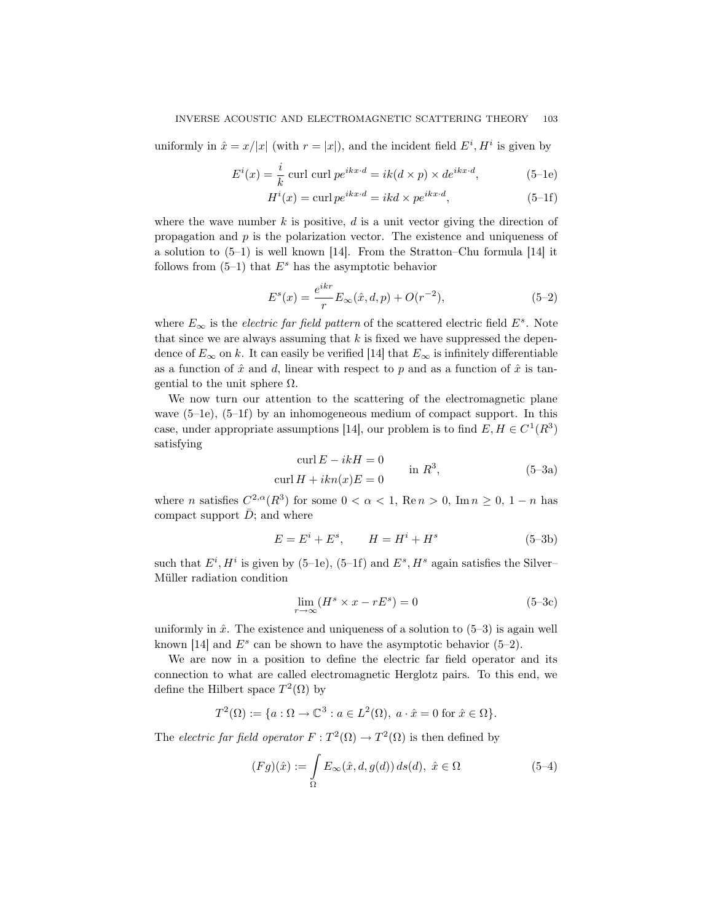### INVERSE ACOUSTIC AND ELECTROMAGNETIC SCATTERING THEORY 103

uniformly in  $\hat{x} = x/|x|$  (with  $r = |x|$ ), and the incident field  $E^i, H^i$  is given by

$$
E^{i}(x) = \frac{i}{k} \operatorname{curl} \operatorname{curl} pe^{ikx \cdot d} = ik(d \times p) \times de^{ikx \cdot d}, \tag{5-1e}
$$

$$
H^{i}(x) = \operatorname{curl} p e^{ikx \cdot d} = ikd \times p e^{ikx \cdot d}, \qquad (5-1f)
$$

where the wave number  $k$  is positive,  $d$  is a unit vector giving the direction of propagation and  $p$  is the polarization vector. The existence and uniqueness of a solution to (5–1) is well known [14]. From the Stratton–Chu formula [14] it follows from  $(5-1)$  that  $E^s$  has the asymptotic behavior

$$
E^{s}(x) = \frac{e^{ikr}}{r} E_{\infty}(\hat{x}, d, p) + O(r^{-2}),
$$
\n(5-2)

where  $E_{\infty}$  is the *electric far field pattern* of the scattered electric field  $E^s$ . Note that since we are always assuming that  $k$  is fixed we have suppressed the dependence of  $E_{\infty}$  on k. It can easily be verified [14] that  $E_{\infty}$  is infinitely differentiable as a function of  $\hat{x}$  and d, linear with respect to p and as a function of  $\hat{x}$  is tangential to the unit sphere  $Ω$ .

We now turn our attention to the scattering of the electromagnetic plane wave  $(5-1e)$ ,  $(5-1f)$  by an inhomogeneous medium of compact support. In this case, under appropriate assumptions [14], our problem is to find  $E, H \in C^1(\mathbb{R}^3)$ satisfying

$$
\operatorname{curl} E - ikH = 0
$$
  
 
$$
\operatorname{curl} H + ikn(x)E = 0
$$
 in  $R^3$ , (5-3a)

where *n* satisfies  $C^{2,\alpha}(R^3)$  for some  $0 < \alpha < 1$ , Re  $n > 0$ , Im  $n \ge 0$ ,  $1 - n$  has compact support  $\bar{D}$ ; and where

$$
E = E^i + E^s, \qquad H = H^i + H^s \tag{5-3b}
$$

such that  $E^i$ ,  $H^i$  is given by (5-1e), (5-1f) and  $E^s$ ,  $H^s$  again satisfies the Silver-Müller radiation condition

$$
\lim_{r \to \infty} (H^s \times x - rE^s) = 0 \tag{5-3c}
$$

uniformly in  $\hat{x}$ . The existence and uniqueness of a solution to  $(5-3)$  is again well known [14] and  $E^s$  can be shown to have the asymptotic behavior (5-2).

We are now in a position to define the electric far field operator and its connection to what are called electromagnetic Herglotz pairs. To this end, we define the Hilbert space  $T^2(\Omega)$  by

$$
T^2(\Omega) := \{ a : \Omega \to \mathbb{C}^3 : a \in L^2(\Omega), \ a \cdot \hat{x} = 0 \text{ for } \hat{x} \in \Omega \}.
$$

The *electric far field operator*  $F: T^2(\Omega) \to T^2(\Omega)$  is then defined by

$$
(Fg)(\hat{x}) := \int_{\Omega} E_{\infty}(\hat{x}, d, g(d)) ds(d), \ \hat{x} \in \Omega \tag{5-4}
$$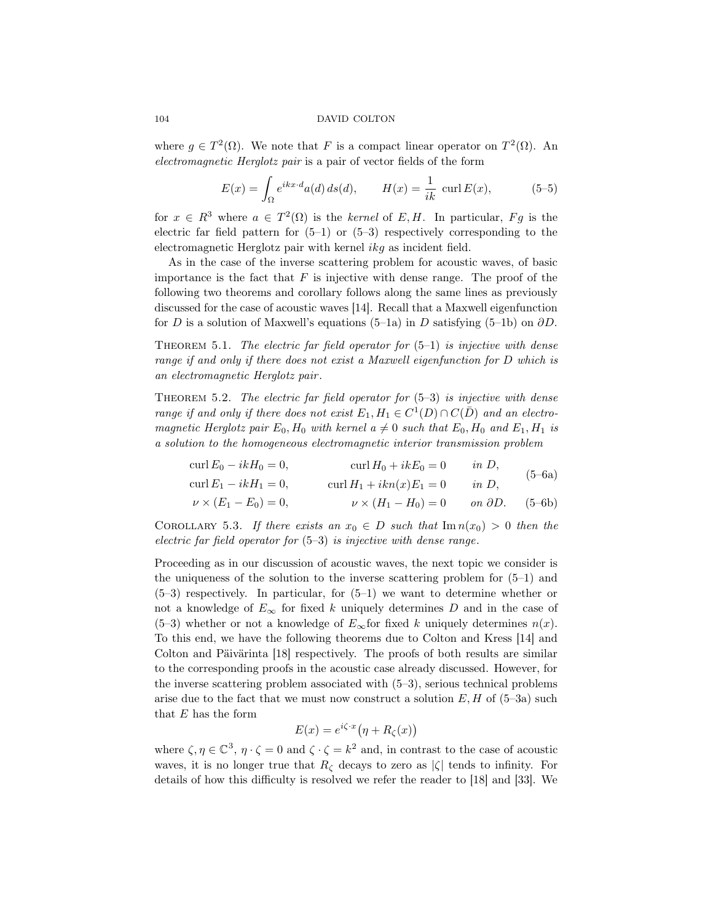where  $g \in T^2(\Omega)$ . We note that F is a compact linear operator on  $T^2(\Omega)$ . An electromagnetic Herglotz pair is a pair of vector fields of the form

$$
E(x) = \int_{\Omega} e^{ikx \cdot d} a(d) ds(d), \qquad H(x) = \frac{1}{ik} \operatorname{curl} E(x), \tag{5-5}
$$

for  $x \in R^3$  where  $a \in T^2(\Omega)$  is the *kernel* of E, H. In particular, Fg is the electric far field pattern for  $(5-1)$  or  $(5-3)$  respectively corresponding to the electromagnetic Herglotz pair with kernel  $ikg$  as incident field.

As in the case of the inverse scattering problem for acoustic waves, of basic importance is the fact that  $F$  is injective with dense range. The proof of the following two theorems and corollary follows along the same lines as previously discussed for the case of acoustic waves [14]. Recall that a Maxwell eigenfunction for D is a solution of Maxwell's equations (5–1a) in D satisfying (5–1b) on  $\partial D$ .

THEOREM 5.1. The electric far field operator for  $(5-1)$  is injective with dense range if and only if there does not exist a Maxwell eigenfunction for D which is an electromagnetic Herglotz pair .

THEOREM 5.2. The electric far field operator for  $(5-3)$  is injective with dense range if and only if there does not exist  $E_1, H_1 \in C^1(D) \cap C(\overline{D})$  and an electromagnetic Herglotz pair  $E_0$ ,  $H_0$  with kernel  $a \neq 0$  such that  $E_0$ ,  $H_0$  and  $E_1$ ,  $H_1$  is a solution to the homogeneous electromagnetic interior transmission problem

$$
\text{curl}\,E_0 - ikH_0 = 0, \qquad \text{curl}\,H_0 + ikE_0 = 0 \qquad in \, D, \n\text{curl}\,E_1 - ikH_1 = 0, \qquad \text{curl}\,H_1 + ikn(x)E_1 = 0 \qquad in \, D, \n\nu \times (E_1 - E_0) = 0, \qquad \nu \times (H_1 - H_0) = 0 \qquad on \, \partial D. \qquad (5-6b)
$$

COROLLARY 5.3. If there exists an  $x_0 \in D$  such that  $\text{Im } n(x_0) > 0$  then the electric far field operator for  $(5-3)$  is injective with dense range.

Proceeding as in our discussion of acoustic waves, the next topic we consider is the uniqueness of the solution to the inverse scattering problem for (5–1) and  $(5-3)$  respectively. In particular, for  $(5-1)$  we want to determine whether or not a knowledge of  $E_{\infty}$  for fixed k uniquely determines D and in the case of (5–3) whether or not a knowledge of  $E_{\infty}$  for fixed k uniquely determines  $n(x)$ . To this end, we have the following theorems due to Colton and Kress [14] and Colton and Päivärinta [18] respectively. The proofs of both results are similar to the corresponding proofs in the acoustic case already discussed. However, for the inverse scattering problem associated with (5–3), serious technical problems arise due to the fact that we must now construct a solution  $E, H$  of  $(5-3a)$  such that E has the form

$$
E(x) = e^{i\zeta \cdot x} \big( \eta + R_{\zeta}(x) \big)
$$

where  $\zeta, \eta \in \mathbb{C}^3$ ,  $\eta \cdot \zeta = 0$  and  $\zeta \cdot \zeta = k^2$  and, in contrast to the case of acoustic waves, it is no longer true that  $R_{\zeta}$  decays to zero as  $|\zeta|$  tends to infinity. For details of how this difficulty is resolved we refer the reader to [18] and [33]. We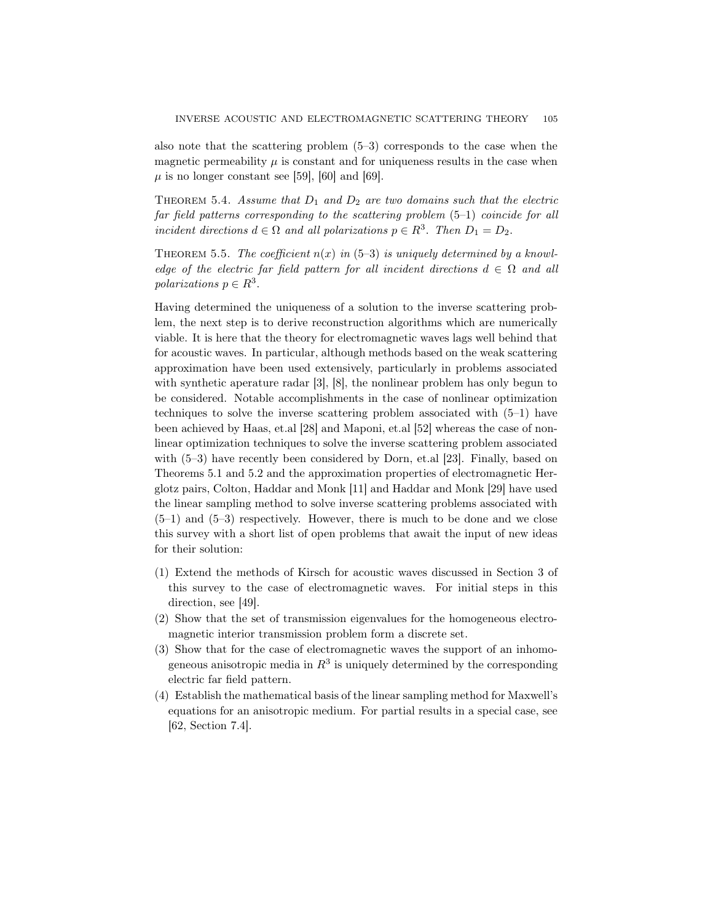also note that the scattering problem (5–3) corresponds to the case when the magnetic permeability  $\mu$  is constant and for uniqueness results in the case when  $\mu$  is no longer constant see [59], [60] and [69].

THEOREM 5.4. Assume that  $D_1$  and  $D_2$  are two domains such that the electric far field patterns corresponding to the scattering problem (5–1) coincide for all incident directions  $d \in \Omega$  and all polarizations  $p \in R^3$ . Then  $D_1 = D_2$ .

THEOREM 5.5. The coefficient  $n(x)$  in (5–3) is uniquely determined by a knowledge of the electric far field pattern for all incident directions  $d \in \Omega$  and all polarizations  $p \in R^3$ .

Having determined the uniqueness of a solution to the inverse scattering problem, the next step is to derive reconstruction algorithms which are numerically viable. It is here that the theory for electromagnetic waves lags well behind that for acoustic waves. In particular, although methods based on the weak scattering approximation have been used extensively, particularly in problems associated with synthetic aperature radar [3], [8], the nonlinear problem has only begun to be considered. Notable accomplishments in the case of nonlinear optimization techniques to solve the inverse scattering problem associated with (5–1) have been achieved by Haas, et.al [28] and Maponi, et.al [52] whereas the case of nonlinear optimization techniques to solve the inverse scattering problem associated with (5–3) have recently been considered by Dorn, et.al [23]. Finally, based on Theorems 5.1 and 5.2 and the approximation properties of electromagnetic Herglotz pairs, Colton, Haddar and Monk [11] and Haddar and Monk [29] have used the linear sampling method to solve inverse scattering problems associated with (5–1) and (5–3) respectively. However, there is much to be done and we close this survey with a short list of open problems that await the input of new ideas for their solution:

- (1) Extend the methods of Kirsch for acoustic waves discussed in Section 3 of this survey to the case of electromagnetic waves. For initial steps in this direction, see [49].
- (2) Show that the set of transmission eigenvalues for the homogeneous electromagnetic interior transmission problem form a discrete set.
- (3) Show that for the case of electromagnetic waves the support of an inhomogeneous anisotropic media in  $R^3$  is uniquely determined by the corresponding electric far field pattern.
- (4) Establish the mathematical basis of the linear sampling method for Maxwell's equations for an anisotropic medium. For partial results in a special case, see [62, Section 7.4].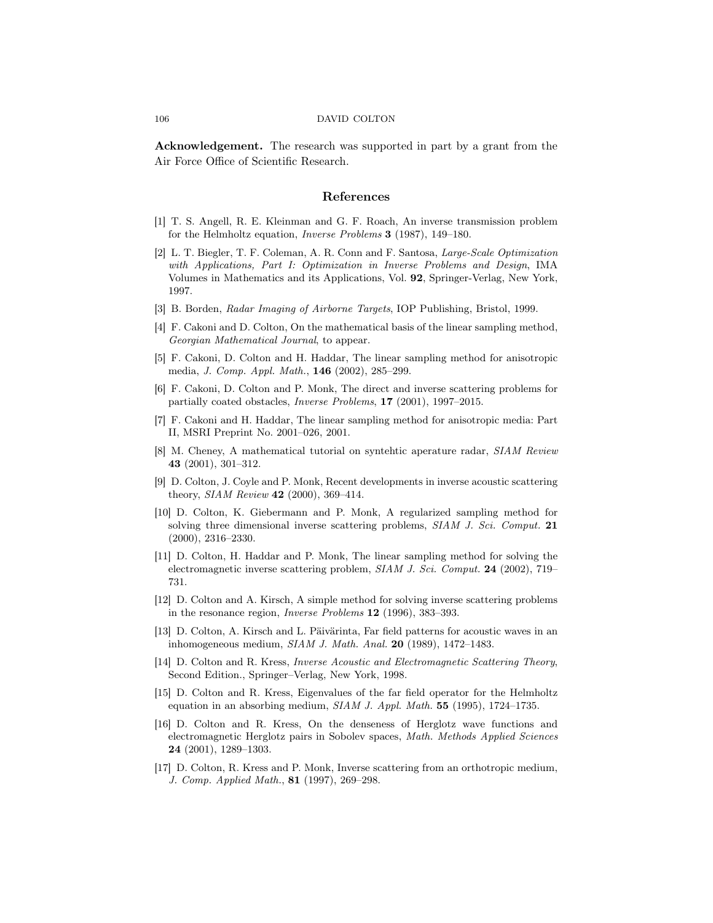Acknowledgement. The research was supported in part by a grant from the Air Force Office of Scientific Research.

# References

- [1] T. S. Angell, R. E. Kleinman and G. F. Roach, An inverse transmission problem for the Helmholtz equation, Inverse Problems 3 (1987), 149–180.
- [2] L. T. Biegler, T. F. Coleman, A. R. Conn and F. Santosa, Large-Scale Optimization with Applications, Part I: Optimization in Inverse Problems and Design, IMA Volumes in Mathematics and its Applications, Vol. 92, Springer-Verlag, New York, 1997.
- [3] B. Borden, Radar Imaging of Airborne Targets, IOP Publishing, Bristol, 1999.
- [4] F. Cakoni and D. Colton, On the mathematical basis of the linear sampling method, Georgian Mathematical Journal, to appear.
- [5] F. Cakoni, D. Colton and H. Haddar, The linear sampling method for anisotropic media, J. Comp. Appl. Math., 146 (2002), 285–299.
- [6] F. Cakoni, D. Colton and P. Monk, The direct and inverse scattering problems for partially coated obstacles, *Inverse Problems*, 17 (2001), 1997–2015.
- [7] F. Cakoni and H. Haddar, The linear sampling method for anisotropic media: Part II, MSRI Preprint No. 2001–026, 2001.
- [8] M. Cheney, A mathematical tutorial on syntehtic aperature radar, SIAM Review 43 (2001), 301–312.
- [9] D. Colton, J. Coyle and P. Monk, Recent developments in inverse acoustic scattering theory, SIAM Review 42 (2000), 369–414.
- [10] D. Colton, K. Giebermann and P. Monk, A regularized sampling method for solving three dimensional inverse scattering problems, SIAM J. Sci. Comput. 21 (2000), 2316–2330.
- [11] D. Colton, H. Haddar and P. Monk, The linear sampling method for solving the electromagnetic inverse scattering problem, SIAM J. Sci. Comput. 24 (2002), 719– 731.
- [12] D. Colton and A. Kirsch, A simple method for solving inverse scattering problems in the resonance region, Inverse Problems 12 (1996), 383–393.
- [13] D. Colton, A. Kirsch and L. Päivärinta, Far field patterns for acoustic waves in an inhomogeneous medium, SIAM J. Math. Anal. 20 (1989), 1472–1483.
- [14] D. Colton and R. Kress, Inverse Acoustic and Electromagnetic Scattering Theory, Second Edition., Springer–Verlag, New York, 1998.
- [15] D. Colton and R. Kress, Eigenvalues of the far field operator for the Helmholtz equation in an absorbing medium,  $SIAM$  J. Appl. Math.  $55$  (1995), 1724–1735.
- [16] D. Colton and R. Kress, On the denseness of Herglotz wave functions and electromagnetic Herglotz pairs in Sobolev spaces, Math. Methods Applied Sciences 24 (2001), 1289–1303.
- [17] D. Colton, R. Kress and P. Monk, Inverse scattering from an orthotropic medium, J. Comp. Applied Math., 81 (1997), 269–298.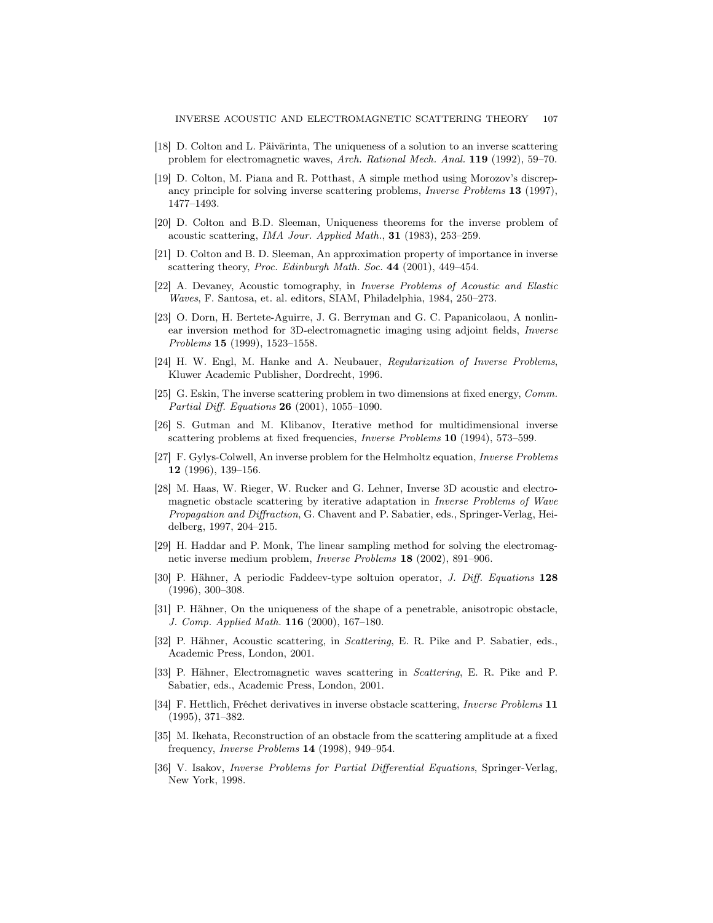- [18] D. Colton and L. Päivärinta, The uniqueness of a solution to an inverse scattering problem for electromagnetic waves, Arch. Rational Mech. Anal. 119 (1992), 59–70.
- [19] D. Colton, M. Piana and R. Potthast, A simple method using Morozov's discrepancy principle for solving inverse scattering problems, Inverse Problems 13 (1997), 1477–1493.
- [20] D. Colton and B.D. Sleeman, Uniqueness theorems for the inverse problem of acoustic scattering, IMA Jour. Applied Math., 31 (1983), 253–259.
- [21] D. Colton and B. D. Sleeman, An approximation property of importance in inverse scattering theory, Proc. Edinburgh Math. Soc. 44 (2001), 449–454.
- [22] A. Devaney, Acoustic tomography, in Inverse Problems of Acoustic and Elastic Waves, F. Santosa, et. al. editors, SIAM, Philadelphia, 1984, 250–273.
- [23] O. Dorn, H. Bertete-Aguirre, J. G. Berryman and G. C. Papanicolaou, A nonlinear inversion method for 3D-electromagnetic imaging using adjoint fields, Inverse Problems 15 (1999), 1523–1558.
- [24] H. W. Engl, M. Hanke and A. Neubauer, Regularization of Inverse Problems, Kluwer Academic Publisher, Dordrecht, 1996.
- [25] G. Eskin, The inverse scattering problem in two dimensions at fixed energy, Comm. Partial Diff. Equations 26 (2001), 1055–1090.
- [26] S. Gutman and M. Klibanov, Iterative method for multidimensional inverse scattering problems at fixed frequencies, *Inverse Problems* **10** (1994), 573–599.
- [27] F. Gylys-Colwell, An inverse problem for the Helmholtz equation, Inverse Problems 12 (1996), 139–156.
- [28] M. Haas, W. Rieger, W. Rucker and G. Lehner, Inverse 3D acoustic and electromagnetic obstacle scattering by iterative adaptation in Inverse Problems of Wave Propagation and Diffraction, G. Chavent and P. Sabatier, eds., Springer-Verlag, Heidelberg, 1997, 204–215.
- [29] H. Haddar and P. Monk, The linear sampling method for solving the electromagnetic inverse medium problem, Inverse Problems 18 (2002), 891–906.
- [30] P. Hähner, A periodic Faddeev-type soltuion operator, J. Diff. Equations 128 (1996), 300–308.
- [31] P. Hähner, On the uniqueness of the shape of a penetrable, anisotropic obstacle, J. Comp. Applied Math. 116 (2000), 167–180.
- [32] P. Hähner, Acoustic scattering, in Scattering, E. R. Pike and P. Sabatier, eds., Academic Press, London, 2001.
- [33] P. Hähner, Electromagnetic waves scattering in Scattering, E. R. Pike and P. Sabatier, eds., Academic Press, London, 2001.
- [34] F. Hettlich, Fréchet derivatives in inverse obstacle scattering, Inverse Problems 11 (1995), 371–382.
- [35] M. Ikehata, Reconstruction of an obstacle from the scattering amplitude at a fixed frequency, Inverse Problems 14 (1998), 949–954.
- [36] V. Isakov, Inverse Problems for Partial Differential Equations, Springer-Verlag, New York, 1998.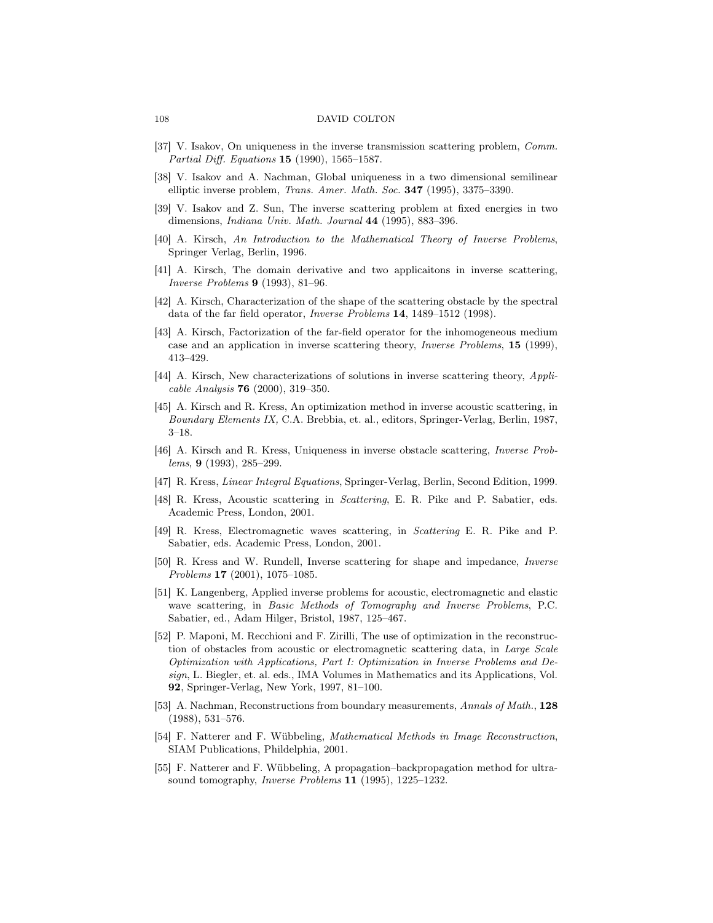- [37] V. Isakov, On uniqueness in the inverse transmission scattering problem, Comm. Partial Diff. Equations 15 (1990), 1565–1587.
- [38] V. Isakov and A. Nachman, Global uniqueness in a two dimensional semilinear elliptic inverse problem, Trans. Amer. Math. Soc. 347 (1995), 3375–3390.
- [39] V. Isakov and Z. Sun, The inverse scattering problem at fixed energies in two dimensions, *Indiana Univ. Math. Journal* 44 (1995), 883-396.
- [40] A. Kirsch, An Introduction to the Mathematical Theory of Inverse Problems, Springer Verlag, Berlin, 1996.
- [41] A. Kirsch, The domain derivative and two applicaitons in inverse scattering, Inverse Problems 9 (1993), 81–96.
- [42] A. Kirsch, Characterization of the shape of the scattering obstacle by the spectral data of the far field operator, Inverse Problems 14, 1489–1512 (1998).
- [43] A. Kirsch, Factorization of the far-field operator for the inhomogeneous medium case and an application in inverse scattering theory, Inverse Problems, 15 (1999), 413–429.
- [44] A. Kirsch, New characterizations of solutions in inverse scattering theory, Applicable Analysis 76 (2000), 319–350.
- [45] A. Kirsch and R. Kress, An optimization method in inverse acoustic scattering, in Boundary Elements IX, C.A. Brebbia, et. al., editors, Springer-Verlag, Berlin, 1987, 3–18.
- [46] A. Kirsch and R. Kress, Uniqueness in inverse obstacle scattering, Inverse Prob $lems, 9 (1993), 285-299.$
- [47] R. Kress, Linear Integral Equations, Springer-Verlag, Berlin, Second Edition, 1999.
- [48] R. Kress, Acoustic scattering in Scattering, E. R. Pike and P. Sabatier, eds. Academic Press, London, 2001.
- [49] R. Kress, Electromagnetic waves scattering, in Scattering E. R. Pike and P. Sabatier, eds. Academic Press, London, 2001.
- [50] R. Kress and W. Rundell, Inverse scattering for shape and impedance, Inverse Problems 17 (2001), 1075–1085.
- [51] K. Langenberg, Applied inverse problems for acoustic, electromagnetic and elastic wave scattering, in Basic Methods of Tomography and Inverse Problems, P.C. Sabatier, ed., Adam Hilger, Bristol, 1987, 125–467.
- [52] P. Maponi, M. Recchioni and F. Zirilli, The use of optimization in the reconstruction of obstacles from acoustic or electromagnetic scattering data, in Large Scale Optimization with Applications, Part I: Optimization in Inverse Problems and Design, L. Biegler, et. al. eds., IMA Volumes in Mathematics and its Applications, Vol. 92, Springer-Verlag, New York, 1997, 81–100.
- [53] A. Nachman, Reconstructions from boundary measurements, Annals of Math., 128 (1988), 531–576.
- [54] F. Natterer and F. Wübbeling, Mathematical Methods in Image Reconstruction, SIAM Publications, Phildelphia, 2001.
- [55] F. Natterer and F. Wübbeling, A propagation–backpropagation method for ultrasound tomography, *Inverse Problems* 11 (1995), 1225–1232.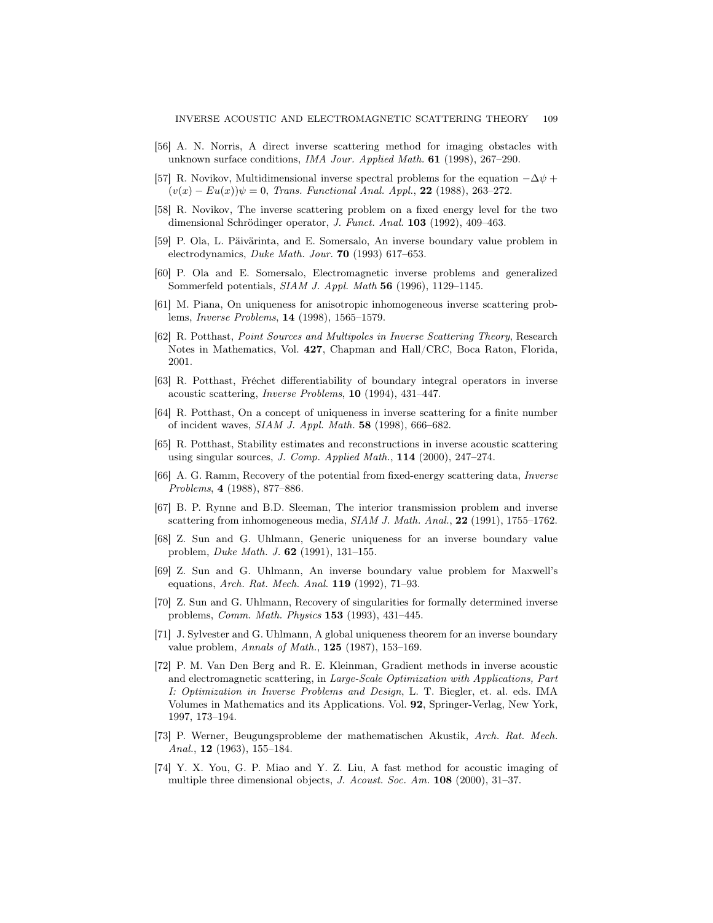- [56] A. N. Norris, A direct inverse scattering method for imaging obstacles with unknown surface conditions, IMA Jour. Applied Math.  $61$  (1998), 267–290.
- [57] R. Novikov, Multidimensional inverse spectral problems for the equation  $-\Delta\psi$  +  $(v(x) - Eu(x))\psi = 0$ , Trans. Functional Anal. Appl., 22 (1988), 263–272.
- [58] R. Novikov, The inverse scattering problem on a fixed energy level for the two dimensional Schrödinger operator, J. Funct. Anal. 103 (1992), 409–463.
- [59] P. Ola, L. Päivärinta, and E. Somersalo, An inverse boundary value problem in electrodynamics, Duke Math. Jour. 70 (1993) 617–653.
- [60] P. Ola and E. Somersalo, Electromagnetic inverse problems and generalized Sommerfeld potentials,  $SIAM J. Appl. Math 56 (1996), 1129-1145.$
- [61] M. Piana, On uniqueness for anisotropic inhomogeneous inverse scattering problems, Inverse Problems, 14 (1998), 1565–1579.
- [62] R. Potthast, Point Sources and Multipoles in Inverse Scattering Theory, Research Notes in Mathematics, Vol. 427, Chapman and Hall/CRC, Boca Raton, Florida, 2001.
- [63] R. Potthast, Fréchet differentiability of boundary integral operators in inverse acoustic scattering, Inverse Problems, 10 (1994), 431–447.
- [64] R. Potthast, On a concept of uniqueness in inverse scattering for a finite number of incident waves, SIAM J. Appl. Math. 58 (1998), 666–682.
- [65] R. Potthast, Stability estimates and reconstructions in inverse acoustic scattering using singular sources, J. Comp. Applied Math.,  $114$  (2000), 247–274.
- [66] A. G. Ramm, Recovery of the potential from fixed-energy scattering data, Inverse Problems, 4 (1988), 877–886.
- [67] B. P. Rynne and B.D. Sleeman, The interior transmission problem and inverse scattering from inhomogeneous media,  $SIAM J. Math. Anal., 22 (1991), 1755-1762.$
- [68] Z. Sun and G. Uhlmann, Generic uniqueness for an inverse boundary value problem, Duke Math. J. 62 (1991), 131–155.
- [69] Z. Sun and G. Uhlmann, An inverse boundary value problem for Maxwell's equations, Arch. Rat. Mech. Anal. **119** (1992), 71-93.
- [70] Z. Sun and G. Uhlmann, Recovery of singularities for formally determined inverse problems, Comm. Math. Physics 153 (1993), 431–445.
- [71] J. Sylvester and G. Uhlmann, A global uniqueness theorem for an inverse boundary value problem, Annals of Math., **125** (1987), 153-169.
- [72] P. M. Van Den Berg and R. E. Kleinman, Gradient methods in inverse acoustic and electromagnetic scattering, in Large-Scale Optimization with Applications, Part I: Optimization in Inverse Problems and Design, L. T. Biegler, et. al. eds. IMA Volumes in Mathematics and its Applications. Vol. 92, Springer-Verlag, New York, 1997, 173–194.
- [73] P. Werner, Beugungsprobleme der mathematischen Akustik, Arch. Rat. Mech. Anal., **12** (1963), 155-184.
- [74] Y. X. You, G. P. Miao and Y. Z. Liu, A fast method for acoustic imaging of multiple three dimensional objects, J. Acoust. Soc. Am. 108 (2000), 31-37.